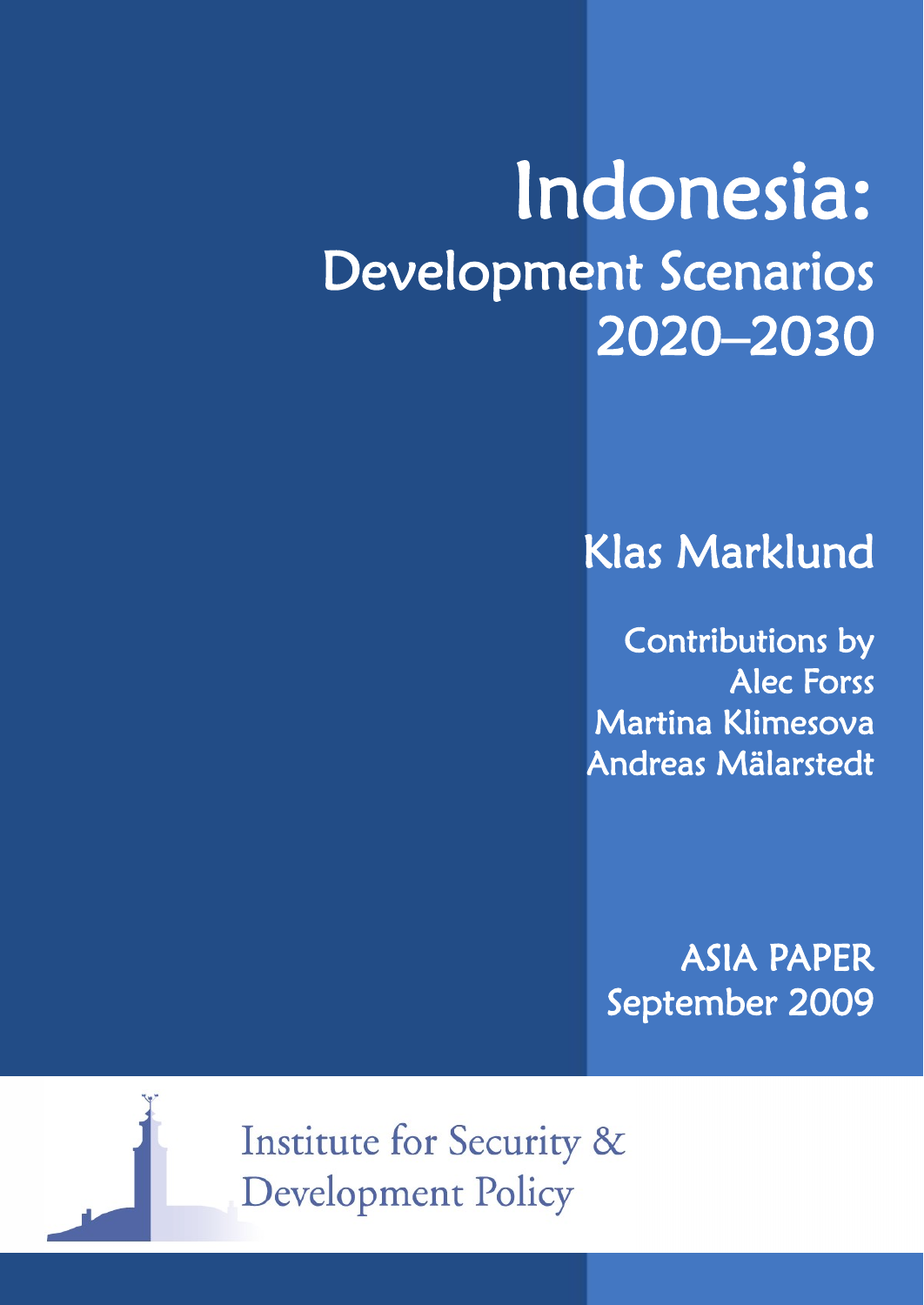# Indonesia: Development Scenarios 2020–2030

## Klas Marklund

Contributions by Alec Forss Martina Klimesova Andreas Mälarstedt

ASIA PAPER September 2009



Institute for Security & **Development Policy**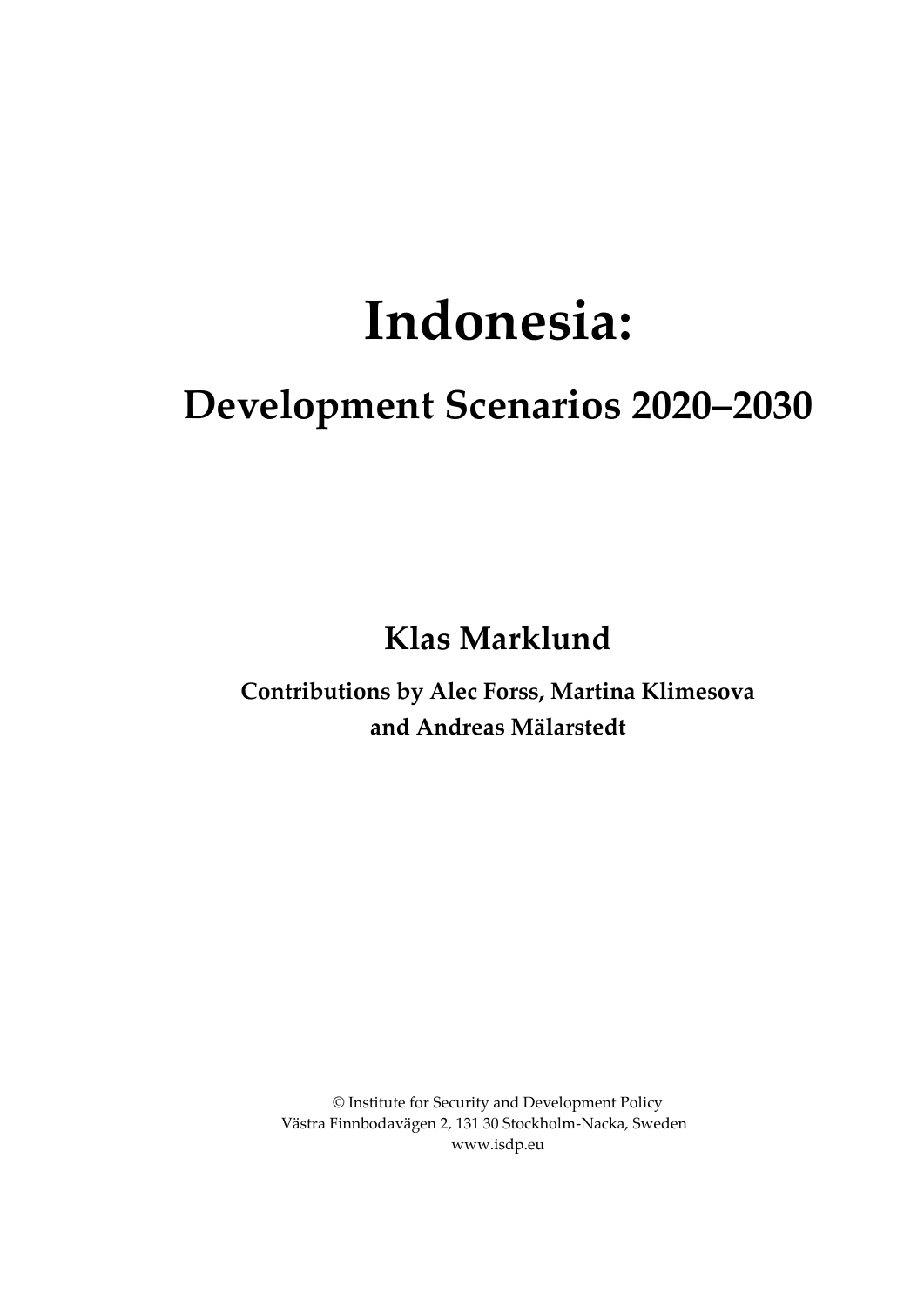# **Indonesia:**

## **Development Scenarios 2020–2030**

**Klas Marklund**

**Contributions by Alec Forss, Martina Klimesova and Andreas Mälarstedt**

© Institute for Security and Development Policy Västra Finnbodavägen 2, 131 30 Stockholm-Nacka, Sweden www.isdp.eu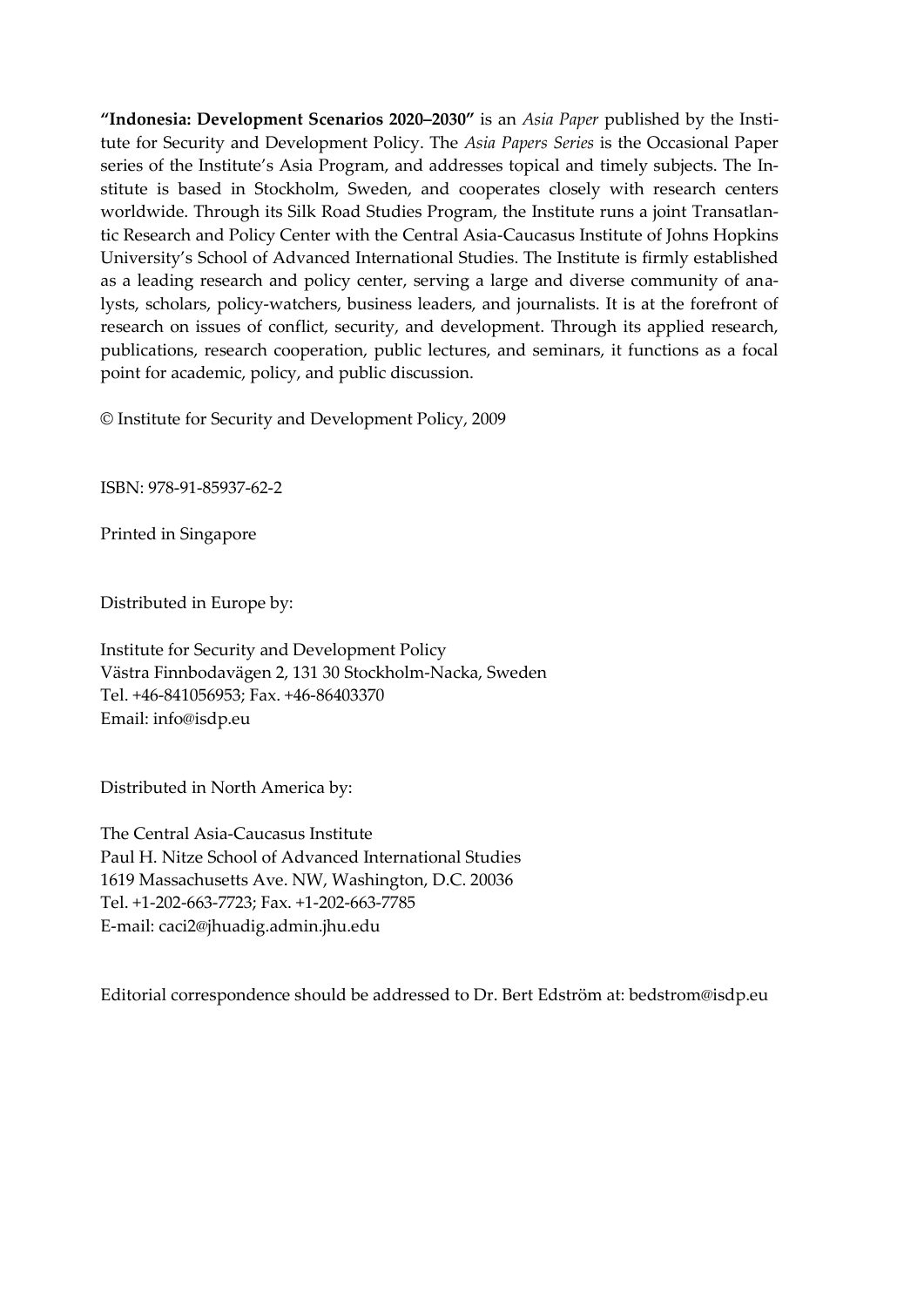**"Indonesia: Development Scenarios 2020–2030"** is an *Asia Paper* published by the Institute for Security and Development Policy. The *Asia Papers Series* is the Occasional Paper series of the Institute's Asia Program, and addresses topical and timely subjects. The Institute is based in Stockholm, Sweden, and cooperates closely with research centers worldwide. Through its Silk Road Studies Program, the Institute runs a joint Transatlantic Research and Policy Center with the Central Asia-Caucasus Institute of Johns Hopkins University's School of Advanced International Studies. The Institute is firmly established as a leading research and policy center, serving a large and diverse community of analysts, scholars, policy-watchers, business leaders, and journalists. It is at the forefront of research on issues of conflict, security, and development. Through its applied research, publications, research cooperation, public lectures, and seminars, it functions as a focal point for academic, policy, and public discussion.

© Institute for Security and Development Policy, 2009

ISBN: 978-91-85937-62-2

Printed in Singapore

Distributed in Europe by:

Institute for Security and Development Policy Västra Finnbodavägen 2, 131 30 Stockholm-Nacka, Sweden Tel. +46-841056953; Fax. +46-86403370 Email: info@isdp.eu

Distributed in North America by:

The Central Asia-Caucasus Institute Paul H. Nitze School of Advanced International Studies 1619 Massachusetts Ave. NW, Washington, D.C. 20036 Tel. +1-202-663-7723; Fax. +1-202-663-7785 E-mail: caci2@jhuadig.admin.jhu.edu

Editorial correspondence should be addressed to Dr. Bert Edström at: bedstrom@isdp.eu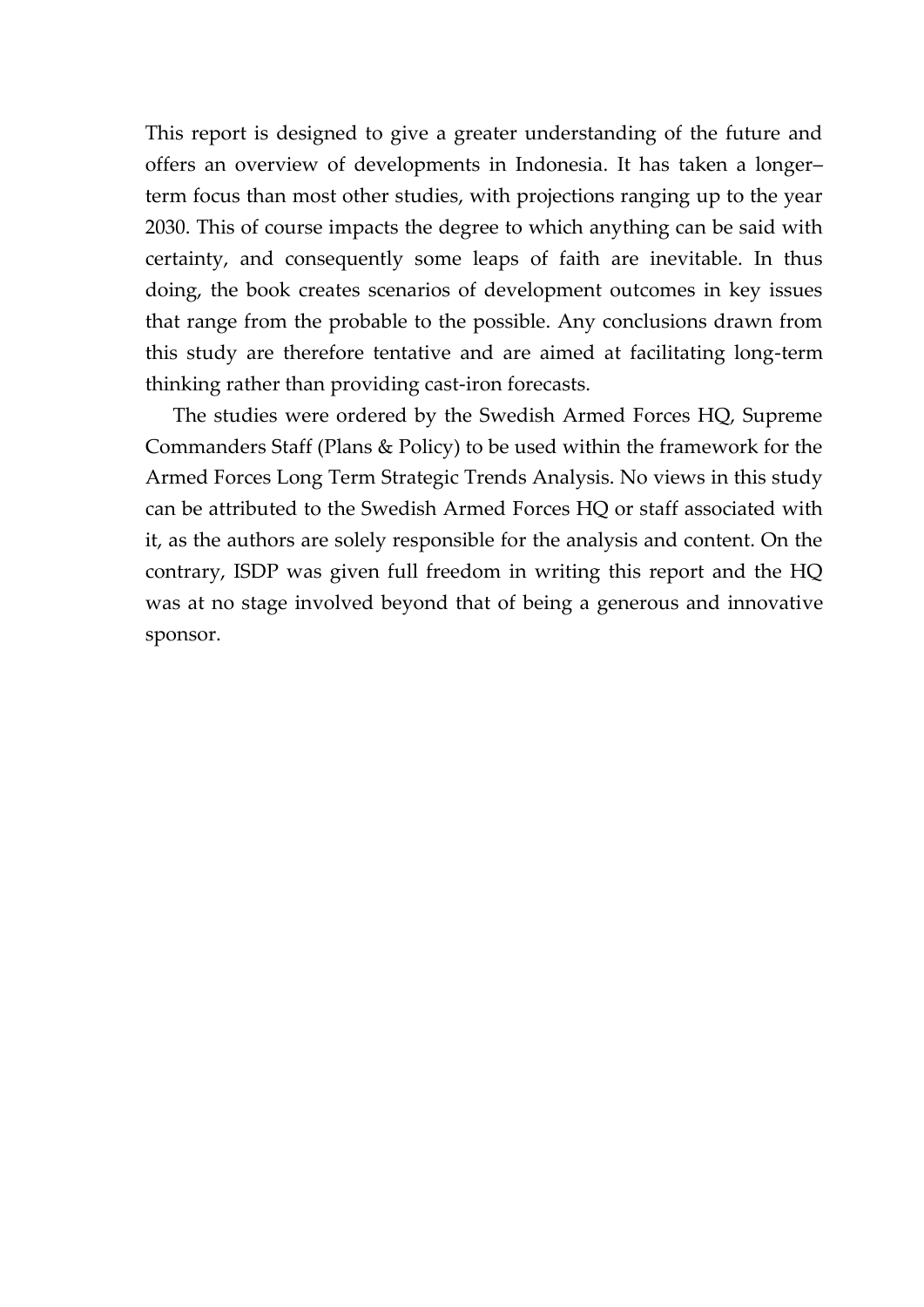This report is designed to give a greater understanding of the future and offers an overview of developments in Indonesia. It has taken a longer– term focus than most other studies, with projections ranging up to the year 2030. This of course impacts the degree to which anything can be said with certainty, and consequently some leaps of faith are inevitable. In thus doing, the book creates scenarios of development outcomes in key issues that range from the probable to the possible. Any conclusions drawn from this study are therefore tentative and are aimed at facilitating long-term thinking rather than providing cast-iron forecasts.

The studies were ordered by the Swedish Armed Forces HQ, Supreme Commanders Staff (Plans & Policy) to be used within the framework for the Armed Forces Long Term Strategic Trends Analysis. No views in this study can be attributed to the Swedish Armed Forces HQ or staff associated with it, as the authors are solely responsible for the analysis and content. On the contrary, ISDP was given full freedom in writing this report and the HQ was at no stage involved beyond that of being a generous and innovative sponsor.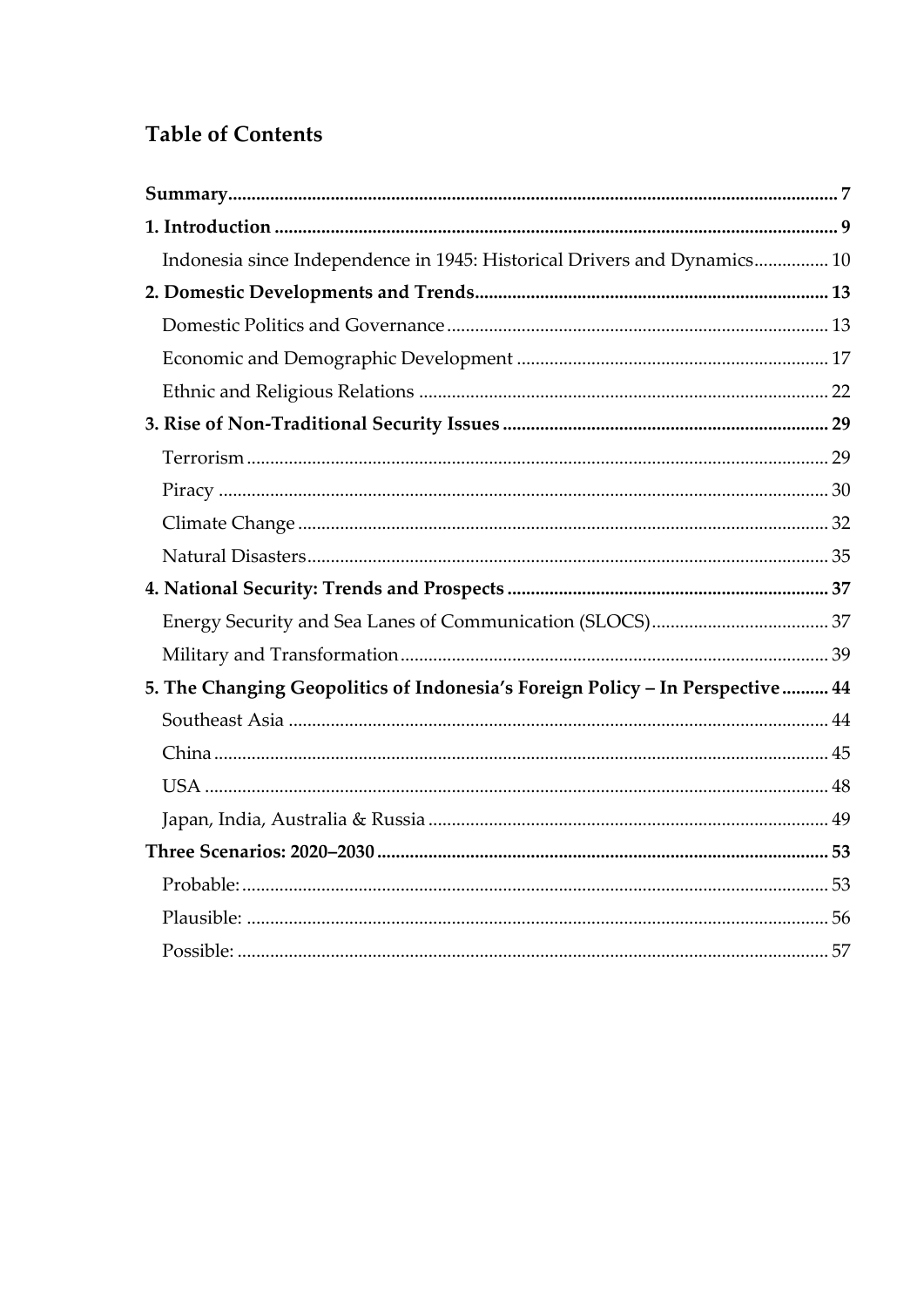## **Table of Contents**

| Indonesia since Independence in 1945: Historical Drivers and Dynamics 10       |  |
|--------------------------------------------------------------------------------|--|
|                                                                                |  |
|                                                                                |  |
|                                                                                |  |
|                                                                                |  |
|                                                                                |  |
|                                                                                |  |
|                                                                                |  |
|                                                                                |  |
|                                                                                |  |
|                                                                                |  |
|                                                                                |  |
|                                                                                |  |
| 5. The Changing Geopolitics of Indonesia's Foreign Policy - In Perspective  44 |  |
|                                                                                |  |
|                                                                                |  |
|                                                                                |  |
|                                                                                |  |
|                                                                                |  |
|                                                                                |  |
|                                                                                |  |
|                                                                                |  |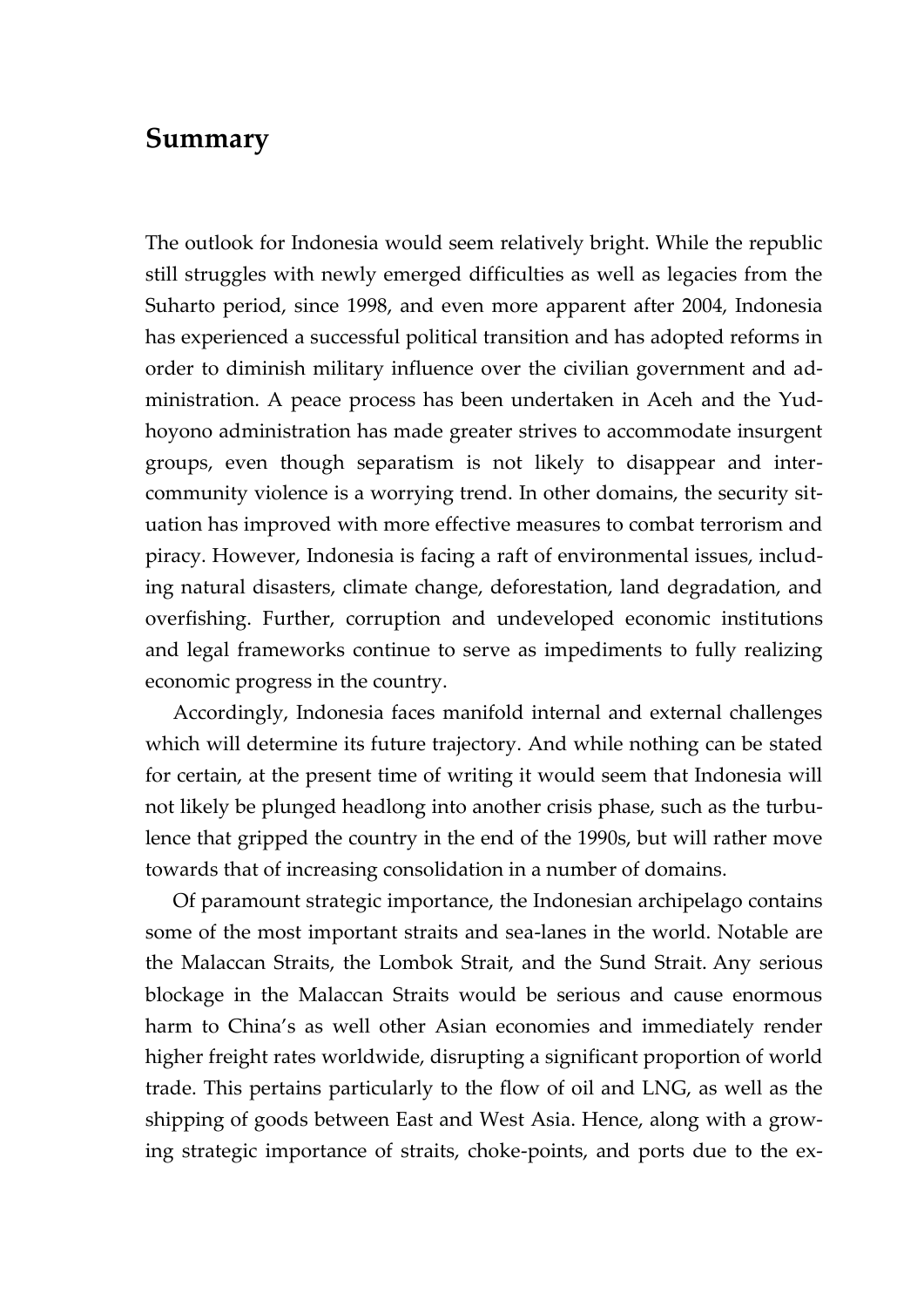### **Summary**

The outlook for Indonesia would seem relatively bright. While the republic still struggles with newly emerged difficulties as well as legacies from the Suharto period, since 1998, and even more apparent after 2004, Indonesia has experienced a successful political transition and has adopted reforms in order to diminish military influence over the civilian government and administration. A peace process has been undertaken in Aceh and the Yudhoyono administration has made greater strives to accommodate insurgent groups, even though separatism is not likely to disappear and intercommunity violence is a worrying trend. In other domains, the security situation has improved with more effective measures to combat terrorism and piracy. However, Indonesia is facing a raft of environmental issues, including natural disasters, climate change, deforestation, land degradation, and overfishing. Further, corruption and undeveloped economic institutions and legal frameworks continue to serve as impediments to fully realizing economic progress in the country.

Accordingly, Indonesia faces manifold internal and external challenges which will determine its future trajectory. And while nothing can be stated for certain, at the present time of writing it would seem that Indonesia will not likely be plunged headlong into another crisis phase, such as the turbulence that gripped the country in the end of the 1990s, but will rather move towards that of increasing consolidation in a number of domains.

Of paramount strategic importance, the Indonesian archipelago contains some of the most important straits and sea-lanes in the world. Notable are the Malaccan Straits, the Lombok Strait, and the Sund Strait. Any serious blockage in the Malaccan Straits would be serious and cause enormous harm to China's as well other Asian economies and immediately render higher freight rates worldwide, disrupting a significant proportion of world trade. This pertains particularly to the flow of oil and LNG, as well as the shipping of goods between East and West Asia. Hence, along with a growing strategic importance of straits, choke-points, and ports due to the ex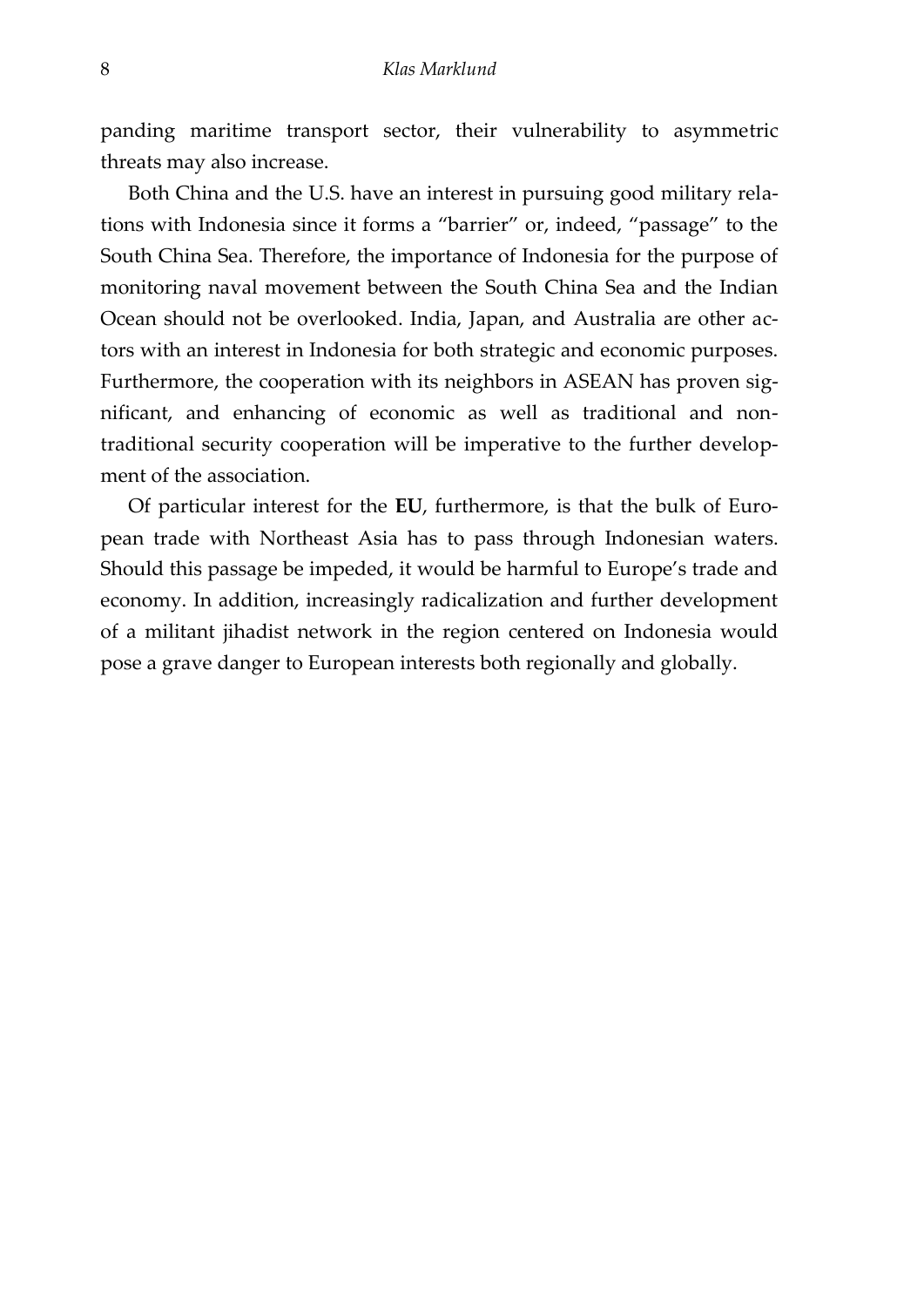<span id="page-9-0"></span>panding maritime transport sector, their vulnerability to asymmetric threats may also increase.

Both China and the U.S. have an interest in pursuing good military relations with Indonesia since it forms a 'barrier' or, indeed, 'passage' to the South China Sea. Therefore, the importance of Indonesia for the purpose of monitoring naval movement between the South China Sea and the Indian Ocean should not be overlooked. India, Japan, and Australia are other actors with an interest in Indonesia for both strategic and economic purposes. Furthermore, the cooperation with its neighbors in ASEAN has proven significant, and enhancing of economic as well as traditional and nontraditional security cooperation will be imperative to the further development of the association.

Of particular interest for the **EU**, furthermore, is that the bulk of European trade with Northeast Asia has to pass through Indonesian waters. Should this passage be impeded, it would be harmful to Europe's trade and economy. In addition, increasingly radicalization and further development of a militant jihadist network in the region centered on Indonesia would pose a grave danger to European interests both regionally and globally.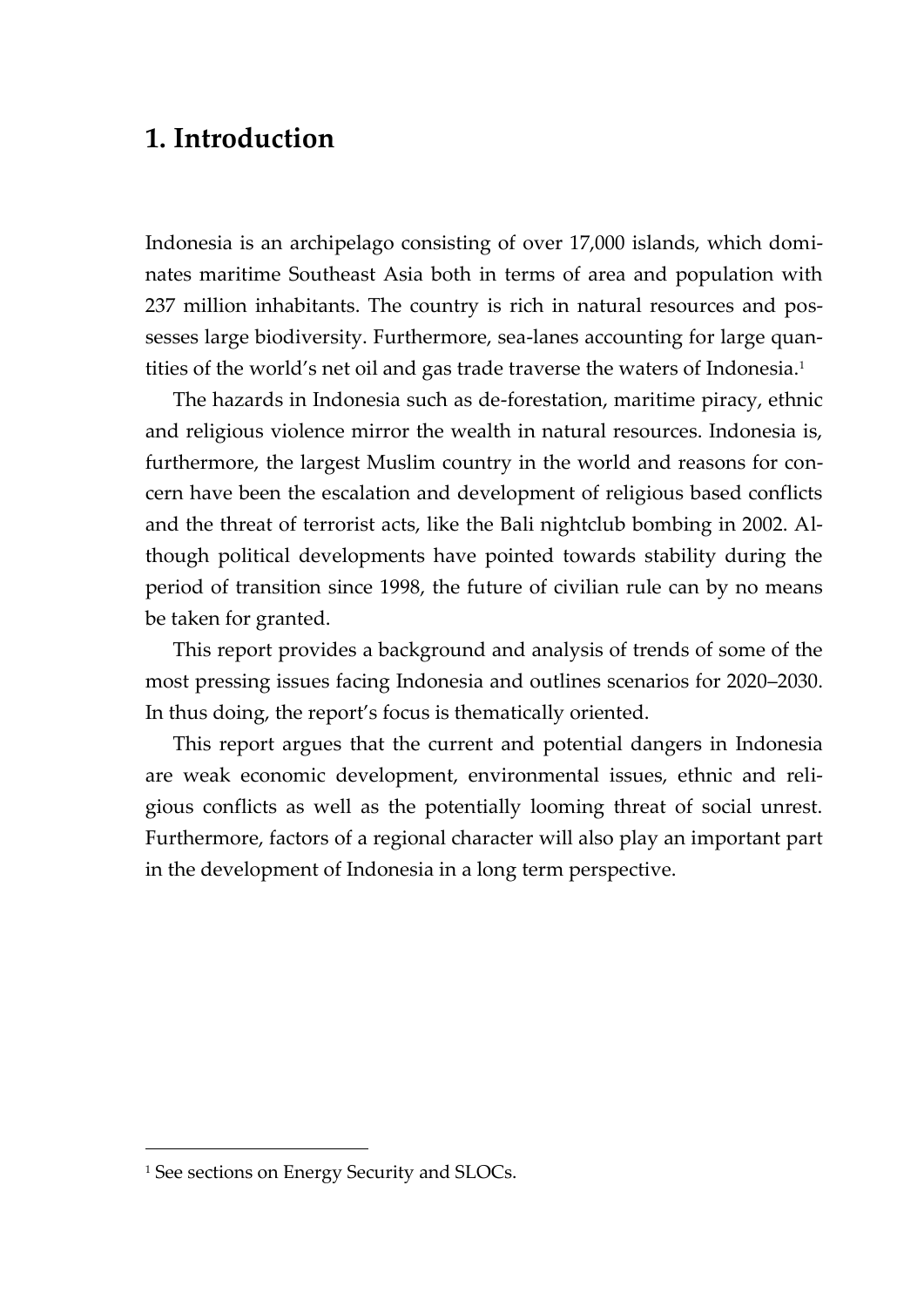## **1. Introduction**

Indonesia is an archipelago consisting of over 17,000 islands, which dominates maritime Southeast Asia both in terms of area and population with 237 million inhabitants. The country is rich in natural resources and possesses large biodiversity. Furthermore, sea-lanes accounting for large quantities of the world's net oil and gas trade traverse the waters of Indonesia.<sup>1</sup>

The hazards in Indonesia such as de-forestation, maritime piracy, ethnic and religious violence mirror the wealth in natural resources. Indonesia is, furthermore, the largest Muslim country in the world and reasons for concern have been the escalation and development of religious based conflicts and the threat of terrorist acts, like the Bali nightclub bombing in 2002. Although political developments have pointed towards stability during the period of transition since 1998, the future of civilian rule can by no means be taken for granted.

This report provides a background and analysis of trends of some of the most pressing issues facing Indonesia and outlines scenarios for 2020–2030. In thus doing, the report's focus is thematically oriented.

This report argues that the current and potential dangers in Indonesia are weak economic development, environmental issues, ethnic and religious conflicts as well as the potentially looming threat of social unrest. Furthermore, factors of a regional character will also play an important part in the development of Indonesia in a long term perspective.

<sup>&</sup>lt;sup>1</sup> See sections on Energy Security and SLOCs.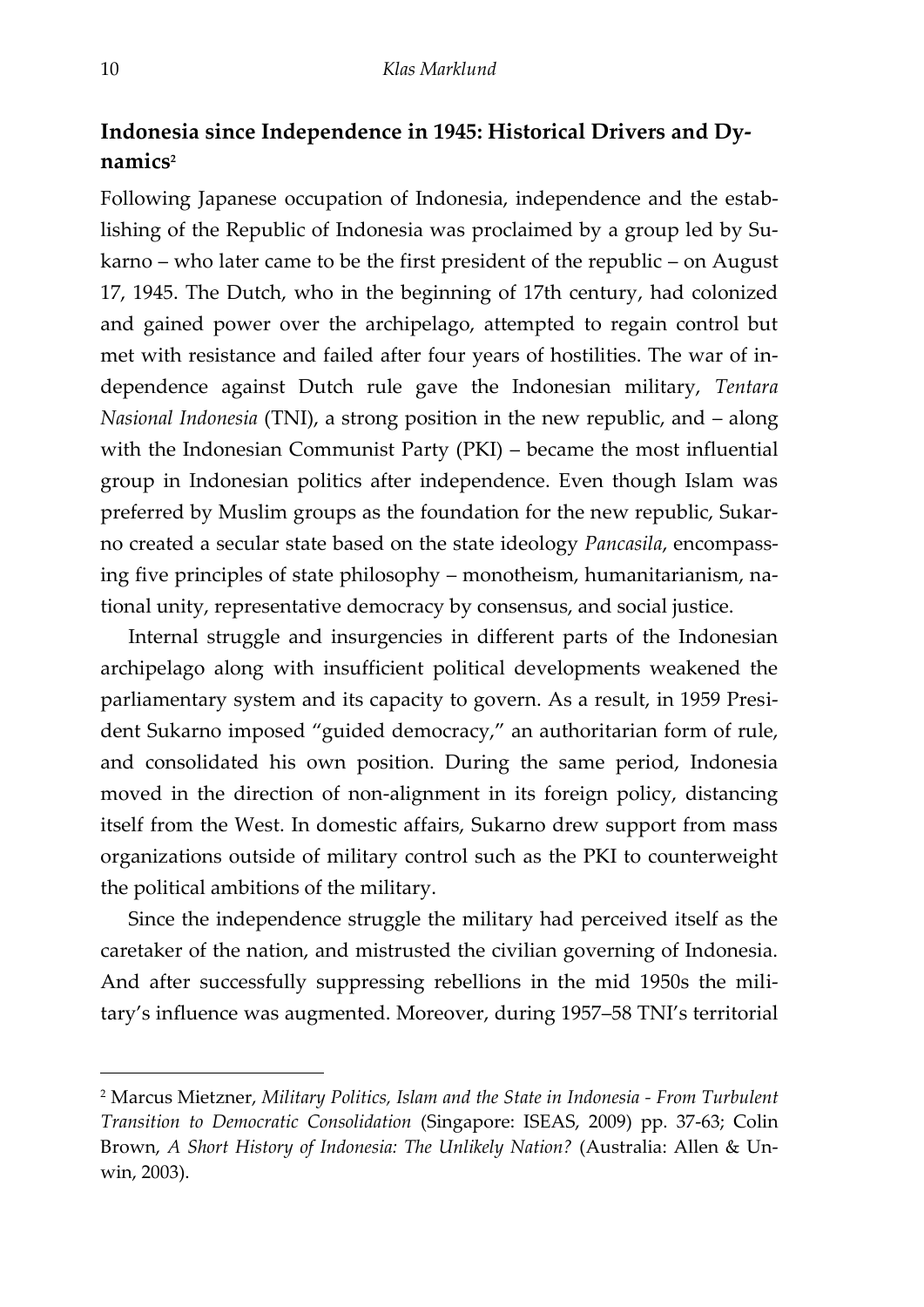### **Indonesia since Independence in 1945: Historical Drivers and Dynamics<sup>2</sup>**

Following Japanese occupation of Indonesia, independence and the establishing of the Republic of Indonesia was proclaimed by a group led by Sukarno – who later came to be the first president of the republic – on August 17, 1945. The Dutch, who in the beginning of 17th century, had colonized and gained power over the archipelago, attempted to regain control but met with resistance and failed after four years of hostilities. The war of independence against Dutch rule gave the Indonesian military, *Tentara Nasional Indonesia* (TNI), a strong position in the new republic, and – along with the Indonesian Communist Party (PKI) – became the most influential group in Indonesian politics after independence. Even though Islam was preferred by Muslim groups as the foundation for the new republic, Sukarno created a secular state based on the state ideology *Pancasila*, encompassing five principles of state philosophy – monotheism, humanitarianism, national unity, representative democracy by consensus, and social justice.

Internal struggle and insurgencies in different parts of the Indonesian archipelago along with insufficient political developments weakened the parliamentary system and its capacity to govern. As a result, in 1959 President Sukarno imposed 'guided democracy,' an authoritarian form of rule, and consolidated his own position. During the same period, Indonesia moved in the direction of non-alignment in its foreign policy, distancing itself from the West. In domestic affairs, Sukarno drew support from mass organizations outside of military control such as the PKI to counterweight the political ambitions of the military.

Since the independence struggle the military had perceived itself as the caretaker of the nation, and mistrusted the civilian governing of Indonesia. And after successfully suppressing rebellions in the mid 1950s the military's influence was augmented. Moreover, during 1957–58 TNI's territorial

<sup>2</sup> Marcus Mietzner, *Military Politics, Islam and the State in Indonesia - From Turbulent Transition to Democratic Consolidation* (Singapore: ISEAS, 2009) pp. 37-63; Colin Brown, *A Short History of Indonesia: The Unlikely Nation?* (Australia: Allen & Unwin, 2003).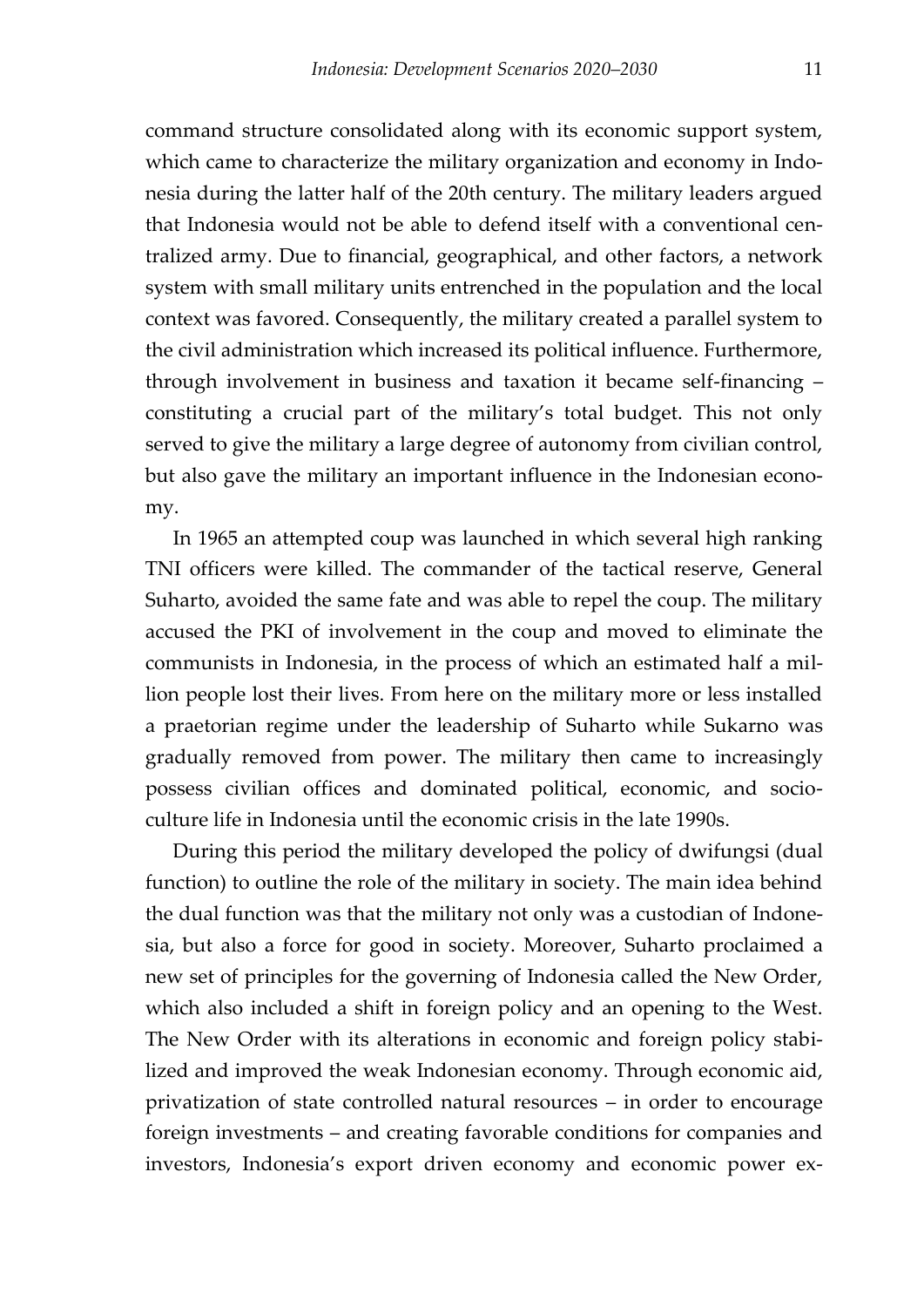<span id="page-12-1"></span><span id="page-12-0"></span>command structure consolidated along with its economic support system, which came to characterize the military organization and economy in Indonesia during the latter half of the 20th century. The military leaders argued that Indonesia would not be able to defend itself with a conventional centralized army. Due to financial, geographical, and other factors, a network system with small military units entrenched in the population and the local context was favored. Consequently, the military created a parallel system to the civil administration which increased its political influence. Furthermore, through involvement in business and taxation it became self-financing – constituting a crucial part of the military's total budget. This not only served to give the military a large degree of autonomy from civilian control, but also gave the military an important influence in the Indonesian economy.

In 1965 an attempted coup was launched in which several high ranking TNI officers were killed. The commander of the tactical reserve, General Suharto, avoided the same fate and was able to repel the coup. The military accused the PKI of involvement in the coup and moved to eliminate the communists in Indonesia, in the process of which an estimated half a million people lost their lives. From here on the military more or less installed a praetorian regime under the leadership of Suharto while Sukarno was gradually removed from power. The military then came to increasingly possess civilian offices and dominated political, economic, and socioculture life in Indonesia until the economic crisis in the late 1990s.

During this period the military developed the policy of dwifungsi (dual function) to outline the role of the military in society. The main idea behind the dual function was that the military not only was a custodian of Indonesia, but also a force for good in society. Moreover, Suharto proclaimed a new set of principles for the governing of Indonesia called the New Order, which also included a shift in foreign policy and an opening to the West. The New Order with its alterations in economic and foreign policy stabilized and improved the weak Indonesian economy. Through economic aid, privatization of state controlled natural resources – in order to encourage foreign investments – and creating favorable conditions for companies and investors, Indonesia's export driven economy and economic power ex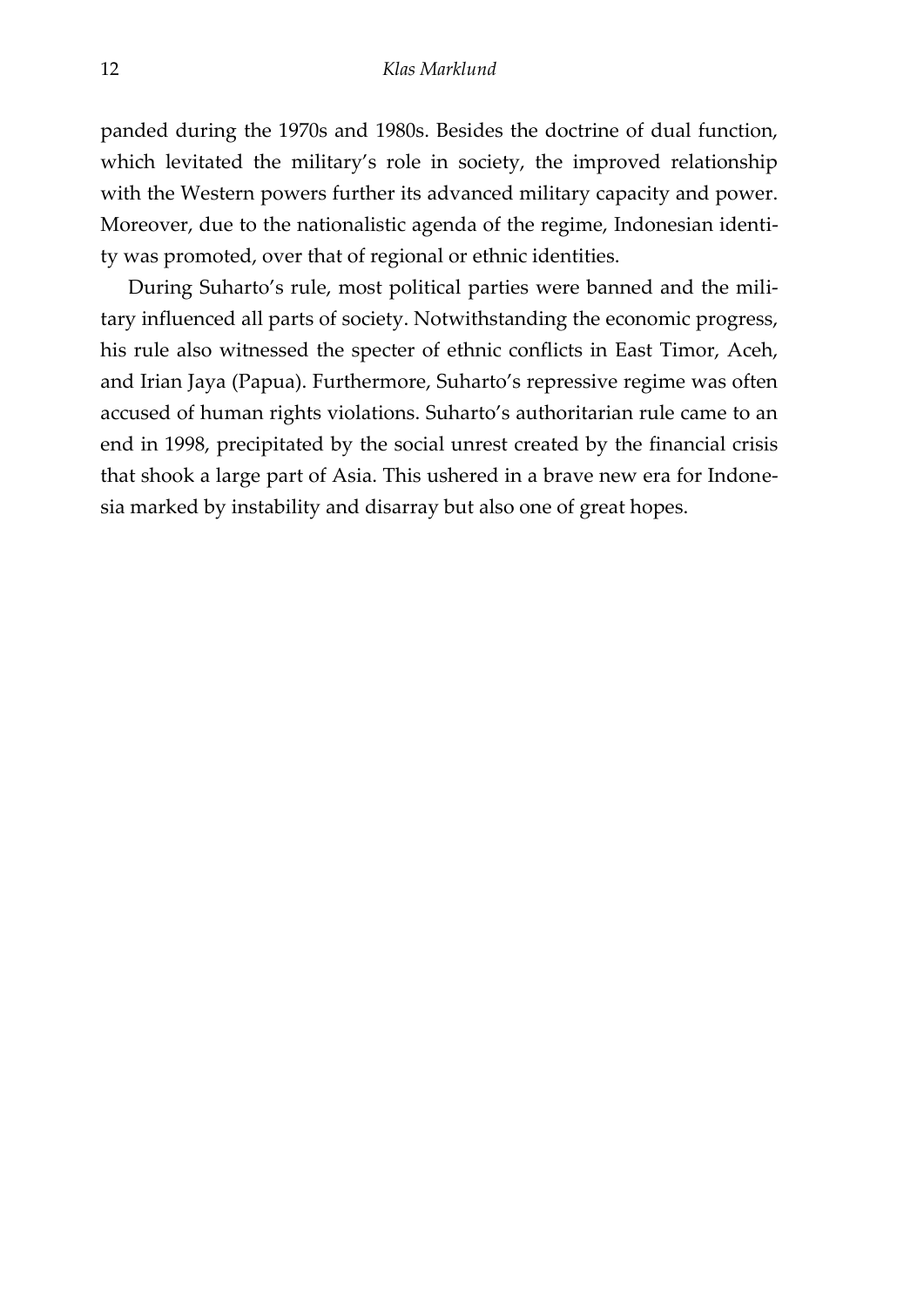panded during the 1970s and 1980s. Besides the doctrine of dual function, which levitated the military's role in society, the improved relationship with the Western powers further its advanced military capacity and power. Moreover, due to the nationalistic agenda of the regime, Indonesian identity was promoted, over that of regional or ethnic identities.

During Suharto's rule, most political parties were banned and the military influenced all parts of society. Notwithstanding the economic progress, his rule also witnessed the specter of ethnic conflicts in East Timor, Aceh, and Irian Jaya (Papua). Furthermore, Suharto's repressive regime was often accused of human rights violations. Suharto's authoritarian rule came to an end in 1998, precipitated by the social unrest created by the financial crisis that shook a large part of Asia. This ushered in a brave new era for Indonesia marked by instability and disarray but also one of great hopes.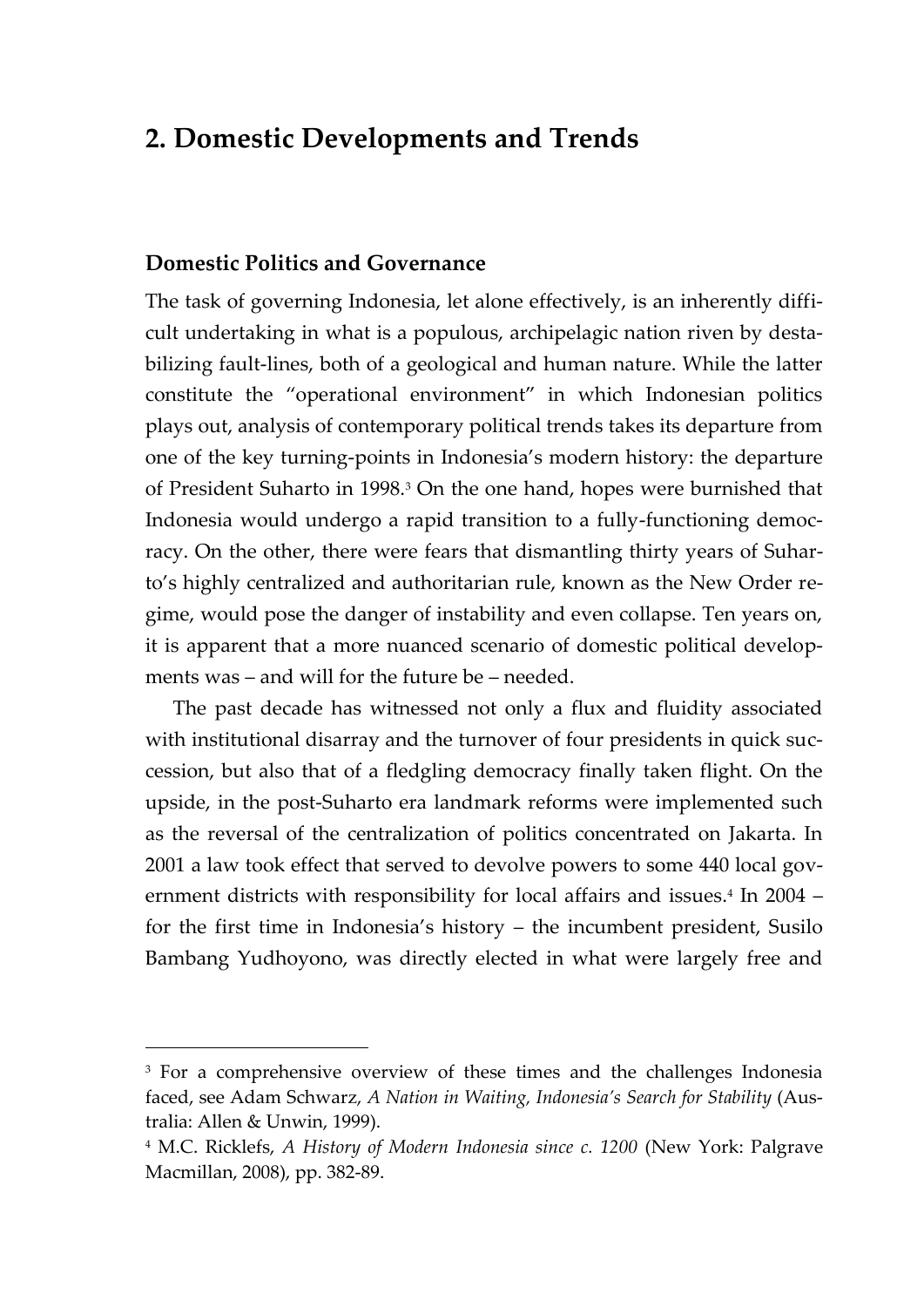## **2. Domestic Developments and Trends**

#### **Domestic Politics and Governance**

 $\overline{a}$ 

The task of governing Indonesia, let alone effectively, is an inherently difficult undertaking in what is a populous, archipelagic nation riven by destabilizing fault-lines, both of a geological and human nature. While the latter constitute the 'operational environment' in which Indonesian politics plays out, analysis of contemporary political trends takes its departure from one of the key turning-points in Indonesia's modern history: the departure of President Suharto in 1998.<sup>3</sup> On the one hand, hopes were burnished that Indonesia would undergo a rapid transition to a fully-functioning democracy. On the other, there were fears that dismantling thirty years of Suharto's highly centralized and authoritarian rule, known as the New Order regime, would pose the danger of instability and even collapse. Ten years on, it is apparent that a more nuanced scenario of domestic political developments was – and will for the future be – needed.

The past decade has witnessed not only a flux and fluidity associated with institutional disarray and the turnover of four presidents in quick succession, but also that of a fledgling democracy finally taken flight. On the upside, in the post-Suharto era landmark reforms were implemented such as the reversal of the centralization of politics concentrated on Jakarta. In 2001 a law took effect that served to devolve powers to some 440 local government districts with responsibility for local affairs and issues.4 In 2004 – for the first time in Indonesia's history – the incumbent president, Susilo Bambang Yudhoyono, was directly elected in what were largely free and

<sup>&</sup>lt;sup>3</sup> For a comprehensive overview of these times and the challenges Indonesia faced, see Adam Schwarz, *A Nation in Waiting, Indonesia's Search for Stability* (Australia: Allen & Unwin, 1999).

<sup>4</sup> M.C. Ricklefs, *A History of Modern Indonesia since c. 1200* (New York: Palgrave Macmillan, 2008), pp. 382-89.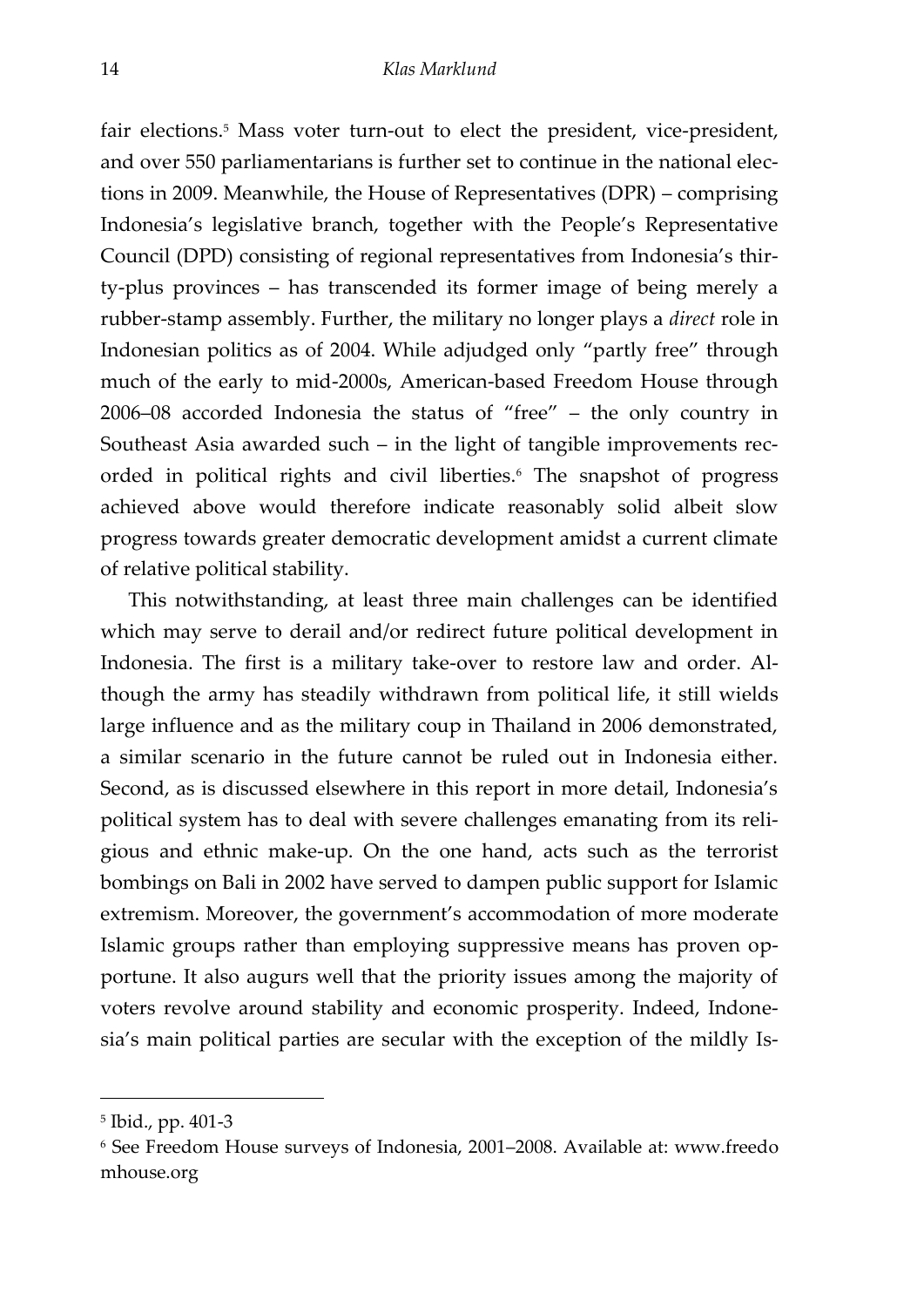fair elections.<sup>5</sup> Mass voter turn-out to elect the president, vice-president, and over 550 parliamentarians is further set to continue in the national elections in 2009. Meanwhile, the House of Representatives (DPR) – comprising Indonesia's legislative branch, together with the People's Representative Council (DPD) consisting of regional representatives from Indonesia's thirty-plus provinces – has transcended its former image of being merely a rubber-stamp assembly. Further, the military no longer plays a *direct* role in Indonesian politics as of 2004. While adjudged only 'partly free' through much of the early to mid-2000s, American-based Freedom House through 2006–08 accorded Indonesia the status of 'free' – the only country in Southeast Asia awarded such – in the light of tangible improvements recorded in political rights and civil liberties.<sup>6</sup> The snapshot of progress achieved above would therefore indicate reasonably solid albeit slow progress towards greater democratic development amidst a current climate of relative political stability.

This notwithstanding, at least three main challenges can be identified which may serve to derail and/or redirect future political development in Indonesia. The first is a military take-over to restore law and order. Although the army has steadily withdrawn from political life, it still wields large influence and as the military coup in Thailand in 2006 demonstrated, a similar scenario in the future cannot be ruled out in Indonesia either. Second, as is discussed elsewhere in this report in more detail, Indonesia's political system has to deal with severe challenges emanating from its religious and ethnic make-up. On the one hand, acts such as the terrorist bombings on Bali in 2002 have served to dampen public support for Islamic extremism. Moreover, the government's accommodation of more moderate Islamic groups rather than employing suppressive means has proven opportune. It also augurs well that the priority issues among the majority of voters revolve around stability and economic prosperity. Indeed, Indonesia's main political parties are secular with the exception of the mildly Is-

<sup>5</sup> Ibid., pp. 401-3

<sup>6</sup> See Freedom House surveys of Indonesia, 2001–2008. Available at: www.freedo mhouse.org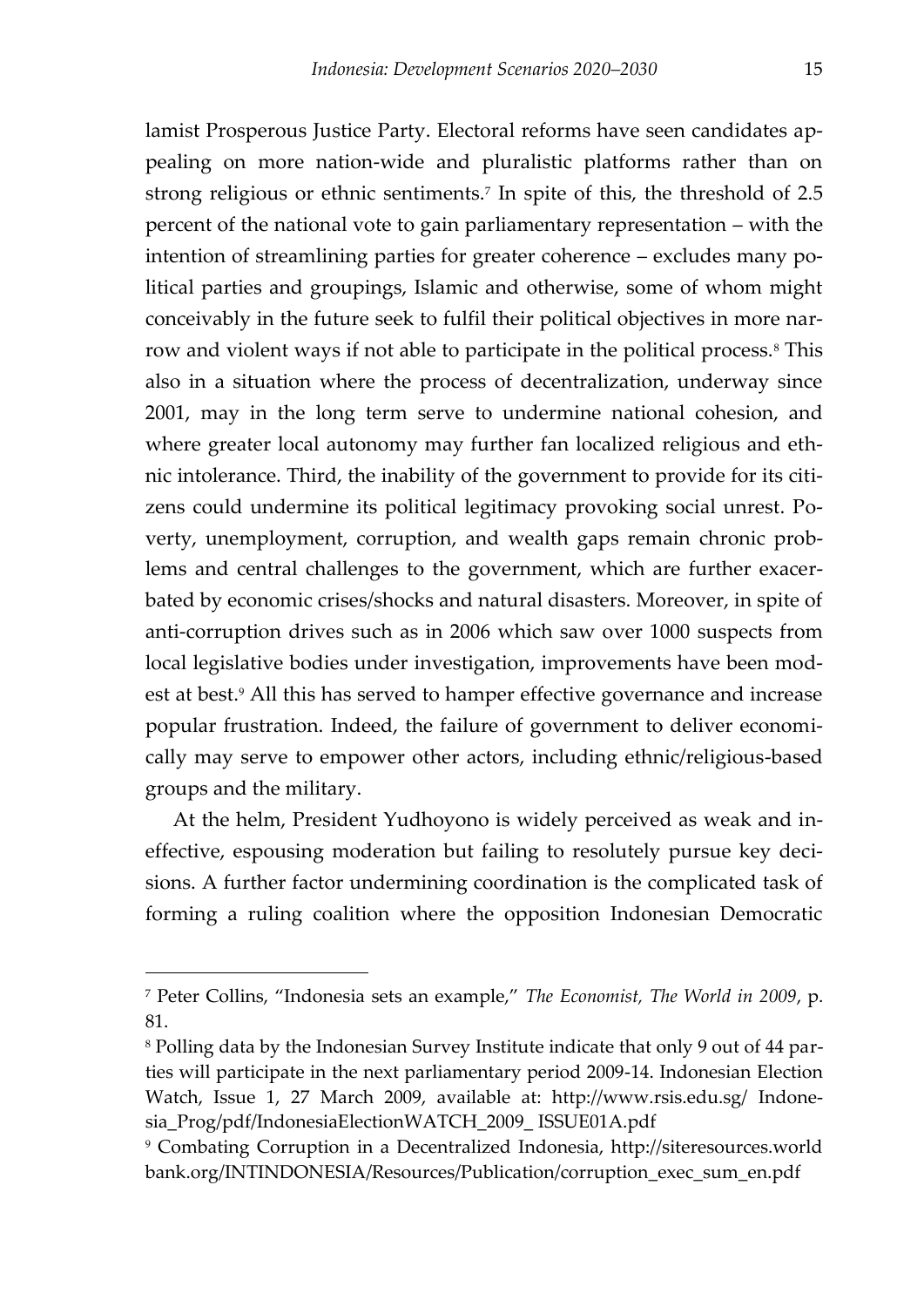<span id="page-16-0"></span>lamist Prosperous Justice Party. Electoral reforms have seen candidates appealing on more nation-wide and pluralistic platforms rather than on strong religious or ethnic sentiments.<sup>7</sup> In spite of this, the threshold of 2.5 percent of the national vote to gain parliamentary representation – with the intention of streamlining parties for greater coherence – excludes many political parties and groupings, Islamic and otherwise, some of whom might conceivably in the future seek to fulfil their political objectives in more narrow and violent ways if not able to participate in the political process.<sup>8</sup> This also in a situation where the process of decentralization, underway since 2001, may in the long term serve to undermine national cohesion, and where greater local autonomy may further fan localized religious and ethnic intolerance. Third, the inability of the government to provide for its citizens could undermine its political legitimacy provoking social unrest. Poverty, unemployment, corruption, and wealth gaps remain chronic problems and central challenges to the government, which are further exacerbated by economic crises/shocks and natural disasters. Moreover, in spite of anti-corruption drives such as in 2006 which saw over 1000 suspects from local legislative bodies under investigation, improvements have been modest at best.<sup>9</sup> All this has served to hamper effective governance and increase popular frustration. Indeed, the failure of government to deliver economically may serve to empower other actors, including ethnic/religious-based groups and the military.

At the helm, President Yudhoyono is widely perceived as weak and ineffective, espousing moderation but failing to resolutely pursue key decisions. A further factor undermining coordination is the complicated task of forming a ruling coalition where the opposition Indonesian Democratic

<sup>7</sup> Peter Collins, 'Indonesia sets an example,' *The Economist, The World in 2009*, p. 81.

<sup>8</sup> Polling data by the Indonesian Survey Institute indicate that only 9 out of 44 parties will participate in the next parliamentary period 2009-14. Indonesian Election Watch, Issue 1, 27 March 2009, available at: http://www.rsis.edu.sg/ Indonesia\_Prog/pdf/IndonesiaElectionWATCH\_2009\_ ISSUE01A.pdf

<sup>9</sup> Combating Corruption in a Decentralized Indonesia, http://siteresources.world bank.org/INTINDONESIA/Resources/Publication/corruption\_exec\_sum\_en.pdf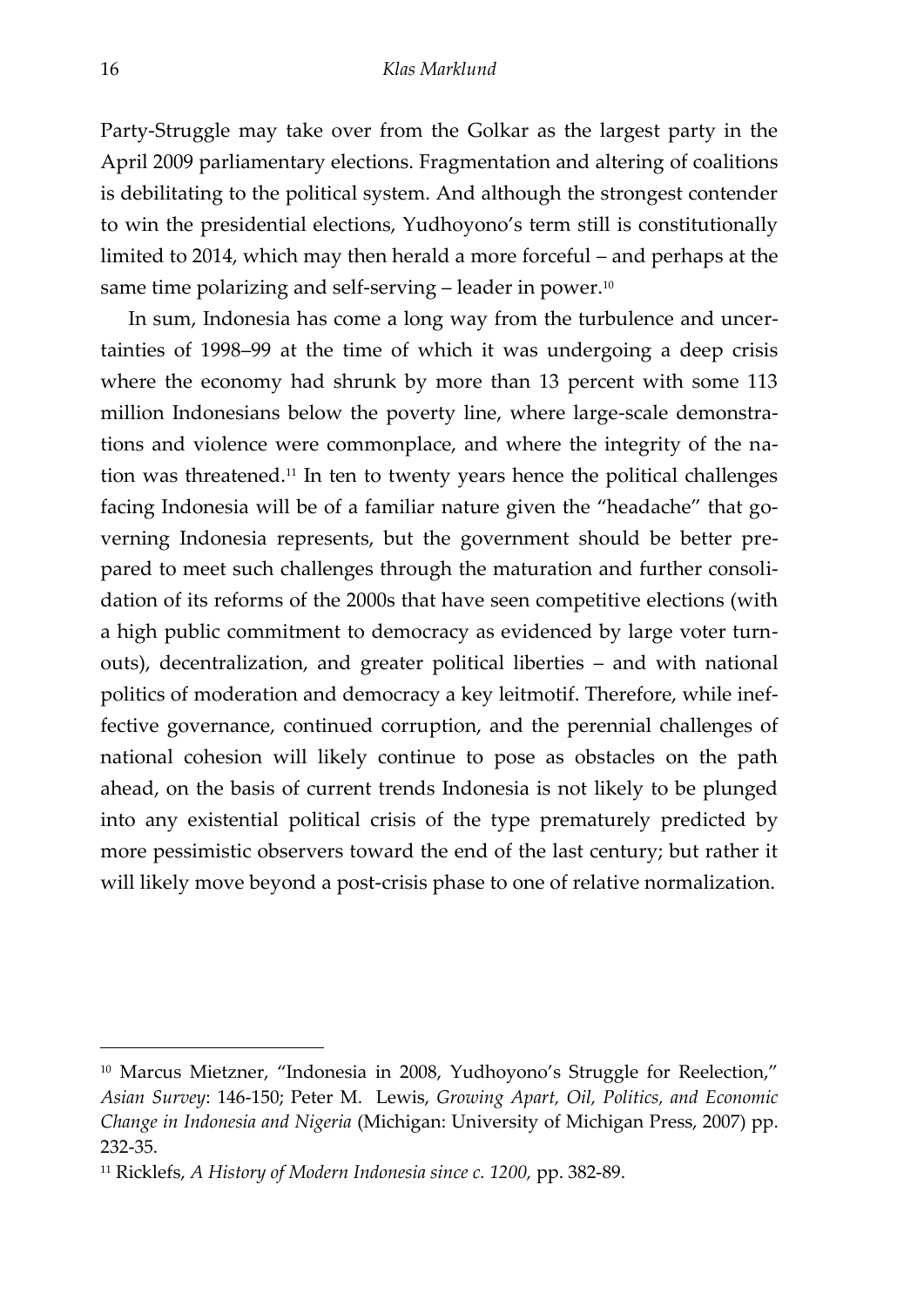Party-Struggle may take over from the Golkar as the largest party in the April 2009 parliamentary elections. Fragmentation and altering of coalitions is debilitating to the political system. And although the strongest contender to win the presidential elections, Yudhoyono's term still is constitutionally limited to 2014, which may then herald a more forceful – and perhaps at the same time polarizing and self-serving  $-$  leader in power.<sup>10</sup>

In sum, Indonesia has come a long way from the turbulence and uncertainties of 1998–99 at the time of which it was undergoing a deep crisis where the economy had shrunk by more than 13 percent with some 113 million Indonesians below the poverty line, where large-scale demonstrations and violence were commonplace, and where the integrity of the nation was threatened.<sup>11</sup> In ten to twenty years hence the political challenges facing Indonesia will be of a familiar nature given the 'headache' that governing Indonesia represents, but the government should be better prepared to meet such challenges through the maturation and further consolidation of its reforms of the 2000s that have seen competitive elections (with a high public commitment to democracy as evidenced by large voter turnouts), decentralization, and greater political liberties – and with national politics of moderation and democracy a key leitmotif. Therefore, while ineffective governance, continued corruption, and the perennial challenges of national cohesion will likely continue to pose as obstacles on the path ahead, on the basis of current trends Indonesia is not likely to be plunged into any existential political crisis of the type prematurely predicted by more pessimistic observers toward the end of the last century; but rather it will likely move beyond a post-crisis phase to one of relative normalization.

<sup>&</sup>lt;sup>10</sup> Marcus Mietzner, "Indonesia in 2008, Yudhoyono's Struggle for Reelection," *Asian Survey*: 146-150; Peter M. Lewis, *Growing Apart, Oil, Politics, and Economic Change in Indonesia and Nigeria* (Michigan: University of Michigan Press, 2007) pp. 232-35.

<sup>11</sup> Ricklefs, *A History of Modern Indonesia since c. 1200,* pp. 382-89.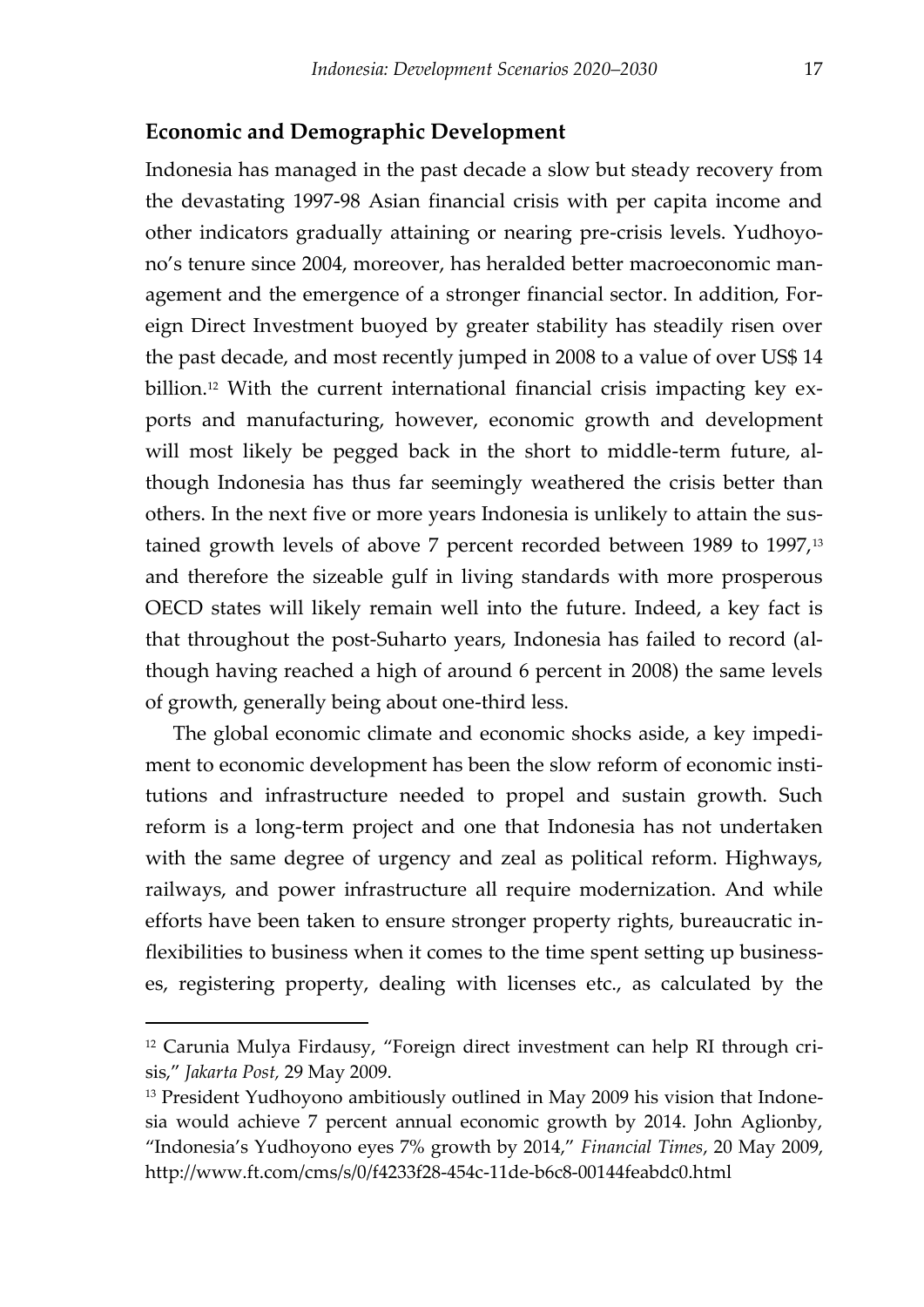#### **Economic and Demographic Development**

Indonesia has managed in the past decade a slow but steady recovery from the devastating 1997-98 Asian financial crisis with per capita income and other indicators gradually attaining or nearing pre-crisis levels. Yudhoyono's tenure since 2004, moreover, has heralded better macroeconomic management and the emergence of a stronger financial sector. In addition, Foreign Direct Investment buoyed by greater stability has steadily risen over the past decade, and most recently jumped in 2008 to a value of over US\$ 14 billion.<sup>12</sup> With the current international financial crisis impacting key exports and manufacturing, however, economic growth and development will most likely be pegged back in the short to middle-term future, although Indonesia has thus far seemingly weathered the crisis better than others. In the next five or more years Indonesia is unlikely to attain the sustained growth levels of above 7 percent recorded between 1989 to 1997,<sup>13</sup> and therefore the sizeable gulf in living standards with more prosperous OECD states will likely remain well into the future. Indeed, a key fact is that throughout the post-Suharto years, Indonesia has failed to record (although having reached a high of around 6 percent in 2008) the same levels of growth, generally being about one-third less.

The global economic climate and economic shocks aside, a key impediment to economic development has been the slow reform of economic institutions and infrastructure needed to propel and sustain growth. Such reform is a long-term project and one that Indonesia has not undertaken with the same degree of urgency and zeal as political reform. Highways, railways, and power infrastructure all require modernization. And while efforts have been taken to ensure stronger property rights, bureaucratic inflexibilities to business when it comes to the time spent setting up businesses, registering property, dealing with licenses etc., as calculated by the

<sup>12</sup> Carunia Mulya Firdausy, 'Foreign direct investment can help RI through crisis,' *Jakarta Post,* 29 May 2009.

<sup>&</sup>lt;sup>13</sup> President Yudhoyono ambitiously outlined in May 2009 his vision that Indonesia would achieve 7 percent annual economic growth by 2014. John Aglionby, 'Indonesia's Yudhoyono eyes 7% growth by 2014,' *Financial Times*, 20 May 2009, http://www.ft.com/cms/s/0/f4233f28-454c-11de-b6c8-00144feabdc0.html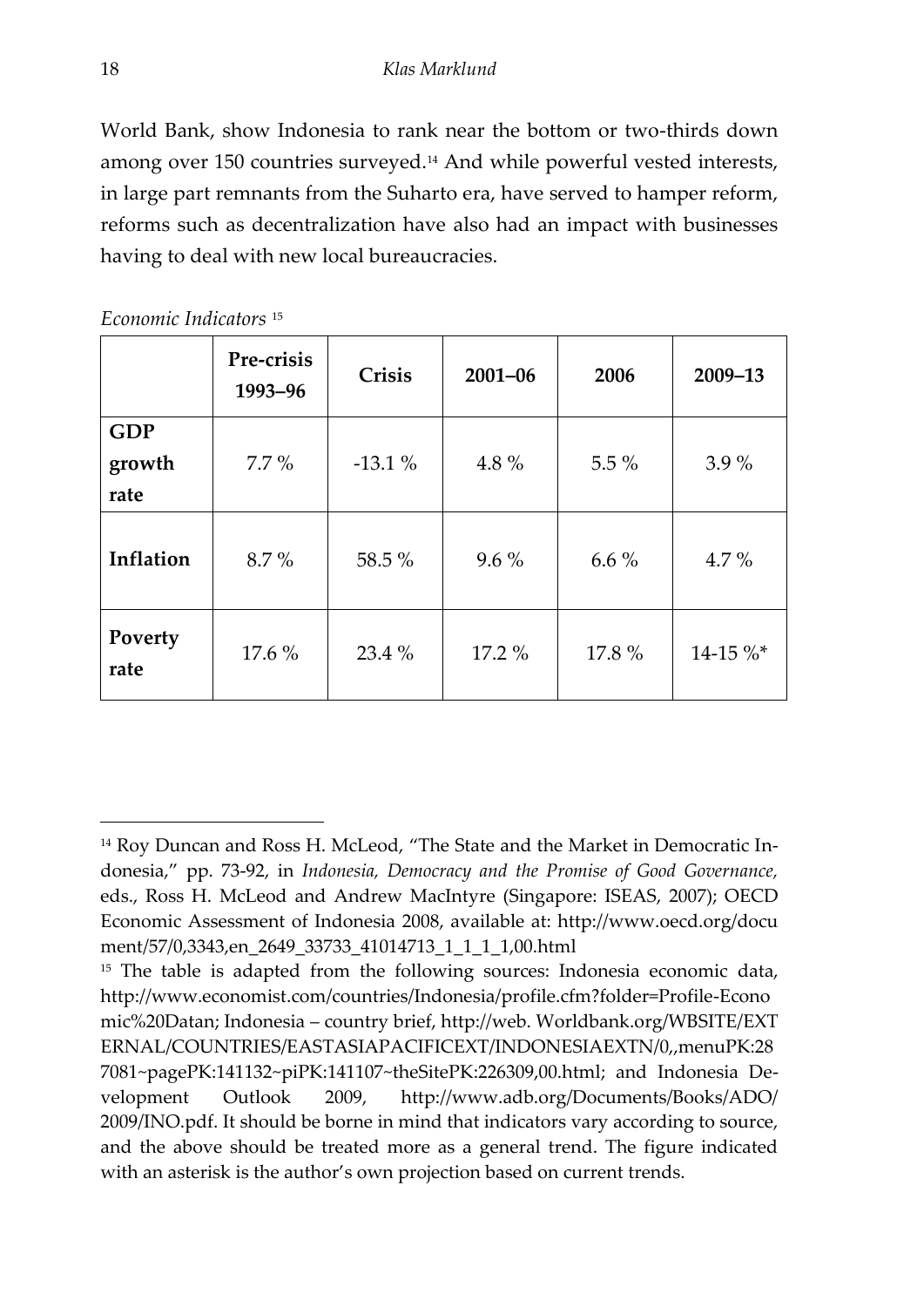World Bank, show Indonesia to rank near the bottom or two-thirds down among over 150 countries surveyed.<sup>14</sup> And while powerful vested interests, in large part remnants from the Suharto era, have served to hamper reform, reforms such as decentralization have also had an impact with businesses having to deal with new local bureaucracies.

|                              | Pre-crisis<br>1993-96 | Crisis   | $2001 - 06$ | 2006    | $2009 - 13$ |
|------------------------------|-----------------------|----------|-------------|---------|-------------|
| <b>GDP</b><br>growth<br>rate | $7.7\%$               | $-13.1%$ | 4.8%        | $5.5\%$ | $3.9\%$     |
| Inflation                    | 8.7%                  | 58.5 %   | $9.6\%$     | $6.6\%$ | $4.7\%$     |
| Poverty<br>rate              | 17.6 %                | $23.4\%$ | 17.2 %      | 17.8%   | $14-15 \%$  |

*Economic Indicators* <sup>15</sup>

<sup>&</sup>lt;sup>14</sup> Roy Duncan and Ross H. McLeod, "The State and the Market in Democratic Indonesia,' pp. 73-92, in *Indonesia, Democracy and the Promise of Good Governance,* eds., Ross H. McLeod and Andrew MacIntyre (Singapore: ISEAS, 2007); OECD Economic Assessment of Indonesia 2008, available at: http://www.oecd.org/docu ment/57/0,3343,en\_2649\_33733\_41014713\_1\_1\_1\_1,00.html

<sup>&</sup>lt;sup>15</sup> The table is adapted from the following sources: Indonesia economic data, http://www.economist.com/countries/Indonesia/profile.cfm?folder=Profile-Econo mic%20Datan; Indonesia – country brief, http://web. Worldbank.org/WBSITE/EXT ERNAL/COUNTRIES/EASTASIAPACIFICEXT/INDONESIAEXTN/0,,menuPK:28 7081~pagePK:141132~piPK:141107~theSitePK:226309,00.html; and Indonesia Development Outlook 2009, http://www.adb.org/Documents/Books/ADO/ 2009/INO.pdf. It should be borne in mind that indicators vary according to source, and the above should be treated more as a general trend. The figure indicated with an asterisk is the author's own projection based on current trends.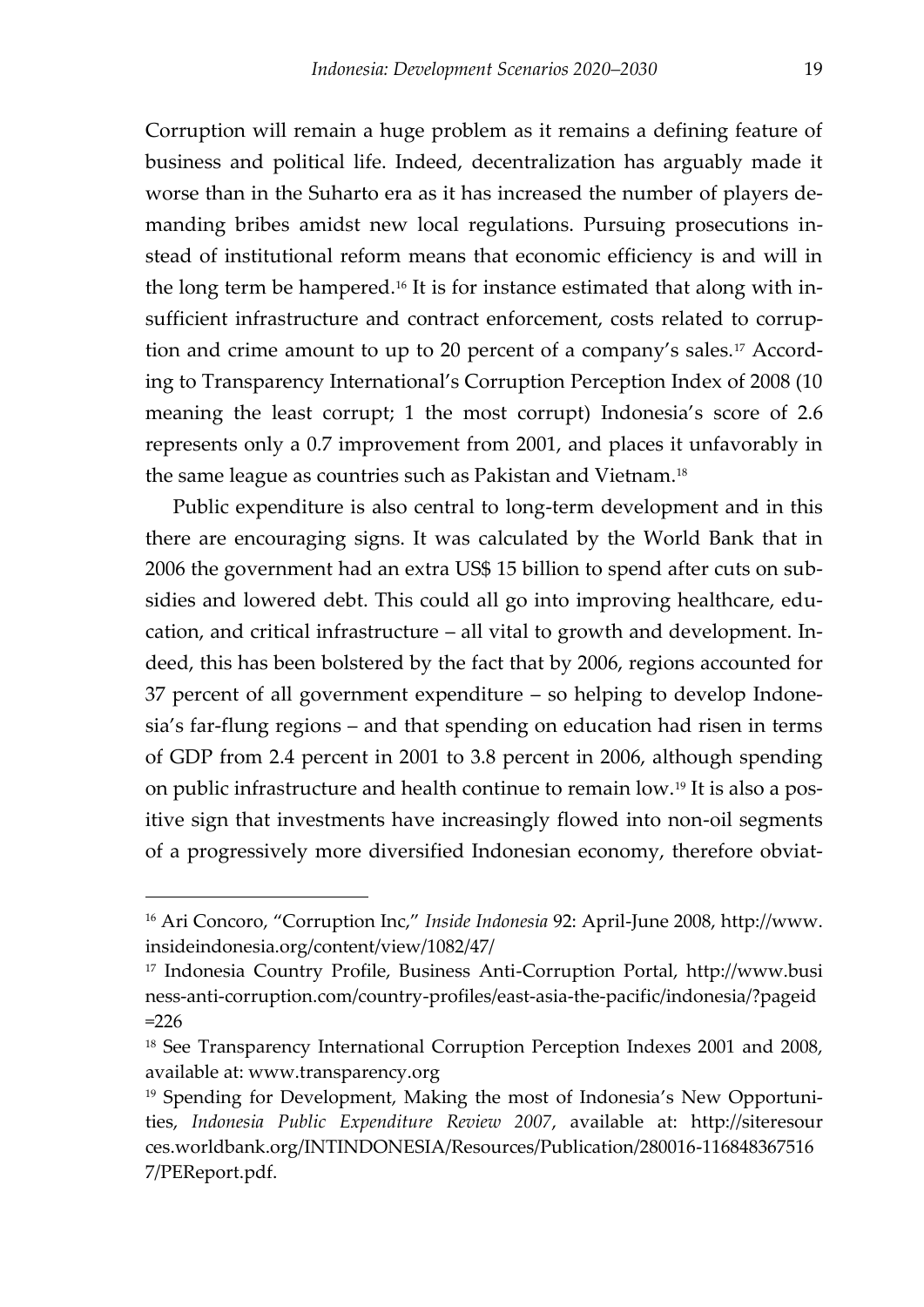Corruption will remain a huge problem as it remains a defining feature of business and political life. Indeed, decentralization has arguably made it worse than in the Suharto era as it has increased the number of players demanding bribes amidst new local regulations. Pursuing prosecutions instead of institutional reform means that economic efficiency is and will in the long term be hampered.<sup>16</sup> It is for instance estimated that along with insufficient infrastructure and contract enforcement, costs related to corruption and crime amount to up to 20 percent of a company's sales.<sup>17</sup> According to Transparency International's Corruption Perception Index of 2008 (10 meaning the least corrupt; 1 the most corrupt) Indonesia's score of 2.6 represents only a 0.7 improvement from 2001, and places it unfavorably in the same league as countries such as Pakistan and Vietnam.<sup>18</sup>

Public expenditure is also central to long-term development and in this there are encouraging signs. It was calculated by the World Bank that in 2006 the government had an extra US\$ 15 billion to spend after cuts on subsidies and lowered debt. This could all go into improving healthcare, education, and critical infrastructure – all vital to growth and development. Indeed, this has been bolstered by the fact that by 2006, regions accounted for 37 percent of all government expenditure – so helping to develop Indonesia's far-flung regions – and that spending on education had risen in terms of GDP from 2.4 percent in 2001 to 3.8 percent in 2006, although spending on public infrastructure and health continue to remain low.<sup>19</sup> It is also a positive sign that investments have increasingly flowed into non-oil segments of a progressively more diversified Indonesian economy, therefore obviat-

<sup>16</sup> Ari Concoro, 'Corruption Inc,' *Inside Indonesia* 92: April-June 2008, http://www. insideindonesia.org/content/view/1082/47/

<sup>17</sup> Indonesia Country Profile, Business Anti-Corruption Portal, http://www.busi ness-anti-corruption.com/country-profiles/east-asia-the-pacific/indonesia/?pageid  $=226$ 

<sup>&</sup>lt;sup>18</sup> See Transparency International Corruption Perception Indexes 2001 and 2008, available at: www.transparency.org

<sup>&</sup>lt;sup>19</sup> Spending for Development, Making the most of Indonesia's New Opportunities, *Indonesia Public Expenditure Review 2007*, available at: http://siteresour ces.worldbank.org/INTINDONESIA/Resources/Publication/280016-116848367516 7/PEReport.pdf.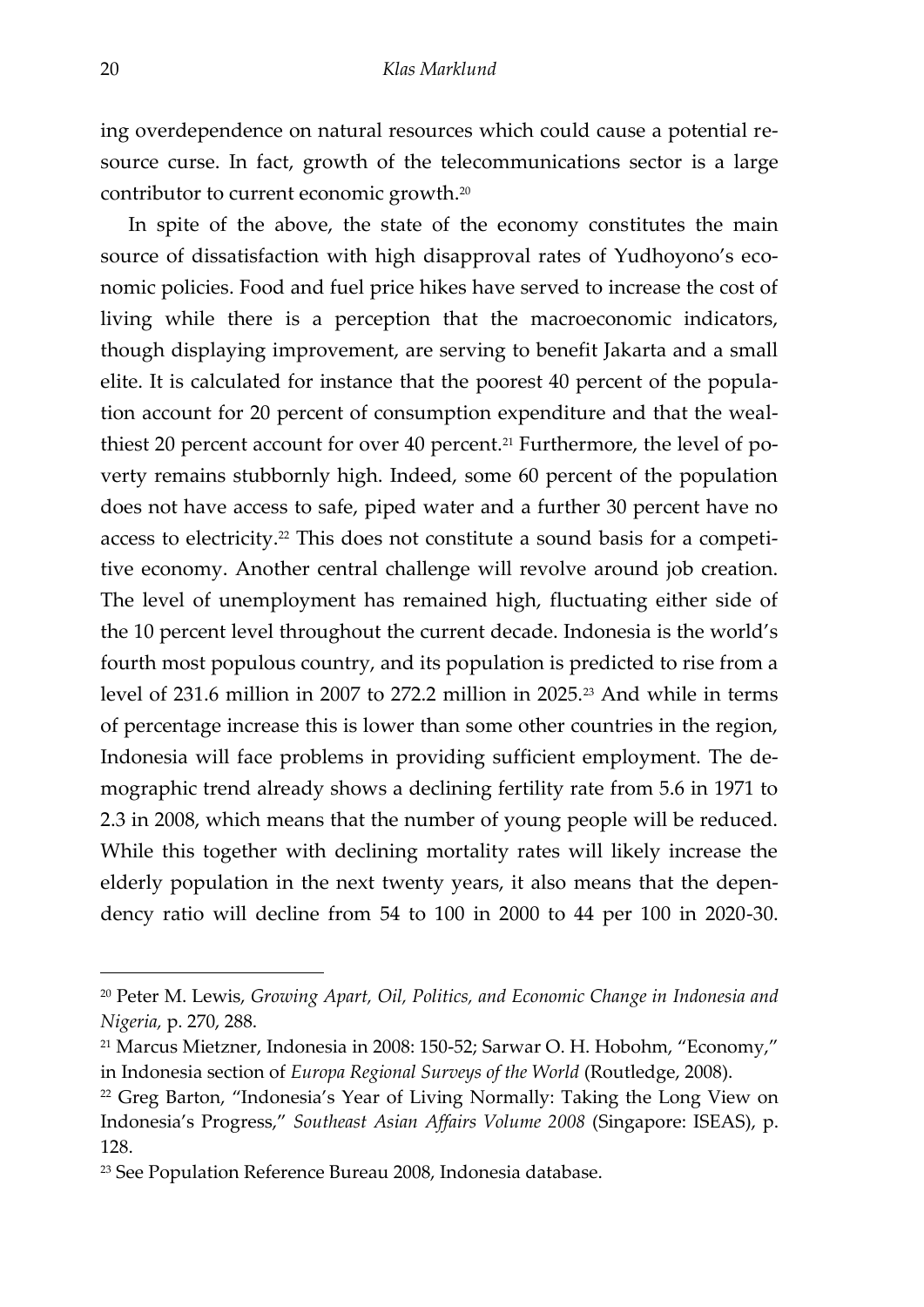ing overdependence on natural resources which could cause a potential resource curse. In fact, growth of the telecommunications sector is a large contributor to current economic growth.<sup>20</sup>

<span id="page-21-0"></span>In spite of the above, the state of the economy constitutes the main source of dissatisfaction with high disapproval rates of Yudhoyono's economic policies. Food and fuel price hikes have served to increase the cost of living while there is a perception that the macroeconomic indicators, though displaying improvement, are serving to benefit Jakarta and a small elite. It is calculated for instance that the poorest 40 percent of the population account for 20 percent of consumption expenditure and that the wealthiest 20 percent account for over 40 percent.<sup>21</sup> Furthermore, the level of poverty remains stubbornly high. Indeed, some 60 percent of the population does not have access to safe, piped water and a further 30 percent have no access to electricity.<sup>22</sup> This does not constitute a sound basis for a competitive economy. Another central challenge will revolve around job creation. The level of unemployment has remained high, fluctuating either side of the 10 percent level throughout the current decade. Indonesia is the world's fourth most populous country, and its population is predicted to rise from a level of 231.6 million in 2007 to 272.2 million in 2025.<sup>23</sup> And while in terms of percentage increase this is lower than some other countries in the region, Indonesia will face problems in providing sufficient employment. The demographic trend already shows a declining fertility rate from 5.6 in 1971 to 2.3 in 2008, which means that the number of young people will be reduced. While this together with declining mortality rates will likely increase the elderly population in the next twenty years, it also means that the dependency ratio will decline from 54 to 100 in 2000 to 44 per 100 in 2020-30.

<sup>20</sup> Peter M. Lewis, *Growing Apart, Oil, Politics, and Economic Change in Indonesia and Nigeria,* p. 270, 288.

<sup>21</sup> Marcus Mietzner, Indonesia in 2008: 150-52; Sarwar O. H. Hobohm, 'Economy,' in Indonesia section of *Europa Regional Surveys of the World* (Routledge, 2008).

<sup>&</sup>lt;sup>22</sup> Greg Barton, "Indonesia's Year of Living Normally: Taking the Long View on Indonesia's Progress,' *Southeast Asian Affairs Volume 2008* (Singapore: ISEAS), p. 128.

<sup>23</sup> See Population Reference Bureau 2008, Indonesia database.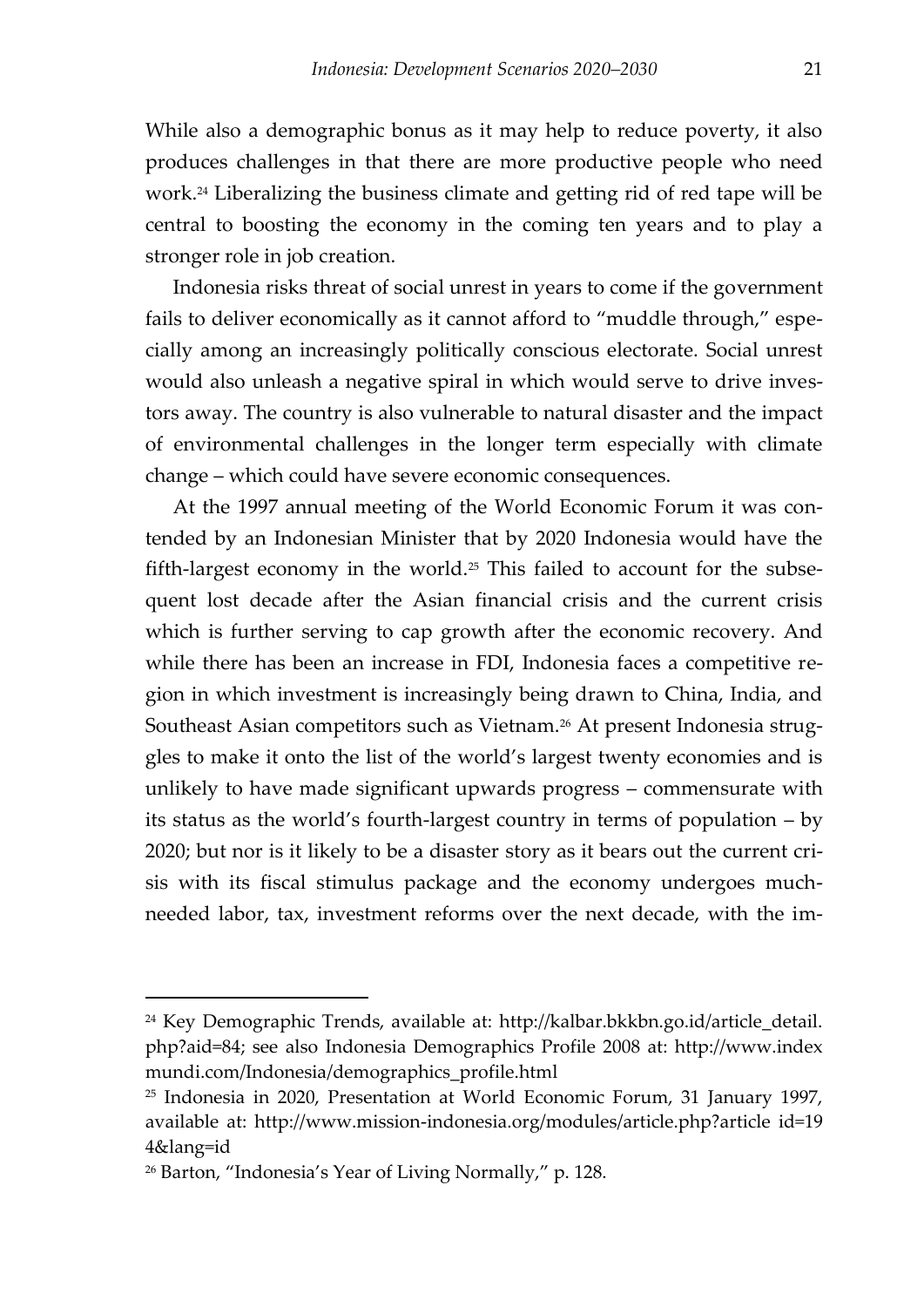While also a demographic bonus as it may help to reduce poverty, it also produces challenges in that there are more productive people who need work.<sup>24</sup> Liberalizing the business climate and getting rid of red tape will be central to boosting the economy in the coming ten years and to play a stronger role in job creation.

Indonesia risks threat of social unrest in years to come if the government fails to deliver economically as it cannot afford to 'muddle through,' especially among an increasingly politically conscious electorate. Social unrest would also unleash a negative spiral in which would serve to drive investors away. The country is also vulnerable to natural disaster and the impact of environmental challenges in the longer term especially with climate change – which could have severe economic consequences.

At the 1997 annual meeting of the World Economic Forum it was contended by an Indonesian Minister that by 2020 Indonesia would have the fifth-largest economy in the world.<sup>25</sup> This failed to account for the subsequent lost decade after the Asian financial crisis and the current crisis which is further serving to cap growth after the economic recovery. And while there has been an increase in FDI, Indonesia faces a competitive region in which investment is increasingly being drawn to China, India, and Southeast Asian competitors such as Vietnam.<sup>26</sup> At present Indonesia struggles to make it onto the list of the world's largest twenty economies and is unlikely to have made significant upwards progress – commensurate with its status as the world's fourth-largest country in terms of population – by 2020; but nor is it likely to be a disaster story as it bears out the current crisis with its fiscal stimulus package and the economy undergoes muchneeded labor, tax, investment reforms over the next decade, with the im-

<sup>24</sup> Key Demographic Trends, available at: http://kalbar.bkkbn.go.id/article\_detail. php?aid=84; see also Indonesia Demographics Profile 2008 at: http://www.index mundi.com/Indonesia/demographics\_profile.html

<sup>25</sup> Indonesia in 2020, Presentation at World Economic Forum, 31 January 1997, available at: http://www.mission-indonesia.org/modules/article.php?article id=19 4&lang=id

<sup>26</sup> Barton, 'Indonesia's Year of Living Normally,' p. 128.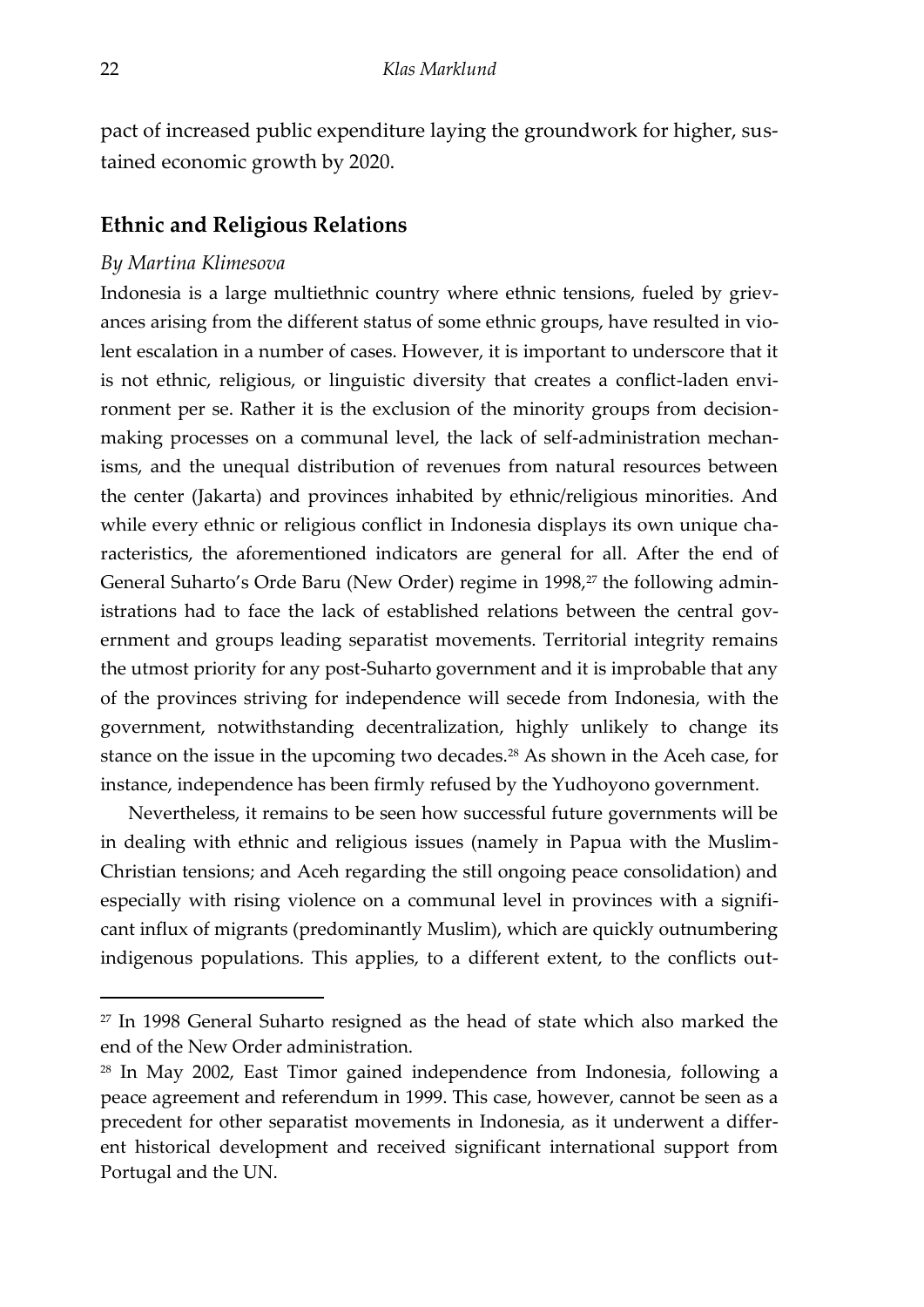pact of increased public expenditure laying the groundwork for higher, sustained economic growth by 2020.

#### **Ethnic and Religious Relations**

#### *By Martina Klimesova*

Indonesia is a large multiethnic country where ethnic tensions, fueled by grievances arising from the different status of some ethnic groups, have resulted in violent escalation in a number of cases. However, it is important to underscore that it is not ethnic, religious, or linguistic diversity that creates a conflict-laden environment per se. Rather it is the exclusion of the minority groups from decisionmaking processes on a communal level, the lack of self-administration mechanisms, and the unequal distribution of revenues from natural resources between the center (Jakarta) and provinces inhabited by ethnic/religious minorities. And while every ethnic or religious conflict in Indonesia displays its own unique characteristics, the aforementioned indicators are general for all. After the end of General Suharto's Orde Baru (New Order) regime in 1998,<sup>27</sup> the following administrations had to face the lack of established relations between the central government and groups leading separatist movements. Territorial integrity remains the utmost priority for any post-Suharto government and it is improbable that any of the provinces striving for independence will secede from Indonesia, with the government, notwithstanding decentralization, highly unlikely to change its stance on the issue in the upcoming two decades.<sup>28</sup> As shown in the Aceh case, for instance, independence has been firmly refused by the Yudhoyono government.

Nevertheless, it remains to be seen how successful future governments will be in dealing with ethnic and religious issues (namely in Papua with the Muslim-Christian tensions; and Aceh regarding the still ongoing peace consolidation) and especially with rising violence on a communal level in provinces with a significant influx of migrants (predominantly Muslim), which are quickly outnumbering indigenous populations. This applies, to a different extent, to the conflicts out-

<sup>27</sup> In 1998 General Suharto resigned as the head of state which also marked the end of the New Order administration.

<sup>28</sup> In May 2002, East Timor gained independence from Indonesia, following a peace agreement and referendum in 1999. This case, however, cannot be seen as a precedent for other separatist movements in Indonesia, as it underwent a different historical development and received significant international support from Portugal and the UN.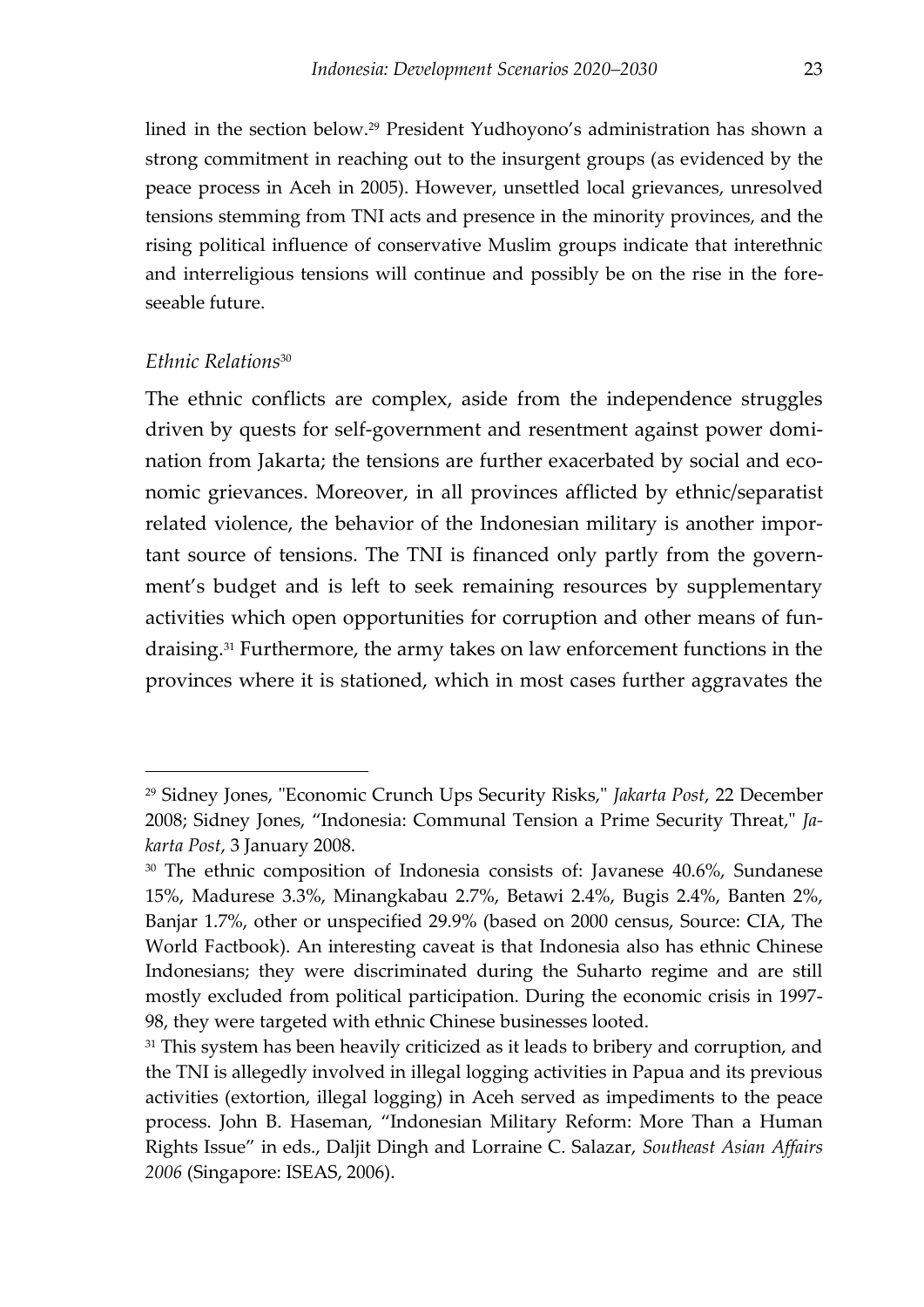lined in the section below.<sup>29</sup> President Yudhoyono's administration has shown a strong commitment in reaching out to the insurgent groups (as evidenced by the peace process in Aceh in 2005). However, unsettled local grievances, unresolved tensions stemming from TNI acts and presence in the minority provinces, and the rising political influence of conservative Muslim groups indicate that interethnic and interreligious tensions will continue and possibly be on the rise in the foreseeable future.

#### *Ethnic Relations*<sup>30</sup>

 $\overline{a}$ 

The ethnic conflicts are complex, aside from the independence struggles driven by quests for self-government and resentment against power domination from Jakarta; the tensions are further exacerbated by social and economic grievances. Moreover, in all provinces afflicted by ethnic/separatist related violence, the behavior of the Indonesian military is another important source of tensions. The TNI is financed only partly from the government's budget and is left to seek remaining resources by supplementary activities which open opportunities for corruption and other means of fundraising.<sup>31</sup> Furthermore, the army takes on law enforcement functions in the provinces where it is stationed, which in most cases further aggravates the

<sup>29</sup> Sidney Jones, "Economic Crunch Ups Security Risks," *Jakarta Post*, 22 December 2008; Sidney Jones, 'Indonesia: Communal Tension a Prime Security Threat," *Jakarta Post*, 3 January 2008.

<sup>&</sup>lt;sup>30</sup> The ethnic composition of Indonesia consists of: Javanese 40.6%, Sundanese 15%, Madurese 3.3%, Minangkabau 2.7%, Betawi 2.4%, Bugis 2.4%, Banten 2%, Banjar 1.7%, other or unspecified 29.9% (based on 2000 census, Source: CIA, The World Factbook). An interesting caveat is that Indonesia also has ethnic Chinese Indonesians; they were discriminated during the Suharto regime and are still mostly excluded from political participation. During the economic crisis in 1997- 98, they were targeted with ethnic Chinese businesses looted.

<sup>&</sup>lt;sup>31</sup> This system has been heavily criticized as it leads to bribery and corruption, and the TNI is allegedly involved in illegal logging activities in Papua and its previous activities (extortion, illegal logging) in Aceh served as impediments to the peace process. John B. Haseman, 'Indonesian Military Reform: More Than a Human Rights Issue' in eds., Daljit Dingh and Lorraine C. Salazar, *Southeast Asian Affairs 2006* (Singapore: ISEAS, 2006).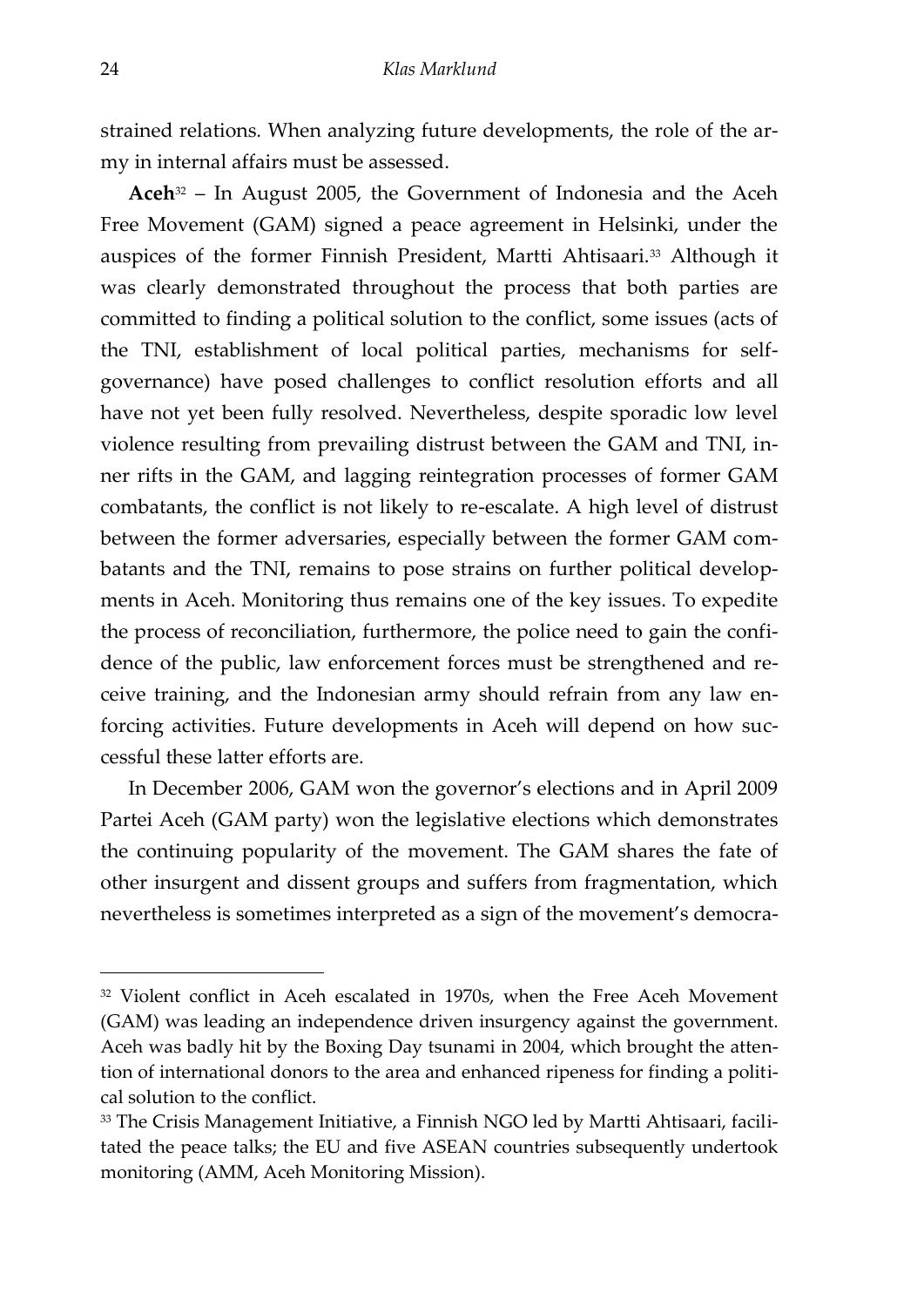strained relations*.* When analyzing future developments, the role of the army in internal affairs must be assessed.

**Aceh**<sup>32</sup> – In August 2005, the Government of Indonesia and the Aceh Free Movement (GAM) signed a peace agreement in Helsinki, under the auspices of the former Finnish President, Martti Ahtisaari.<sup>33</sup> Although it was clearly demonstrated throughout the process that both parties are committed to finding a political solution to the conflict, some issues (acts of the TNI, establishment of local political parties, mechanisms for selfgovernance) have posed challenges to conflict resolution efforts and all have not yet been fully resolved. Nevertheless, despite sporadic low level violence resulting from prevailing distrust between the GAM and TNI, inner rifts in the GAM, and lagging reintegration processes of former GAM combatants, the conflict is not likely to re-escalate. A high level of distrust between the former adversaries, especially between the former GAM combatants and the TNI, remains to pose strains on further political developments in Aceh. Monitoring thus remains one of the key issues. To expedite the process of reconciliation, furthermore, the police need to gain the confidence of the public, law enforcement forces must be strengthened and receive training, and the Indonesian army should refrain from any law enforcing activities. Future developments in Aceh will depend on how successful these latter efforts are.

In December 2006, GAM won the governor's elections and in April 2009 Partei Aceh (GAM party) won the legislative elections which demonstrates the continuing popularity of the movement. The GAM shares the fate of other insurgent and dissent groups and suffers from fragmentation, which nevertheless is sometimes interpreted as a sign of the movement's democra-

<sup>32</sup> Violent conflict in Aceh escalated in 1970s, when the Free Aceh Movement (GAM) was leading an independence driven insurgency against the government. Aceh was badly hit by the Boxing Day tsunami in 2004, which brought the attention of international donors to the area and enhanced ripeness for finding a political solution to the conflict.

<sup>&</sup>lt;sup>33</sup> The Crisis Management Initiative, a Finnish NGO led by Martti Ahtisaari, facilitated the peace talks; the EU and five ASEAN countries subsequently undertook monitoring (AMM, Aceh Monitoring Mission).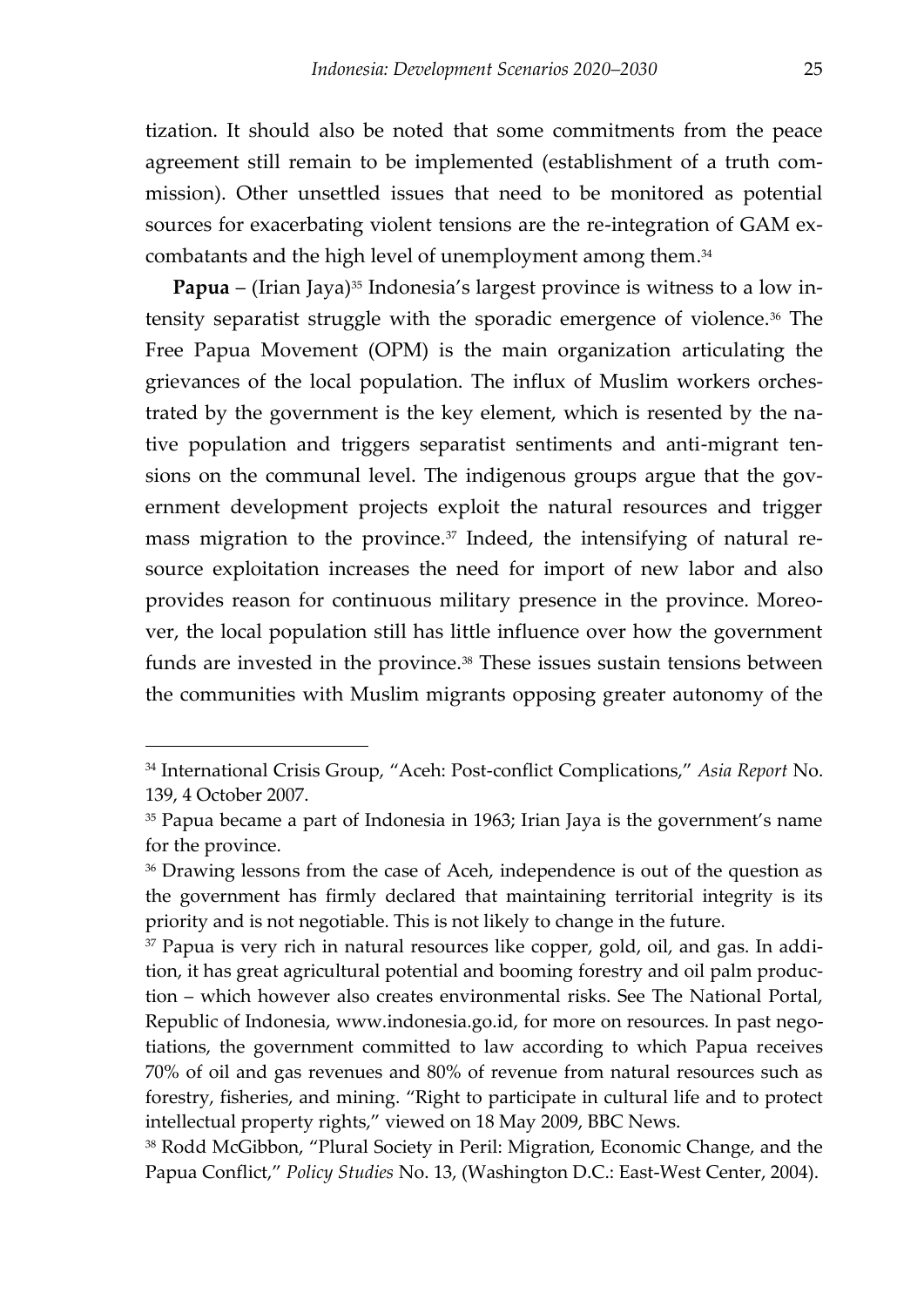tization. It should also be noted that some commitments from the peace agreement still remain to be implemented (establishment of a truth commission). Other unsettled issues that need to be monitored as potential sources for exacerbating violent tensions are the re-integration of GAM excombatants and the high level of unemployment among them. 34

**Papua** – (Irian Jaya)<sup>35</sup> Indonesia's largest province is witness to a low intensity separatist struggle with the sporadic emergence of violence.<sup>36</sup> The Free Papua Movement (OPM) is the main organization articulating the grievances of the local population. The influx of Muslim workers orchestrated by the government is the key element, which is resented by the native population and triggers separatist sentiments and anti-migrant tensions on the communal level. The indigenous groups argue that the government development projects exploit the natural resources and trigger mass migration to the province.<sup>37</sup> Indeed, the intensifying of natural resource exploitation increases the need for import of new labor and also provides reason for continuous military presence in the province. Moreover, the local population still has little influence over how the government funds are invested in the province.<sup>38</sup> These issues sustain tensions between the communities with Muslim migrants opposing greater autonomy of the

<sup>34</sup> International Crisis Group, 'Aceh: Post-conflict Complications,' *Asia Report* No. 139, 4 October 2007.

<sup>&</sup>lt;sup>35</sup> Papua became a part of Indonesia in 1963; Irian Jaya is the government's name for the province.

<sup>&</sup>lt;sup>36</sup> Drawing lessons from the case of Aceh, independence is out of the question as the government has firmly declared that maintaining territorial integrity is its priority and is not negotiable. This is not likely to change in the future.

<sup>&</sup>lt;sup>37</sup> Papua is very rich in natural resources like copper, gold, oil, and gas. In addition, it has great agricultural potential and booming forestry and oil palm production – which however also creates environmental risks. See The National Portal, Republic of Indonesia, www.indonesia.go.id, for more on resources. In past negotiations, the government committed to law according to which Papua receives 70% of oil and gas revenues and 80% of revenue from natural resources such as forestry, fisheries, and mining. 'Right to participate in cultural life and to protect intellectual property rights," viewed on 18 May 2009, BBC News.

<sup>38</sup> Rodd McGibbon, 'Plural Society in Peril: Migration, Economic Change, and the Papua Conflict,' *Policy Studies* No. 13, (Washington D.C.: East-West Center, 2004).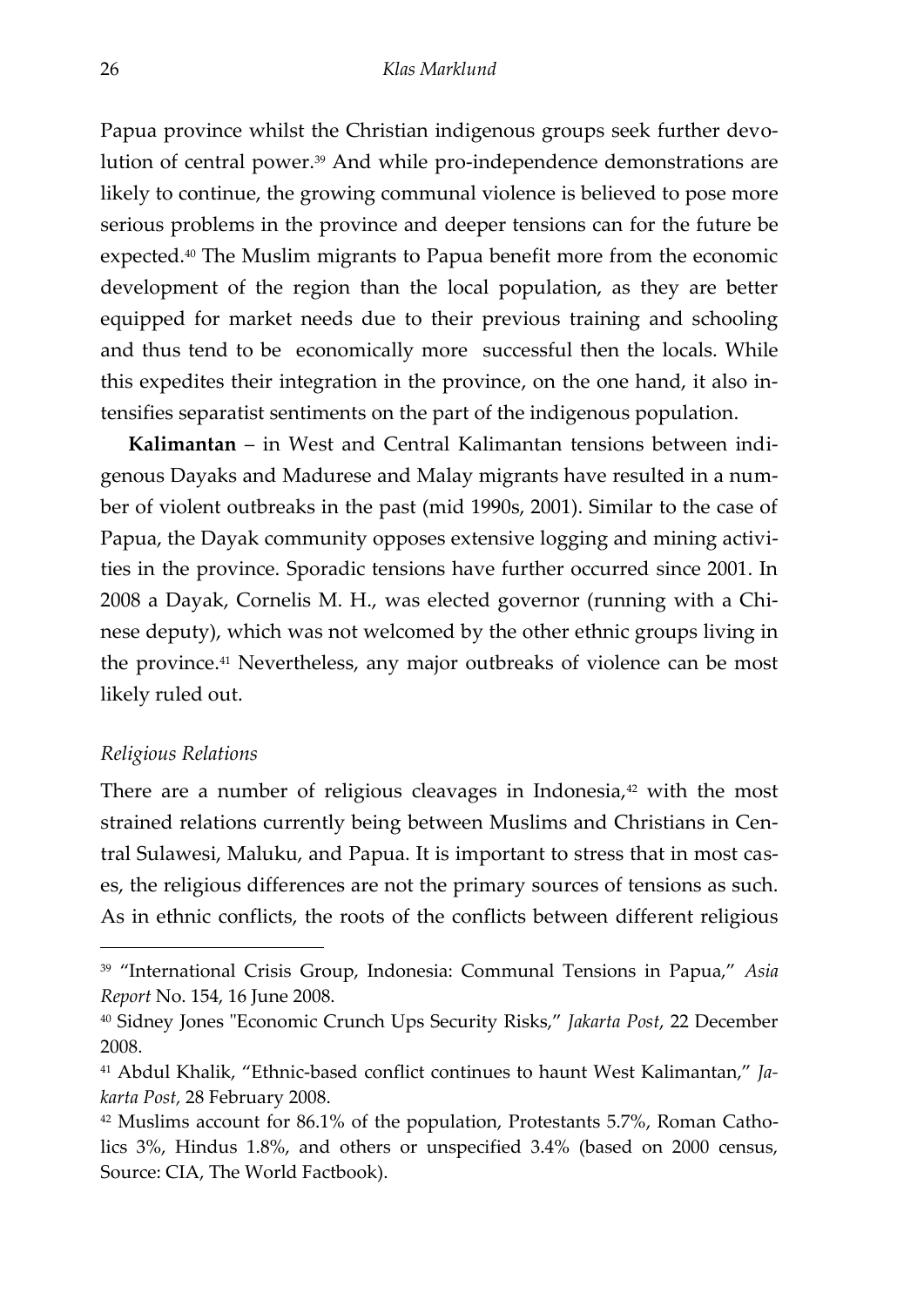Papua province whilst the Christian indigenous groups seek further devolution of central power.<sup>39</sup> And while pro-independence demonstrations are likely to continue, the growing communal violence is believed to pose more serious problems in the province and deeper tensions can for the future be expected.<sup>40</sup> The Muslim migrants to Papua benefit more from the economic development of the region than the local population, as they are better equipped for market needs due to their previous training and schooling and thus tend to be economically more successful then the locals. While this expedites their integration in the province, on the one hand, it also intensifies separatist sentiments on the part of the indigenous population.

**Kalimantan** – in West and Central Kalimantan tensions between indigenous Dayaks and Madurese and Malay migrants have resulted in a number of violent outbreaks in the past (mid 1990s, 2001). Similar to the case of Papua, the Dayak community opposes extensive logging and mining activities in the province. Sporadic tensions have further occurred since 2001. In 2008 a Dayak, Cornelis M. H., was elected governor (running with a Chinese deputy), which was not welcomed by the other ethnic groups living in the province.<sup>41</sup> Nevertheless, any major outbreaks of violence can be most likely ruled out.

#### *Religious Relations*

-

There are a number of religious cleavages in Indonesia, $42$  with the most strained relations currently being between Muslims and Christians in Central Sulawesi, Maluku, and Papua. It is important to stress that in most cases, the religious differences are not the primary sources of tensions as such. As in ethnic conflicts, the roots of the conflicts between different religious

<sup>39</sup> 'International Crisis Group, Indonesia: Communal Tensions in Papua,' *Asia Report* No. 154, 16 June 2008.

<sup>40</sup> Sidney Jones "Economic Crunch Ups Security Risks,' *Jakarta Post*, 22 December 2008.

<sup>41</sup> Abdul Khalik, 'Ethnic-based conflict continues to haunt West Kalimantan,' *Jakarta Post,* 28 February 2008.

<sup>42</sup> Muslims account for 86.1% of the population, Protestants 5.7%, Roman Catholics 3%, Hindus 1.8%, and others or unspecified 3.4% (based on 2000 census, Source: CIA, The World Factbook).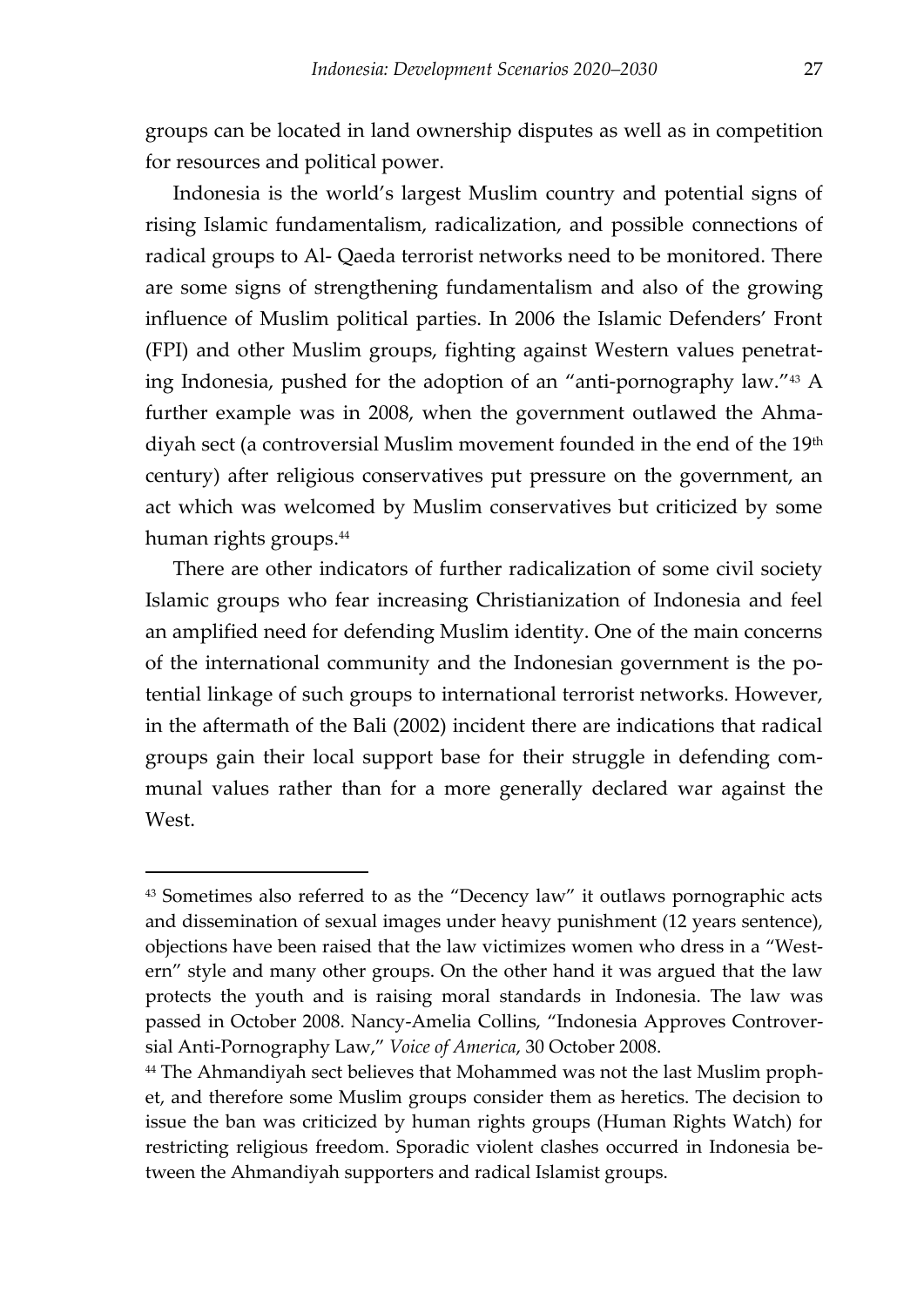<span id="page-28-0"></span>groups can be located in land ownership disputes as well as in competition for resources and political power.

<span id="page-28-1"></span>Indonesia is the world's largest Muslim country and potential signs of rising Islamic fundamentalism, radicalization, and possible connections of radical groups to Al- Qaeda terrorist networks need to be monitored. There are some signs of strengthening fundamentalism and also of the growing influence of Muslim political parties. In 2006 the Islamic Defenders' Front (FPI) and other Muslim groups, fighting against Western values penetrating Indonesia, pushed for the adoption of an 'anti-pornography law.' <sup>43</sup> A further example was in 2008, when the government outlawed the Ahmadiyah sect (a controversial Muslim movement founded in the end of the 19<sup>th</sup> century) after religious conservatives put pressure on the government, an act which was welcomed by Muslim conservatives but criticized by some human rights groups.<sup>44</sup>

There are other indicators of further radicalization of some civil society Islamic groups who fear increasing Christianization of Indonesia and feel an amplified need for defending Muslim identity. One of the main concerns of the international community and the Indonesian government is the potential linkage of such groups to international terrorist networks. However, in the aftermath of the Bali (2002) incident there are indications that radical groups gain their local support base for their struggle in defending communal values rather than for a more generally declared war against the West.

<sup>43</sup> Sometimes also referred to as the 'Decency law' it outlaws pornographic acts and dissemination of sexual images under heavy punishment (12 years sentence), objections have been raised that the law victimizes women who dress in a 'Western' style and many other groups. On the other hand it was argued that the law protects the youth and is raising moral standards in Indonesia. The law was passed in October 2008. Nancy-Amelia Collins, 'Indonesia Approves Controversial Anti-Pornography Law,' *Voice of America*, 30 October 2008.

<sup>&</sup>lt;sup>44</sup> The Ahmandiyah sect believes that Mohammed was not the last Muslim prophet, and therefore some Muslim groups consider them as heretics. The decision to issue the ban was criticized by human rights groups (Human Rights Watch) for restricting religious freedom. Sporadic violent clashes occurred in Indonesia between the Ahmandiyah supporters and radical Islamist groups.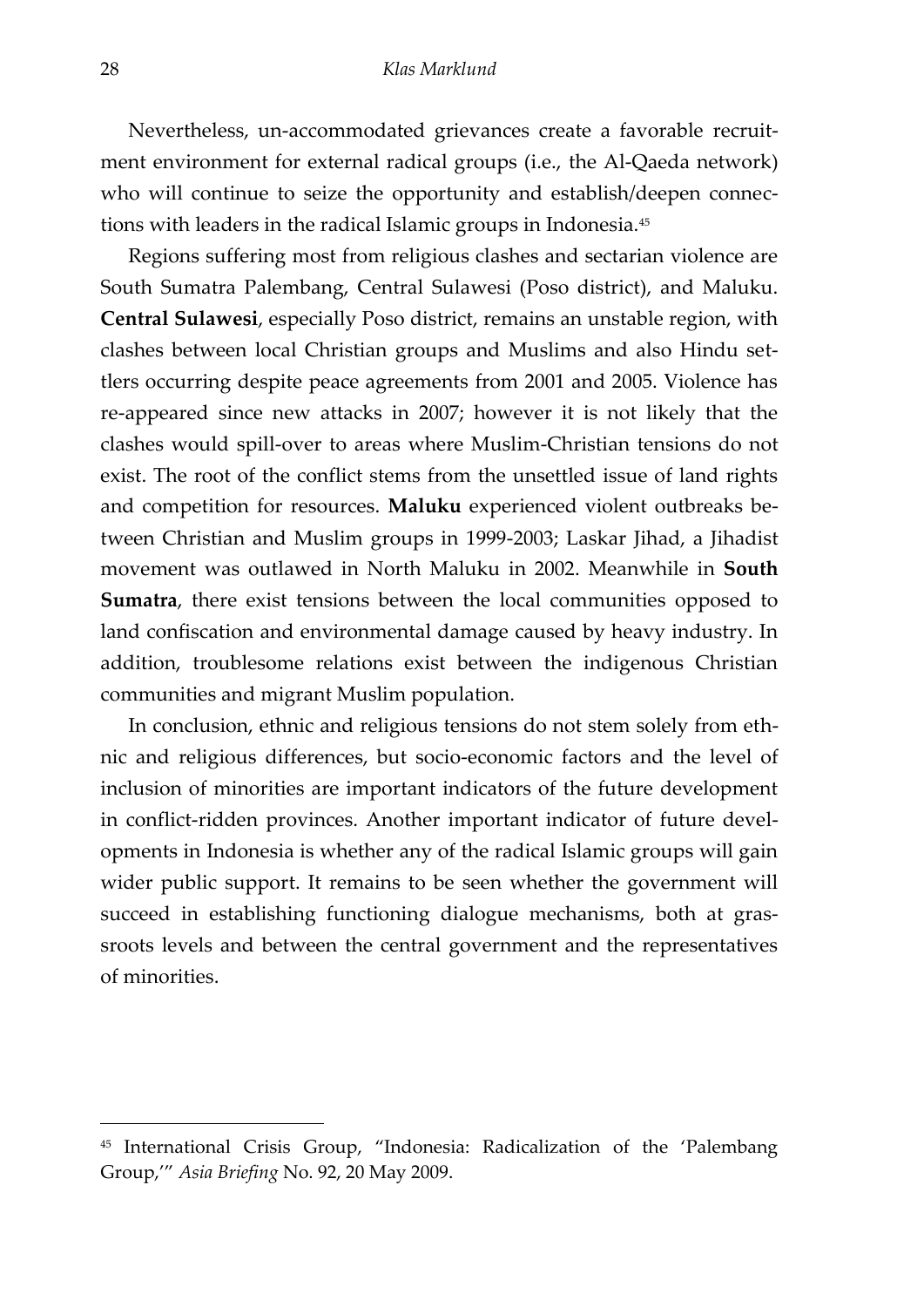Nevertheless, un-accommodated grievances create a favorable recruitment environment for external radical groups (i.e., the Al-Qaeda network) who will continue to seize the opportunity and establish/deepen connections with leaders in the radical Islamic groups in Indonesia.<sup>45</sup>

<span id="page-29-0"></span>Regions suffering most from religious clashes and sectarian violence are South Sumatra Palembang, Central Sulawesi (Poso district), and Maluku. **Central Sulawesi**, especially Poso district, remains an unstable region, with clashes between local Christian groups and Muslims and also Hindu settlers occurring despite peace agreements from 2001 and 2005. Violence has re-appeared since new attacks in 2007; however it is not likely that the clashes would spill-over to areas where Muslim-Christian tensions do not exist. The root of the conflict stems from the unsettled issue of land rights and competition for resources. **Maluku** experienced violent outbreaks between Christian and Muslim groups in 1999-2003; Laskar Jihad, a Jihadist movement was outlawed in North Maluku in 2002. Meanwhile in **South Sumatra**, there exist tensions between the local communities opposed to land confiscation and environmental damage caused by heavy industry. In addition, troublesome relations exist between the indigenous Christian communities and migrant Muslim population.

In conclusion, ethnic and religious tensions do not stem solely from ethnic and religious differences, but socio-economic factors and the level of inclusion of minorities are important indicators of the future development in conflict-ridden provinces. Another important indicator of future developments in Indonesia is whether any of the radical Islamic groups will gain wider public support. It remains to be seen whether the government will succeed in establishing functioning dialogue mechanisms, both at grassroots levels and between the central government and the representatives of minorities.

<sup>45</sup> International Crisis Group, 'Indonesia: Radicalization of the 'Palembang Group,'' *Asia Briefing* No. 92, 20 May 2009.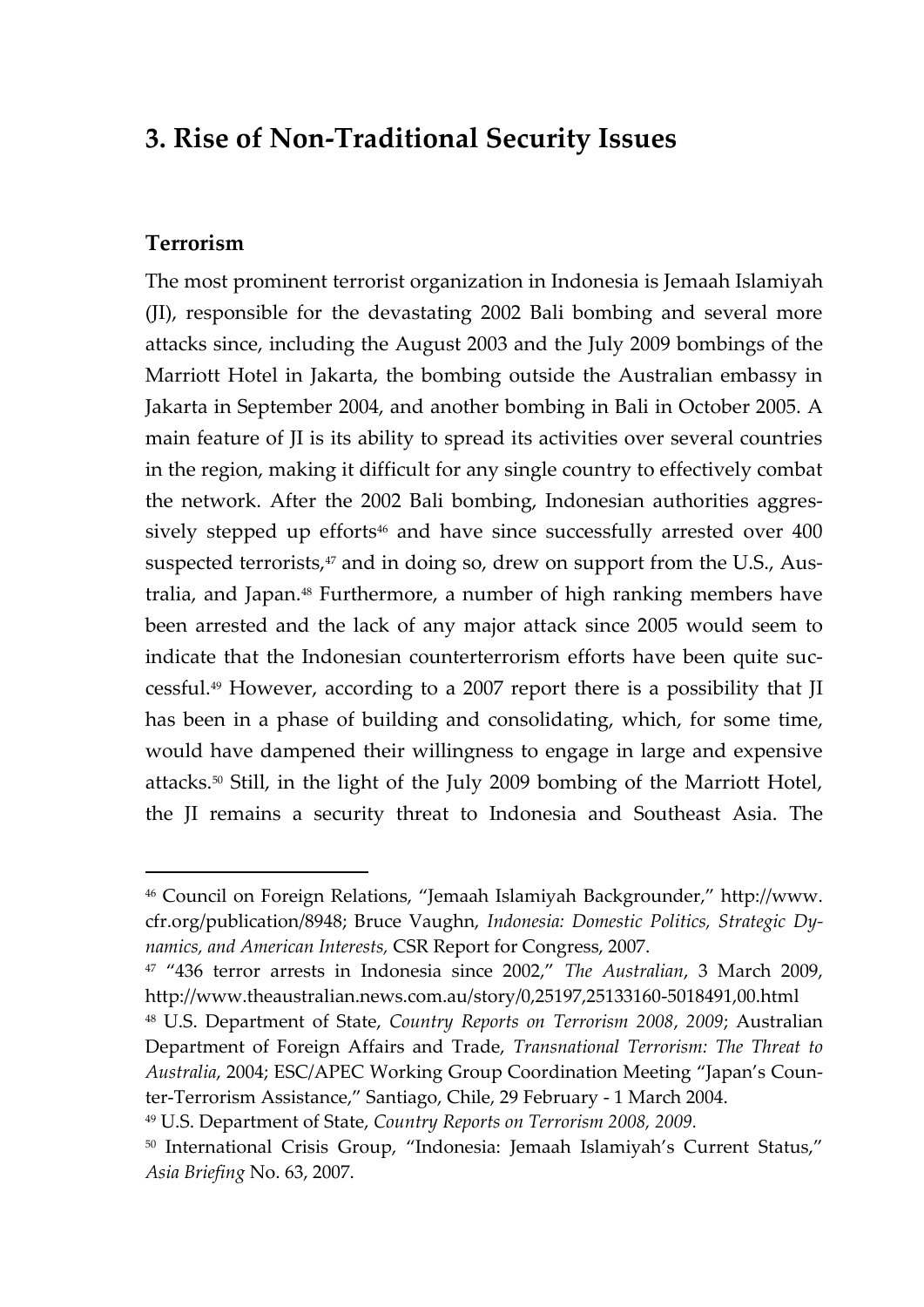## **3. Rise of Non-Traditional Security Issues**

#### **Terrorism**

 $\overline{a}$ 

The most prominent terrorist organization in Indonesia is Jemaah Islamiyah (JI), responsible for the devastating 2002 Bali bombing and several more attacks since, including the August 2003 and the July 2009 bombings of the Marriott Hotel in Jakarta, the bombing outside the Australian embassy in Jakarta in September 2004, and another bombing in Bali in October 2005. A main feature of JI is its ability to spread its activities over several countries in the region, making it difficult for any single country to effectively combat the network. After the 2002 Bali bombing, Indonesian authorities aggressively stepped up efforts<sup>46</sup> and have since successfully arrested over 400 suspected terrorists,<sup>47</sup> and in doing so, drew on support from the U.S., Australia, and Japan.<sup>48</sup> Furthermore, a number of high ranking members have been arrested and the lack of any major attack since 2005 would seem to indicate that the Indonesian counterterrorism efforts have been quite successful.<sup>49</sup> However, according to a 2007 report there is a possibility that JI has been in a phase of building and consolidating, which, for some time, would have dampened their willingness to engage in large and expensive attacks.<sup>50</sup> Still, in the light of the July 2009 bombing of the Marriott Hotel, the JI remains a security threat to Indonesia and Southeast Asia. The

<sup>46</sup> Council on Foreign Relations, 'Jemaah Islamiyah Backgrounder,' http://www. cfr.org/publication/8948; Bruce Vaughn, *Indonesia: Domestic Politics, Strategic Dynamics, and American Interests,* CSR Report for Congress, 2007.

<sup>47</sup> '436 terror arrests in Indonesia since 2002,' *The Australian*, 3 March 2009, http://www.theaustralian.news.com.au/story/0,25197,25133160-5018491,00.html

<sup>48</sup> U.S. Department of State, *Country Reports on Terrorism 2008*, *2009*; Australian Department of Foreign Affairs and Trade, *Transnational Terrorism: The Threat to Australia*, 2004; ESC/APEC Working Group Coordination Meeting 'Japan's Counter-Terrorism Assistance,' Santiago, Chile, 29 February - 1 March 2004.

<sup>49</sup> U.S. Department of State, *Country Reports on Terrorism 2008, 2009.*

<sup>50</sup> International Crisis Group, "Indonesia: Jemaah Islamiyah's Current Status," *Asia Briefing* No. 63, 2007.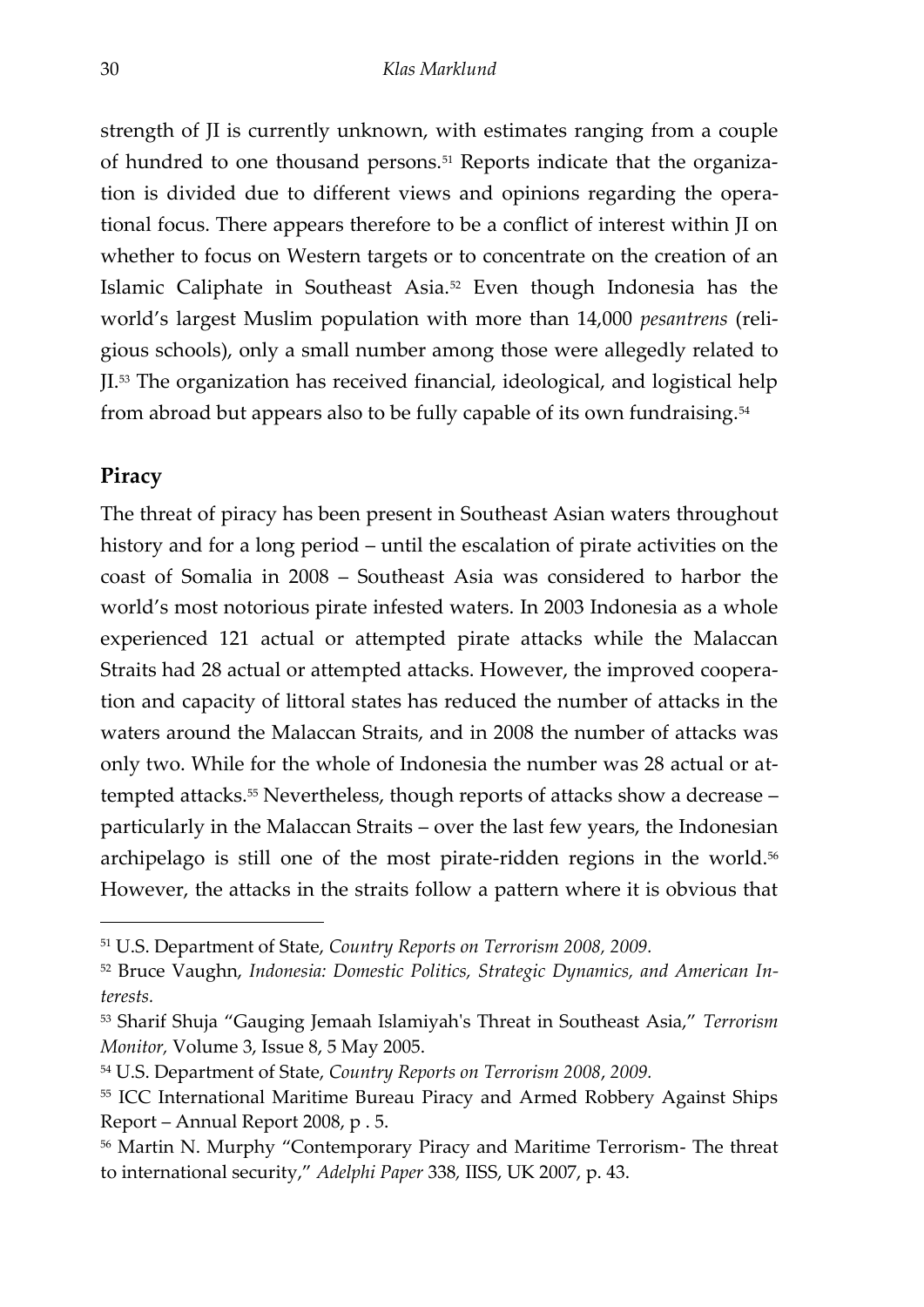strength of JI is currently unknown, with estimates ranging from a couple of hundred to one thousand persons.<sup>51</sup> Reports indicate that the organization is divided due to different views and opinions regarding the operational focus. There appears therefore to be a conflict of interest within JI on whether to focus on Western targets or to concentrate on the creation of an Islamic Caliphate in Southeast Asia.<sup>52</sup> Even though Indonesia has the world's largest Muslim population with more than 14,000 *pesantrens* (religious schools), only a small number among those were allegedly related to JI.<sup>53</sup> The organization has received financial, ideological, and logistical help from abroad but appears also to be fully capable of its own fundraising.<sup>54</sup>

#### **Piracy**

-

<span id="page-31-0"></span>The threat of piracy has been present in Southeast Asian waters throughout history and for a long period – until the escalation of pirate activities on the coast of Somalia in 2008 – Southeast Asia was considered to harbor the world's most notorious pirate infested waters. In 2003 Indonesia as a whole experienced 121 actual or attempted pirate attacks while the Malaccan Straits had 28 actual or attempted attacks. However, the improved cooperation and capacity of littoral states has reduced the number of attacks in the waters around the Malaccan Straits, and in 2008 the number of attacks was only two. While for the whole of Indonesia the number was 28 actual or attempted attacks.<sup>55</sup> Nevertheless, though reports of attacks show a decrease – particularly in the Malaccan Straits – over the last few years, the Indonesian archipelago is still one of the most pirate-ridden regions in the world.<sup>56</sup> However, the attacks in the straits follow a pattern where it is obvious that

<sup>51</sup> U.S. Department of State, *Country Reports on Terrorism 2008, 2009.*

<sup>52</sup> Bruce Vaughn, *Indonesia: Domestic Politics, Strategic Dynamics, and American Interests.*

<sup>53</sup> Sharif Shuja 'Gauging Jemaah Islamiyah's Threat in Southeast Asia,' *Terrorism Monitor,* Volume 3, Issue 8, 5 May 2005.

<sup>54</sup> U.S. Department of State, *Country Reports on Terrorism 2008*, *2009.*

<sup>55</sup> ICC International Maritime Bureau Piracy and Armed Robbery Against Ships Report – Annual Report 2008, p . 5.

<sup>56</sup> Martin N. Murphy 'Contemporary Piracy and Maritime Terrorism- The threat to international security,' *Adelphi Paper* 338*,* IISS, UK 2007, p. 43.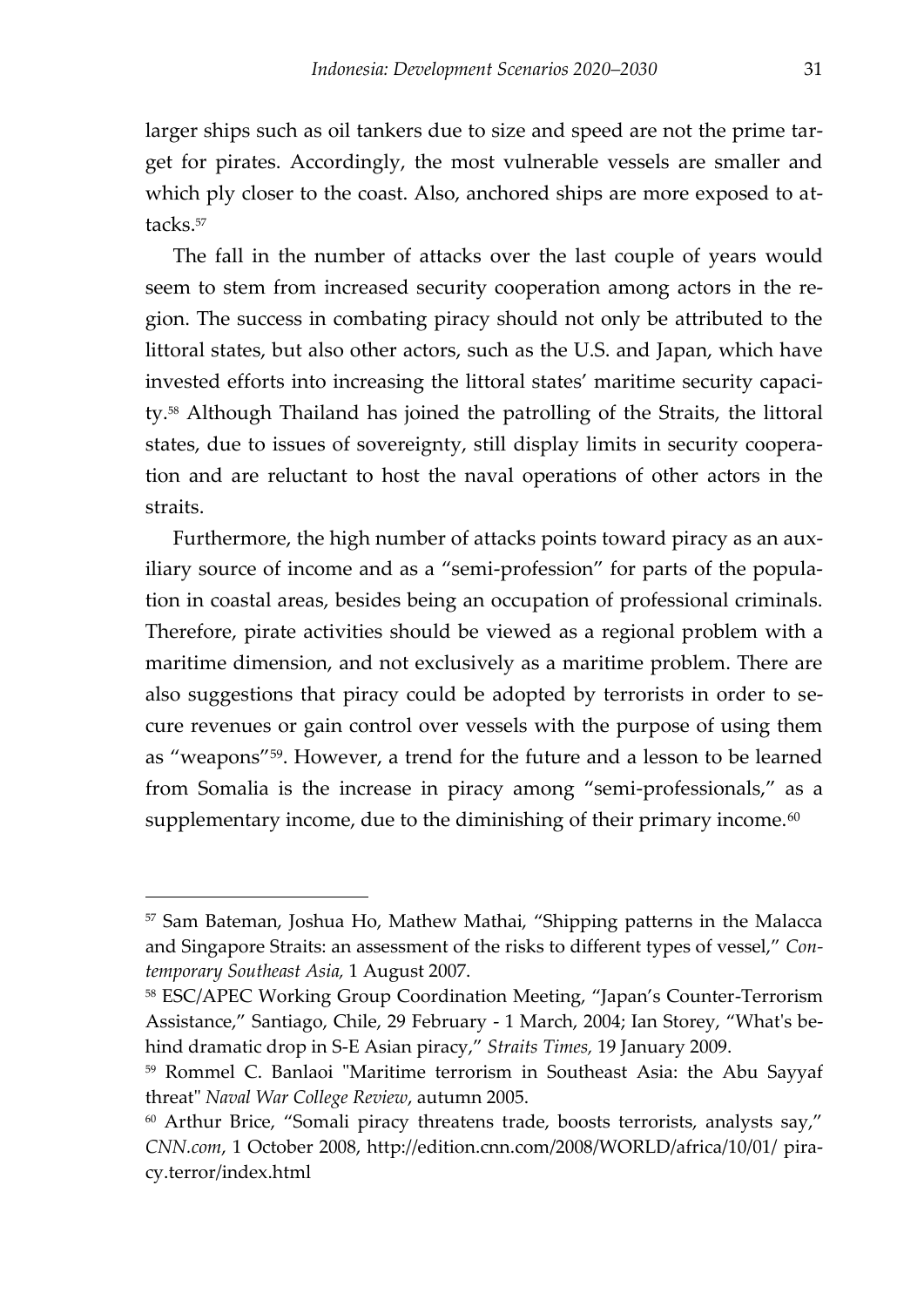larger ships such as oil tankers due to size and speed are not the prime target for pirates. Accordingly, the most vulnerable vessels are smaller and which ply closer to the coast. Also, anchored ships are more exposed to attacks.<sup>57</sup>

The fall in the number of attacks over the last couple of years would seem to stem from increased security cooperation among actors in the region. The success in combating piracy should not only be attributed to the littoral states, but also other actors, such as the U.S. and Japan, which have invested efforts into increasing the littoral states' maritime security capacity.<sup>58</sup> Although Thailand has joined the patrolling of the Straits, the littoral states, due to issues of sovereignty, still display limits in security cooperation and are reluctant to host the naval operations of other actors in the straits.

Furthermore, the high number of attacks points toward piracy as an auxiliary source of income and as a "semi-profession" for parts of the population in coastal areas, besides being an occupation of professional criminals. Therefore, pirate activities should be viewed as a regional problem with a maritime dimension, and not exclusively as a maritime problem. There are also suggestions that piracy could be adopted by terrorists in order to secure revenues or gain control over vessels with the purpose of using them as "weapons"<sup>59</sup>. However, a trend for the future and a lesson to be learned from Somalia is the increase in piracy among 'semi-professionals,' as a supplementary income, due to the diminishing of their primary income. $^{60}$ 

<sup>57</sup> Sam Bateman, Joshua Ho, Mathew Mathai, 'Shipping patterns in the Malacca and Singapore Straits: an assessment of the risks to different types of vessel,' *Contemporary Southeast Asia,* 1 August 2007.

<sup>58</sup> ESC/APEC Working Group Coordination Meeting, 'Japan's Counter-Terrorism Assistance,' Santiago, Chile, 29 February - 1 March, 2004; Ian Storey, 'What's behind dramatic drop in S-E Asian piracy,' *Straits Times,* 19 January 2009.

<sup>59</sup> Rommel C. Banlaoi "Maritime terrorism in Southeast Asia: the Abu Sayyaf threat" *Naval War College Review*, autumn 2005.

<sup>&</sup>lt;sup>60</sup> Arthur Brice, "Somali piracy threatens trade, boosts terrorists, analysts say," *CNN.com*, 1 October 2008, http://edition.cnn.com/2008/WORLD/africa/10/01/ piracy.terror/index.html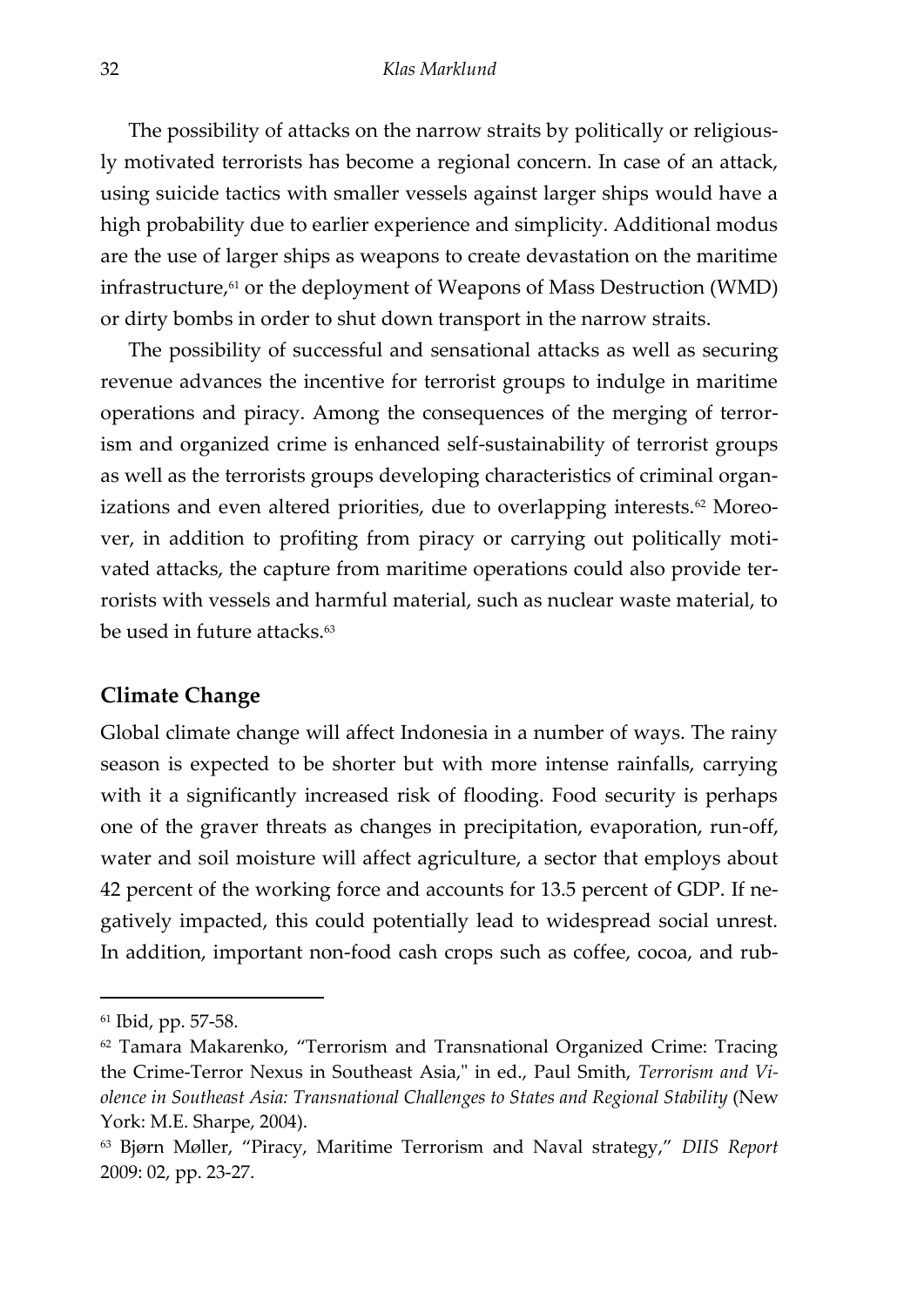The possibility of attacks on the narrow straits by politically or religiously motivated terrorists has become a regional concern. In case of an attack, using suicide tactics with smaller vessels against larger ships would have a high probability due to earlier experience and simplicity. Additional modus are the use of larger ships as weapons to create devastation on the maritime infrastructure, <sup>61</sup> or the deployment of Weapons of Mass Destruction (WMD) or dirty bombs in order to shut down transport in the narrow straits.

The possibility of successful and sensational attacks as well as securing revenue advances the incentive for terrorist groups to indulge in maritime operations and piracy. Among the consequences of the merging of terrorism and organized crime is enhanced self-sustainability of terrorist groups as well as the terrorists groups developing characteristics of criminal organizations and even altered priorities, due to overlapping interests.<sup>62</sup> Moreover, in addition to profiting from piracy or carrying out politically motivated attacks, the capture from maritime operations could also provide terrorists with vessels and harmful material, such as nuclear waste material, to be used in future attacks.<sup>63</sup>

#### **Climate Change**

Global climate change will affect Indonesia in a number of ways. The rainy season is expected to be shorter but with more intense rainfalls, carrying with it a significantly increased risk of flooding. Food security is perhaps one of the graver threats as changes in precipitation, evaporation, run-off, water and soil moisture will affect agriculture, a sector that employs about 42 percent of the working force and accounts for 13.5 percent of GDP. If negatively impacted, this could potentially lead to widespread social unrest. In addition, important non-food cash crops such as coffee, cocoa, and rub-

<sup>61</sup> Ibid, pp. 57-58.

<sup>62</sup> Tamara Makarenko, 'Terrorism and Transnational Organized Crime: Tracing the Crime-Terror Nexus in Southeast Asia," in ed., Paul Smith, *Terrorism and Violence in Southeast Asia: Transnational Challenges to States and Regional Stability* (New York: M.E. Sharpe, 2004).

<sup>63</sup> Bjørn Møller, 'Piracy, Maritime Terrorism and Naval strategy,' *DIIS Report* 2009: 02, pp. 23-27.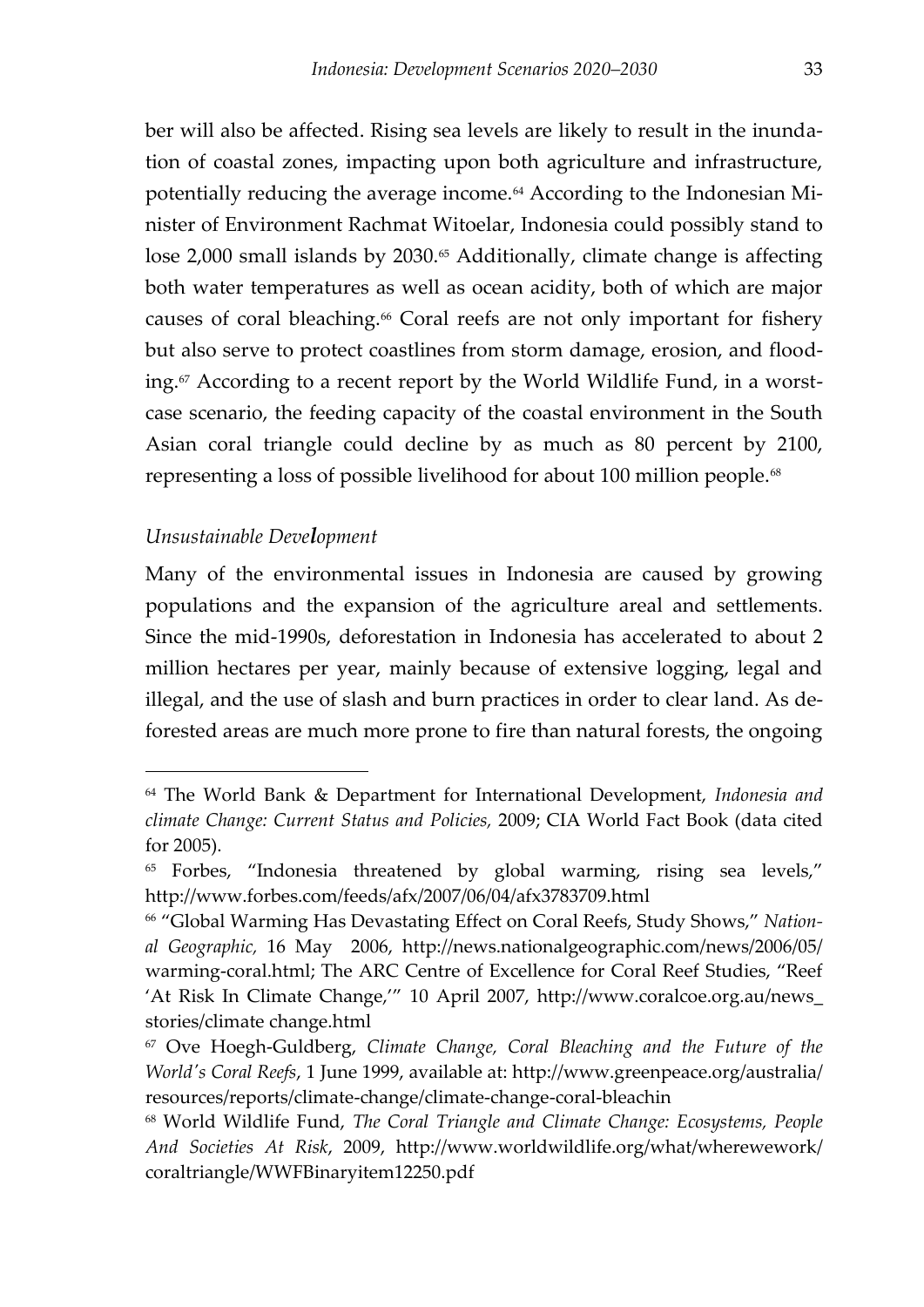ber will also be affected. Rising sea levels are likely to result in the inundation of coastal zones, impacting upon both agriculture and infrastructure, potentially reducing the average income.<sup>64</sup> According to the Indonesian Minister of Environment Rachmat Witoelar, Indonesia could possibly stand to lose 2,000 small islands by 2030.<sup>65</sup> Additionally, climate change is affecting both water temperatures as well as ocean acidity, both of which are major causes of coral bleaching.<sup>66</sup> Coral reefs are not only important for fishery but also serve to protect coastlines from storm damage, erosion, and flooding.<sup>67</sup> According to a recent report by the World Wildlife Fund, in a worstcase scenario, the feeding capacity of the coastal environment in the South Asian coral triangle could decline by as much as 80 percent by 2100, representing a loss of possible livelihood for about 100 million people.<sup>68</sup>

#### *Unsustainable Development*

 $\overline{a}$ 

Many of the environmental issues in Indonesia are caused by growing populations and the expansion of the agriculture areal and settlements. Since the mid-1990s, deforestation in Indonesia has accelerated to about 2 million hectares per year, mainly because of extensive logging, legal and illegal, and the use of slash and burn practices in order to clear land. As deforested areas are much more prone to fire than natural forests, the ongoing

<span id="page-34-0"></span><sup>64</sup> The World Bank & Department for International Development, *Indonesia and climate Change: Current Status and Policies,* 2009; CIA World Fact Book (data cited for 2005).

<sup>&</sup>lt;sup>65</sup> Forbes, "Indonesia threatened by global warming, rising sea levels," http://www.forbes.com/feeds/afx/2007/06/04/afx3783709.html

<sup>66</sup> 'Global Warming Has Devastating Effect on Coral Reefs, Study Shows,' *National Geographic,* 16 May 2006, http://news.nationalgeographic.com/news/2006/05/ warming-coral.html; The ARC Centre of Excellence for Coral Reef Studies, 'Reef 'At Risk In Climate Change,'' 10 April 2007, http://www.coralcoe.org.au/news\_ stories/climate change.html

<sup>67</sup> Ove Hoegh-Guldberg, *Climate Change, Coral Bleaching and the Future of the World's Coral Reefs*, 1 June 1999, available at: http://www.greenpeace.org/australia/ resources/reports/climate-change/climate-change-coral-bleachin

<sup>68</sup> World Wildlife Fund, *The Coral Triangle and Climate Change: Ecosystems, People And Societies At Risk*, 2009, http://www.worldwildlife.org/what/wherewework/ coraltriangle/WWFBinaryitem12250.pdf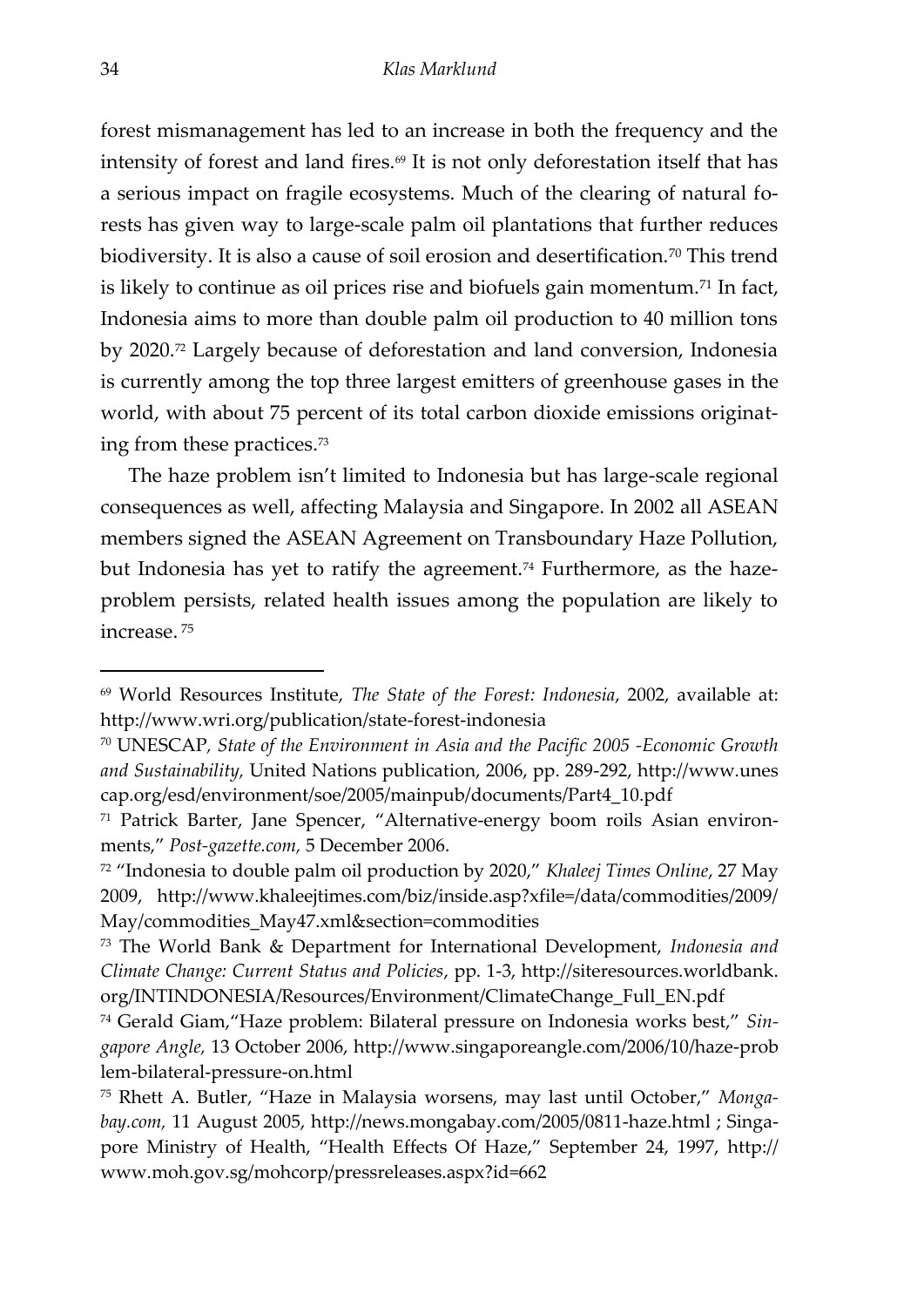forest mismanagement has led to an increase in both the frequency and the intensity of forest and land fires. $\theta$  It is not only deforestation itself that has a serious impact on fragile ecosystems. Much of the clearing of natural forests has given way to large-scale palm oil plantations that further reduces biodiversity. It is also a cause of soil erosion and desertification.<sup>70</sup> This trend is likely to continue as oil prices rise and biofuels gain momentum.<sup>71</sup> In fact, Indonesia aims to more than double palm oil production to 40 million tons by 2020.<sup>72</sup> Largely because of deforestation and land conversion, Indonesia is currently among the top three largest emitters of greenhouse gases in the world, with about 75 percent of its total carbon dioxide emissions originating from these practices.<sup>73</sup>

The haze problem isn't limited to Indonesia but has large-scale regional consequences as well, affecting Malaysia and Singapore. In 2002 all ASEAN members signed the ASEAN Agreement on Transboundary Haze Pollution, but Indonesia has yet to ratify the agreement.<sup>74</sup> Furthermore, as the hazeproblem persists, related health issues among the population are likely to increase. <sup>75</sup>

<sup>69</sup> World Resources Institute, *The State of the Forest: Indonesia*, 2002, available at: http://www.wri.org/publication/state-forest-indonesia

<sup>70</sup> UNESCAP*, State of the Environment in Asia and the Pacific 2005 -Economic Growth and Sustainability,* United Nations publication, 2006, pp. 289-292, http://www.unes cap.org/esd/environment/soe/2005/mainpub/documents/Part4\_10.pdf

<sup>71</sup> Patrick Barter, Jane Spencer, 'Alternative-energy boom roils Asian environments,' *Post-gazette.com,* 5 December 2006.

<sup>72</sup> 'Indonesia to double palm oil production by 2020,' *Khaleej Times Online*, 27 May 2009, http://www.khaleejtimes.com/biz/inside.asp?xfile=/data/commodities/2009/ May/commodities\_May47.xml&section=commodities

<sup>73</sup> The World Bank & Department for International Development, *Indonesia and Climate Change: Current Status and Policies*, pp. 1-3, http://siteresources.worldbank. org/INTINDONESIA/Resources/Environment/ClimateChange\_Full\_EN.pdf

<sup>74</sup> Gerald Giam,'Haze problem: Bilateral pressure on Indonesia works best,' *Singapore Angle,* 13 October 2006, http://www.singaporeangle.com/2006/10/haze-prob lem-bilateral-pressure-on.html

<sup>75</sup> Rhett A. Butler, 'Haze in Malaysia worsens, may last until October,' *Mongabay.com,* 11 August 2005, http://news.mongabay.com/2005/0811-haze.html ; Singapore Ministry of Health, 'Health Effects Of Haze,' September 24, 1997, http:// www.moh.gov.sg/mohcorp/pressreleases.aspx?id=662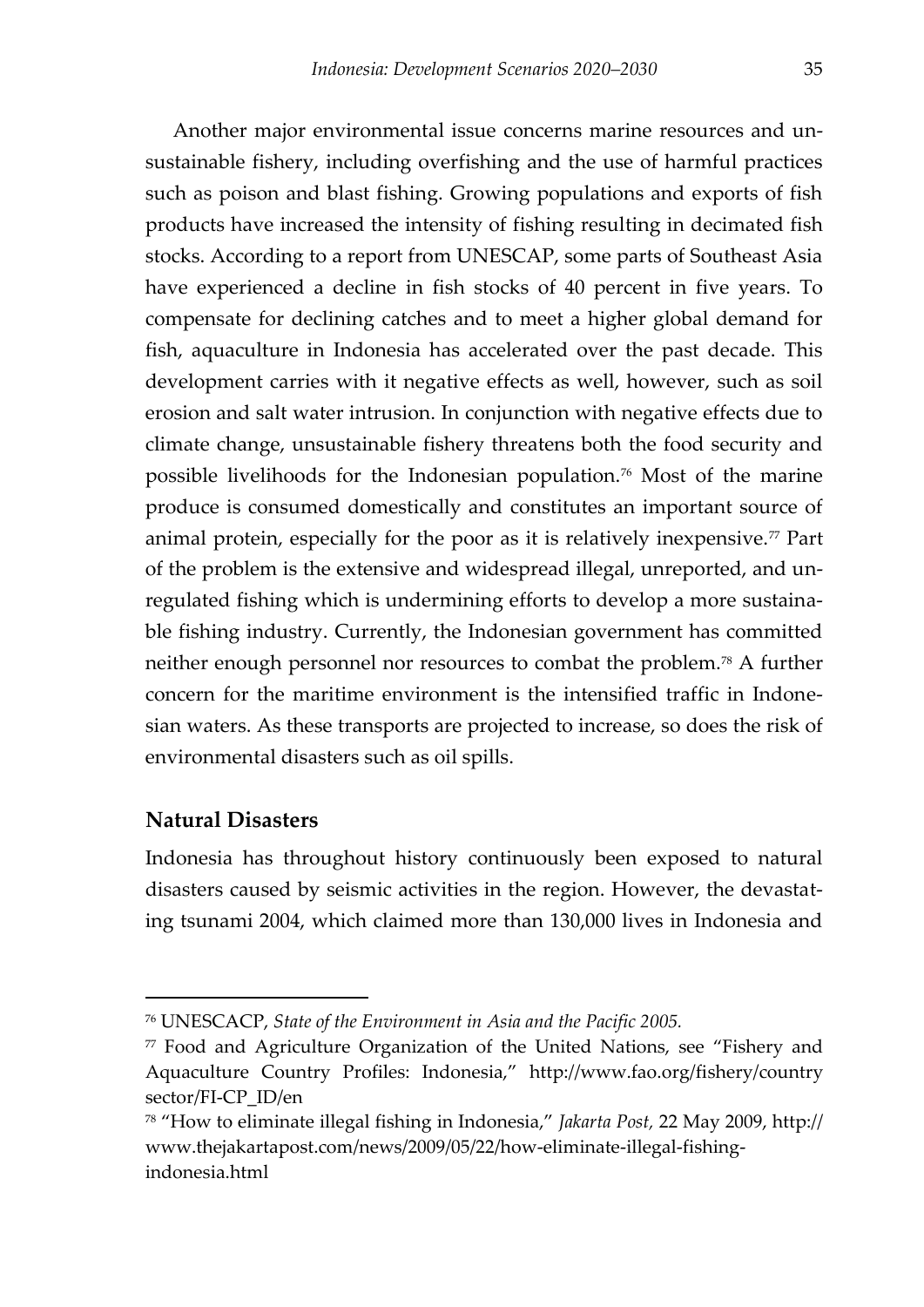<span id="page-36-0"></span>Another major environmental issue concerns marine resources and unsustainable fishery, including overfishing and the use of harmful practices such as poison and blast fishing. Growing populations and exports of fish products have increased the intensity of fishing resulting in decimated fish stocks. According to a report from UNESCAP, some parts of Southeast Asia have experienced a decline in fish stocks of 40 percent in five years. To compensate for declining catches and to meet a higher global demand for fish, aquaculture in Indonesia has accelerated over the past decade. This development carries with it negative effects as well, however, such as soil erosion and salt water intrusion. In conjunction with negative effects due to climate change, unsustainable fishery threatens both the food security and possible livelihoods for the Indonesian population.<sup>76</sup> Most of the marine produce is consumed domestically and constitutes an important source of animal protein, especially for the poor as it is relatively inexpensive.<sup>77</sup> Part of the problem is the extensive and widespread illegal, unreported, and unregulated fishing which is undermining efforts to develop a more sustainable fishing industry. Currently, the Indonesian government has committed neither enough personnel nor resources to combat the problem.<sup>78</sup> A further concern for the maritime environment is the intensified traffic in Indonesian waters. As these transports are projected to increase, so does the risk of environmental disasters such as oil spills.

#### **Natural Disasters**

 $\overline{a}$ 

Indonesia has throughout history continuously been exposed to natural disasters caused by seismic activities in the region. However, the devastating tsunami 2004, which claimed more than 130,000 lives in Indonesia and

<sup>76</sup> UNESCACP, *State of the Environment in Asia and the Pacific 2005.*

<sup>77</sup> Food and Agriculture Organization of the United Nations, see 'Fishery and Aquaculture Country Profiles: Indonesia,' http://www.fao.org/fishery/country sector/FI-CP\_ID/en

<sup>78</sup> 'How to eliminate illegal fishing in Indonesia,' *Jakarta Post,* 22 May 2009, http:// www.thejakartapost.com/news/2009/05/22/how-eliminate-illegal-fishingindonesia.html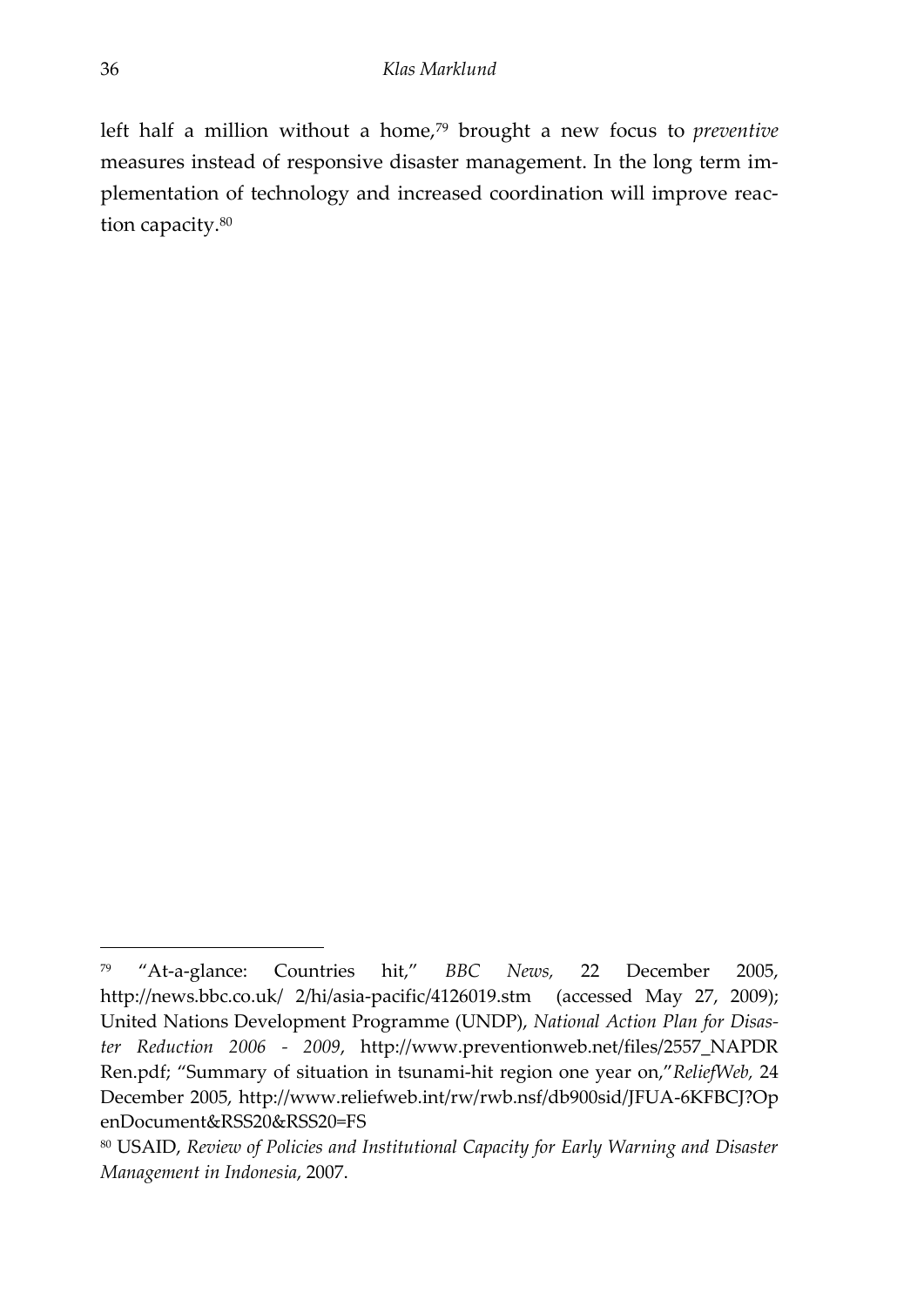left half a million without a home,<sup>79</sup> brought a new focus to *preventive* measures instead of responsive disaster management. In the long term implementation of technology and increased coordination will improve reaction capacity.<sup>80</sup>

<sup>79</sup> 'At-a-glance: Countries hit,' *BBC News,* 22 December 2005, http://news.bbc.co.uk/ 2/hi/asia-pacific/4126019.stm (accessed May 27, 2009); United Nations Development Programme (UNDP), *National Action Plan for Disaster Reduction 2006 - 2009*, http://www.preventionweb.net/files/2557\_NAPDR Ren.pdf; 'Summary of situation in tsunami-hit region one year on,'*ReliefWeb,* 24 December 2005, http://www.reliefweb.int/rw/rwb.nsf/db900sid/JFUA-6KFBCJ?Op enDocument&RSS20&RSS20=FS

<sup>80</sup> USAID, *Review of Policies and Institutional Capacity for Early Warning and Disaster Management in Indonesia*, 2007.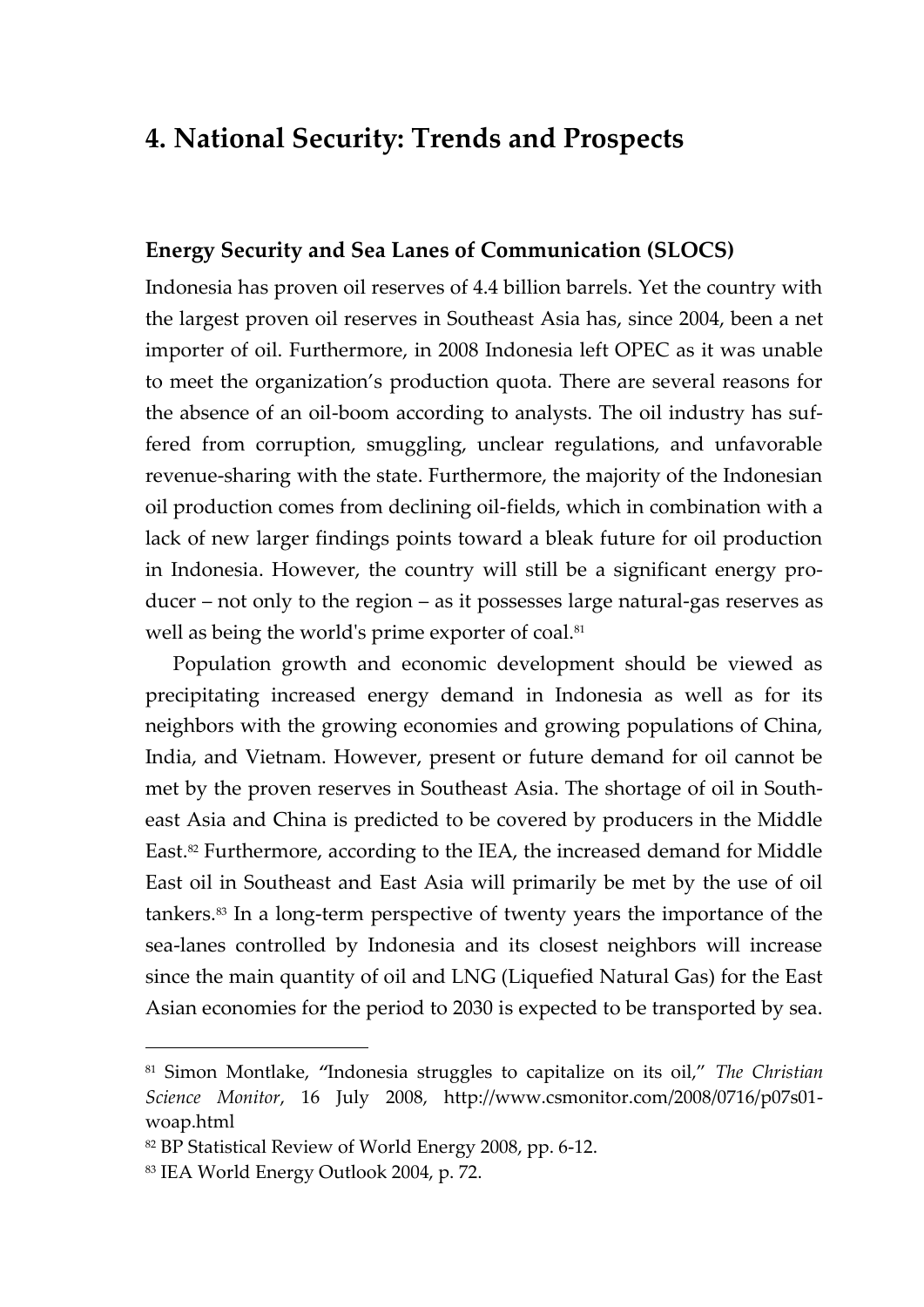## **4. National Security: Trends and Prospects**

## **Energy Security and Sea Lanes of Communication (SLOCS)**

Indonesia has proven oil reserves of 4.4 billion barrels. Yet the country with the largest proven oil reserves in Southeast Asia has, since 2004, been a net importer of oil. Furthermore, in 2008 Indonesia left OPEC as it was unable to meet the organization's production quota. There are several reasons for the absence of an oil-boom according to analysts. The oil industry has suffered from corruption, smuggling, unclear regulations, and unfavorable revenue-sharing with the state. Furthermore, the majority of the Indonesian oil production comes from declining oil-fields, which in combination with a lack of new larger findings points toward a bleak future for oil production in Indonesia. However, the country will still be a significant energy producer – not only to the region – as it possesses large natural-gas reserves as well as being the world's prime exporter of coal.<sup>81</sup>

<span id="page-38-0"></span>Population growth and economic development should be viewed as precipitating increased energy demand in Indonesia as well as for its neighbors with the growing economies and growing populations of China, India, and Vietnam. However, present or future demand for oil cannot be met by the proven reserves in Southeast Asia. The shortage of oil in Southeast Asia and China is predicted to be covered by producers in the Middle East.<sup>82</sup> Furthermore, according to the IEA, the increased demand for Middle East oil in Southeast and East Asia will primarily be met by the use of oil tankers.<sup>83</sup> In a long-term perspective of twenty years the importance of the sea-lanes controlled by Indonesia and its closest neighbors will increase since the main quantity of oil and LNG (Liquefied Natural Gas) for the East Asian economies for the period to 2030 is expected to be transported by sea.

<sup>81</sup> Simon Montlake, *"*Indonesia struggles to capitalize on its oil,' *The Christian Science Monitor*, 16 July 2008, http://www.csmonitor.com/2008/0716/p07s01 woap.html

<sup>82</sup> BP Statistical Review of World Energy 2008, pp. 6-12.

<sup>83</sup> IEA World Energy Outlook 2004, p. 72.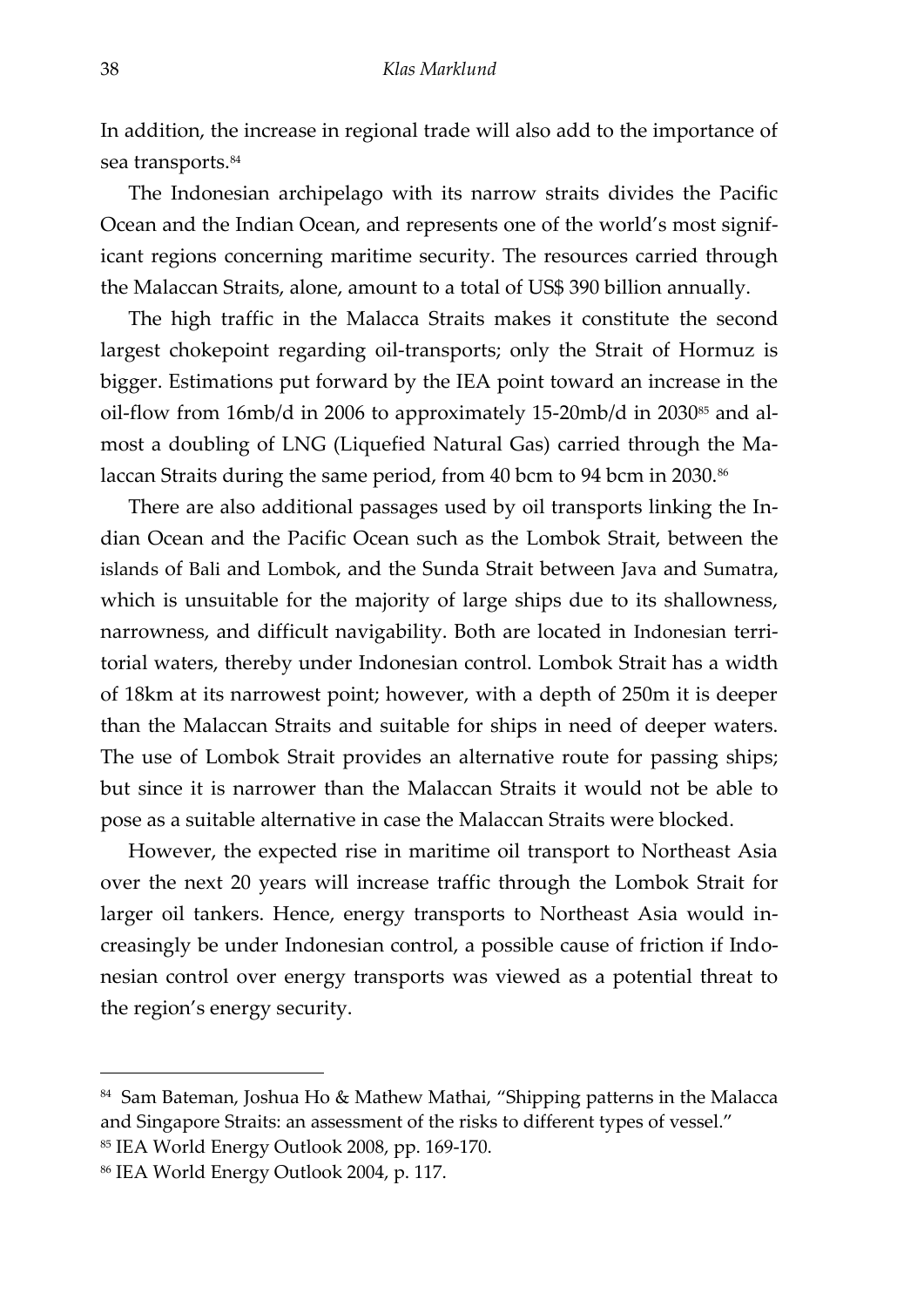In addition, the increase in regional trade will also add to the importance of sea transports.<sup>84</sup>

The Indonesian archipelago with its narrow straits divides the Pacific Ocean and the Indian Ocean, and represents one of the world's most significant regions concerning maritime security. The resources carried through the Malaccan Straits, alone, amount to a total of US\$ 390 billion annually.

The high traffic in the Malacca Straits makes it constitute the second largest chokepoint regarding oil-transports; only the Strait of Hormuz is bigger. Estimations put forward by the IEA point toward an increase in the oil-flow from 16mb/d in 2006 to approximately 15-20mb/d in 2030 $^{85}$  and almost a doubling of LNG (Liquefied Natural Gas) carried through the Malaccan Straits during the same period, from 40 bcm to 94 bcm in 2030.<sup>86</sup>

There are also additional passages used by oil transports linking the Indian Ocean and the Pacific Ocean such as the Lombok Strait, between the islands of Bali and Lombok, and the Sunda Strait between Java and Sumatra, which is unsuitable for the majority of large ships due to its shallowness, narrowness, and difficult navigability. Both are located in Indonesian territorial waters, thereby under Indonesian control. Lombok Strait has a width of 18km at its narrowest point; however, with a depth of 250m it is deeper than the Malaccan Straits and suitable for ships in need of deeper waters. The use of Lombok Strait provides an alternative route for passing ships; but since it is narrower than the Malaccan Straits it would not be able to pose as a suitable alternative in case the Malaccan Straits were blocked.

However, the expected rise in maritime oil transport to Northeast Asia over the next 20 years will increase traffic through the Lombok Strait for larger oil tankers. Hence, energy transports to Northeast Asia would increasingly be under Indonesian control, a possible cause of friction if Indonesian control over energy transports was viewed as a potential threat to the region's energy security.

<sup>&</sup>lt;sup>84</sup> Sam Bateman, Joshua Ho & Mathew Mathai, "Shipping patterns in the Malacca and Singapore Straits: an assessment of the risks to different types of vessel.'

<sup>85</sup> IEA World Energy Outlook 2008, pp. 169-170.

<sup>86</sup> IEA World Energy Outlook 2004, p. 117.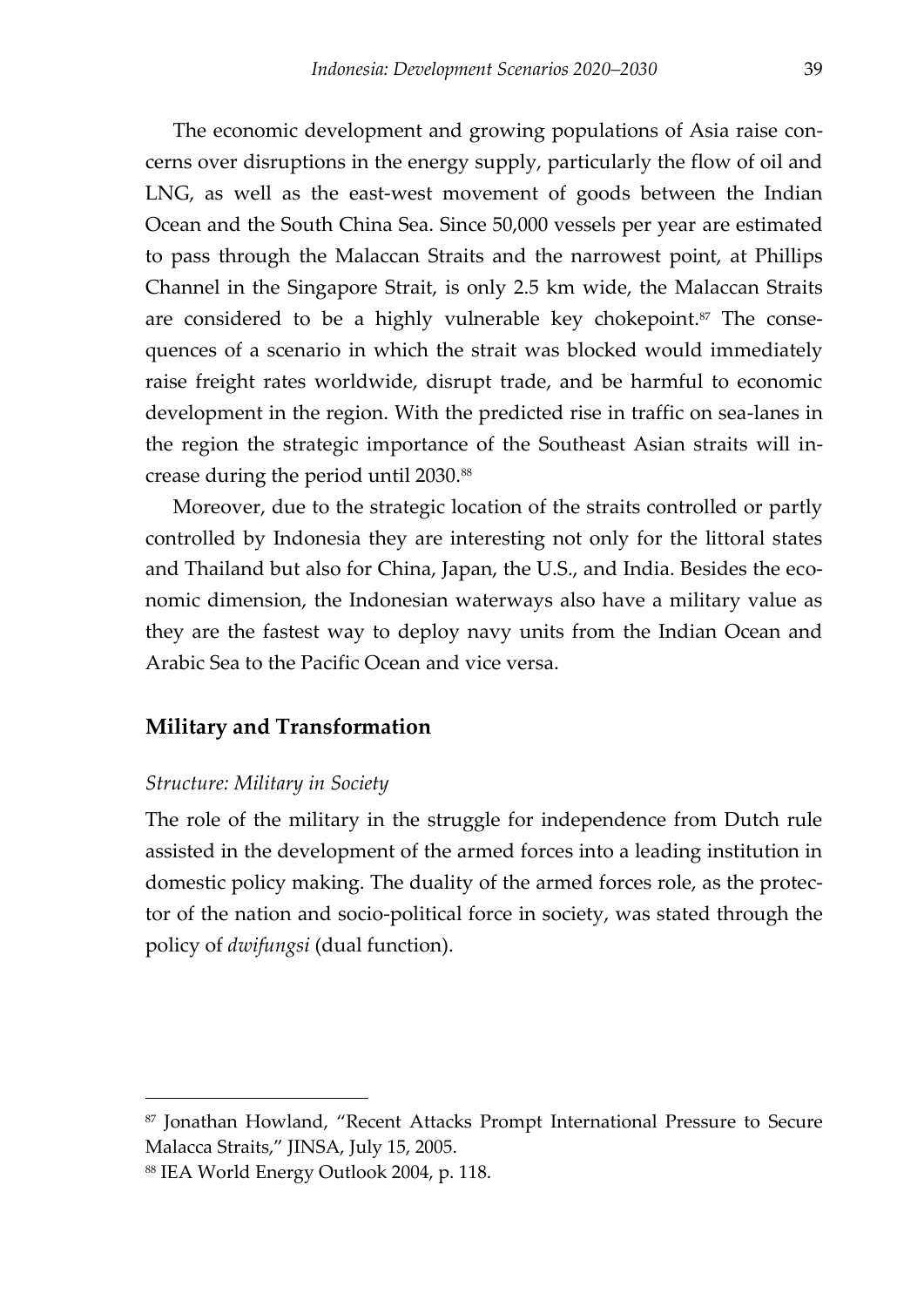The economic development and growing populations of Asia raise concerns over disruptions in the energy supply, particularly the flow of oil and LNG, as well as the east-west movement of goods between the Indian Ocean and the South China Sea. Since 50,000 vessels per year are estimated to pass through the Malaccan Straits and the narrowest point, at Phillips Channel in the Singapore Strait, is only 2.5 km wide, the Malaccan Straits are considered to be a highly vulnerable key chokepoint.<sup>87</sup> The consequences of a scenario in which the strait was blocked would immediately raise freight rates worldwide, disrupt trade, and be harmful to economic development in the region. With the predicted rise in traffic on sea-lanes in the region the strategic importance of the Southeast Asian straits will increase during the period until 2030.<sup>88</sup>

Moreover, due to the strategic location of the straits controlled or partly controlled by Indonesia they are interesting not only for the littoral states and Thailand but also for China, Japan, the U.S., and India. Besides the economic dimension, the Indonesian waterways also have a military value as they are the fastest way to deploy navy units from the Indian Ocean and Arabic Sea to the Pacific Ocean and vice versa.

#### **Military and Transformation**

#### *Structure: Military in Society*

 $\overline{a}$ 

The role of the military in the struggle for independence from Dutch rule assisted in the development of the armed forces into a leading institution in domestic policy making. The duality of the armed forces role, as the protector of the nation and socio-political force in society, was stated through the policy of *dwifungsi* (dual function).

<sup>87</sup> Jonathan Howland, 'Recent Attacks Prompt International Pressure to Secure Malacca Straits,' JINSA, July 15, 2005.

<sup>88</sup> IEA World Energy Outlook 2004, p. 118.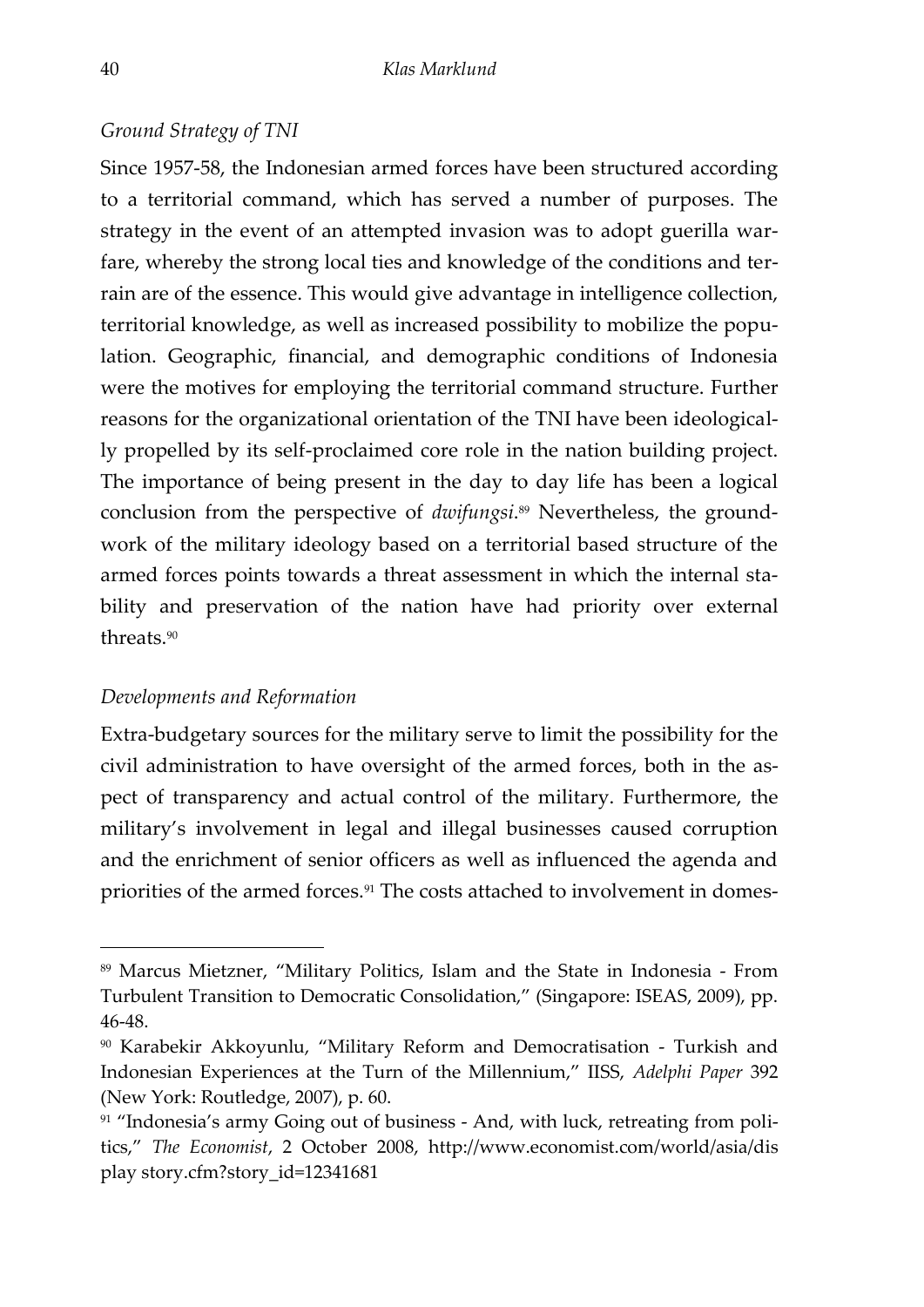#### *Ground Strategy of TNI*

Since 1957-58, the Indonesian armed forces have been structured according to a territorial command, which has served a number of purposes. The strategy in the event of an attempted invasion was to adopt guerilla warfare, whereby the strong local ties and knowledge of the conditions and terrain are of the essence. This would give advantage in intelligence collection, territorial knowledge, as well as increased possibility to mobilize the population. Geographic, financial, and demographic conditions of Indonesia were the motives for employing the territorial command structure. Further reasons for the organizational orientation of the TNI have been ideologically propelled by its self-proclaimed core role in the nation building project. The importance of being present in the day to day life has been a logical conclusion from the perspective of *dwifungsi*. <sup>89</sup> Nevertheless, the groundwork of the military ideology based on a territorial based structure of the armed forces points towards a threat assessment in which the internal stability and preservation of the nation have had priority over external threats.<sup>90</sup>

#### *Developments and Reformation*

-

Extra-budgetary sources for the military serve to limit the possibility for the civil administration to have oversight of the armed forces, both in the aspect of transparency and actual control of the military. Furthermore, the military's involvement in legal and illegal businesses caused corruption and the enrichment of senior officers as well as influenced the agenda and priorities of the armed forces.<sup>91</sup> The costs attached to involvement in domes-

<sup>89</sup> Marcus Mietzner, 'Military Politics, Islam and the State in Indonesia - From Turbulent Transition to Democratic Consolidation,' (Singapore: ISEAS, 2009), pp. 46-48.

<sup>90</sup> Karabekir Akkoyunlu, 'Military Reform and Democratisation - Turkish and Indonesian Experiences at the Turn of the Millennium,' IISS, *Adelphi Paper* 392 (New York: Routledge, 2007), p. 60.

<sup>&</sup>lt;sup>91</sup> "Indonesia's army Going out of business - And, with luck, retreating from politics,' *The Economist*, 2 October 2008, http://www.economist.com/world/asia/dis play story.cfm?story\_id=12341681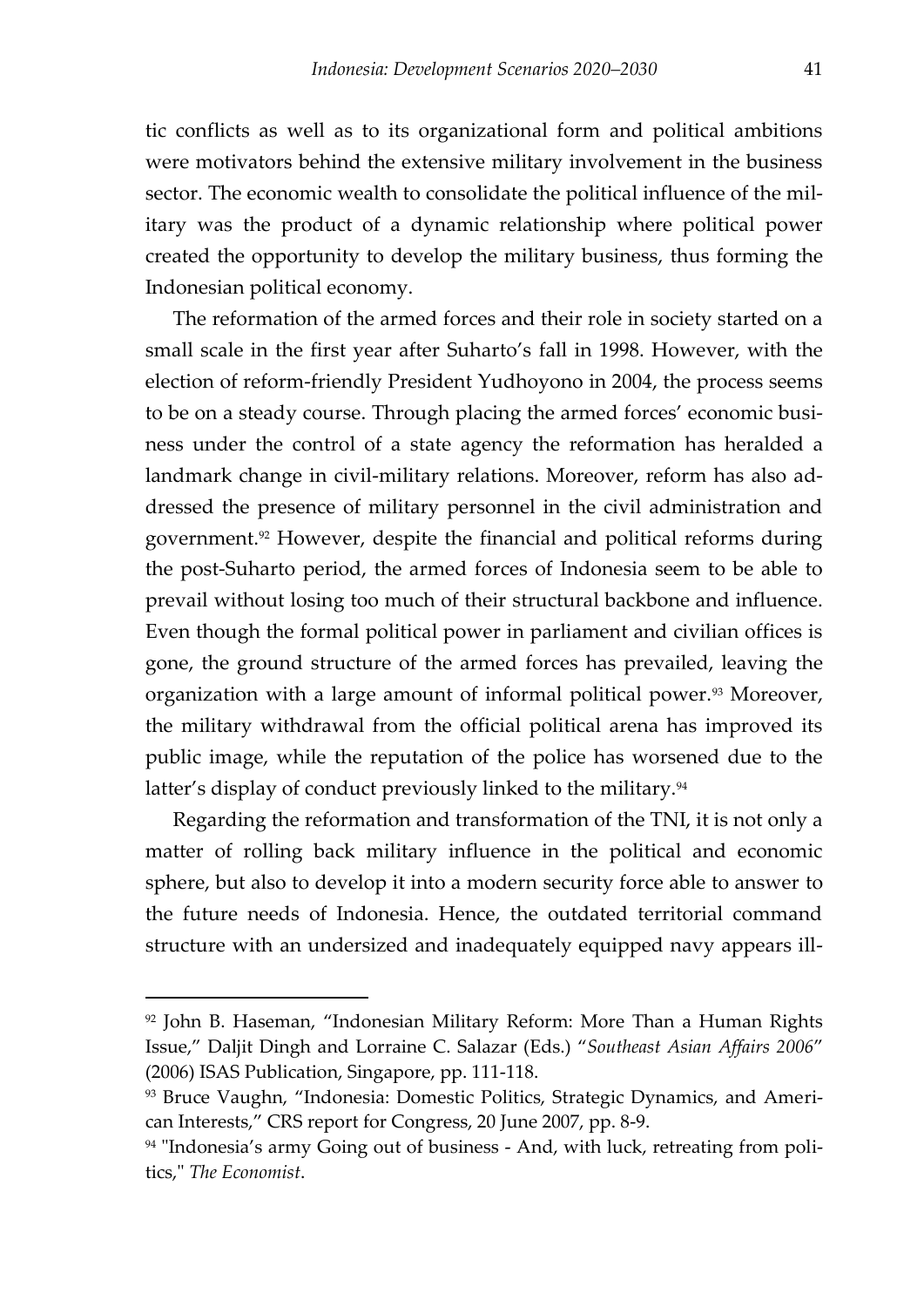tic conflicts as well as to its organizational form and political ambitions were motivators behind the extensive military involvement in the business sector. The economic wealth to consolidate the political influence of the military was the product of a dynamic relationship where political power created the opportunity to develop the military business, thus forming the Indonesian political economy.

The reformation of the armed forces and their role in society started on a small scale in the first year after Suharto's fall in 1998. However, with the election of reform-friendly President Yudhoyono in 2004, the process seems to be on a steady course. Through placing the armed forces' economic business under the control of a state agency the reformation has heralded a landmark change in civil-military relations. Moreover, reform has also addressed the presence of military personnel in the civil administration and government.<sup>92</sup> However, despite the financial and political reforms during the post-Suharto period, the armed forces of Indonesia seem to be able to prevail without losing too much of their structural backbone and influence. Even though the formal political power in parliament and civilian offices is gone, the ground structure of the armed forces has prevailed, leaving the organization with a large amount of informal political power.<sup>93</sup> Moreover, the military withdrawal from the official political arena has improved its public image, while the reputation of the police has worsened due to the latter's display of conduct previously linked to the military.<sup>94</sup>

Regarding the reformation and transformation of the TNI, it is not only a matter of rolling back military influence in the political and economic sphere, but also to develop it into a modern security force able to answer to the future needs of Indonesia. Hence, the outdated territorial command structure with an undersized and inadequately equipped navy appears ill-

<sup>&</sup>lt;sup>92</sup> John B. Haseman, "Indonesian Military Reform: More Than a Human Rights Issue,' Daljit Dingh and Lorraine C. Salazar (Eds.) '*Southeast Asian Affairs 2006*' (2006) ISAS Publication, Singapore, pp. 111-118.

<sup>93</sup> Bruce Vaughn, 'Indonesia: Domestic Politics, Strategic Dynamics, and American Interests," CRS report for Congress, 20 June 2007, pp. 8-9.

<sup>&</sup>lt;sup>94</sup> "Indonesia's army Going out of business - And, with luck, retreating from politics," *The Economist*.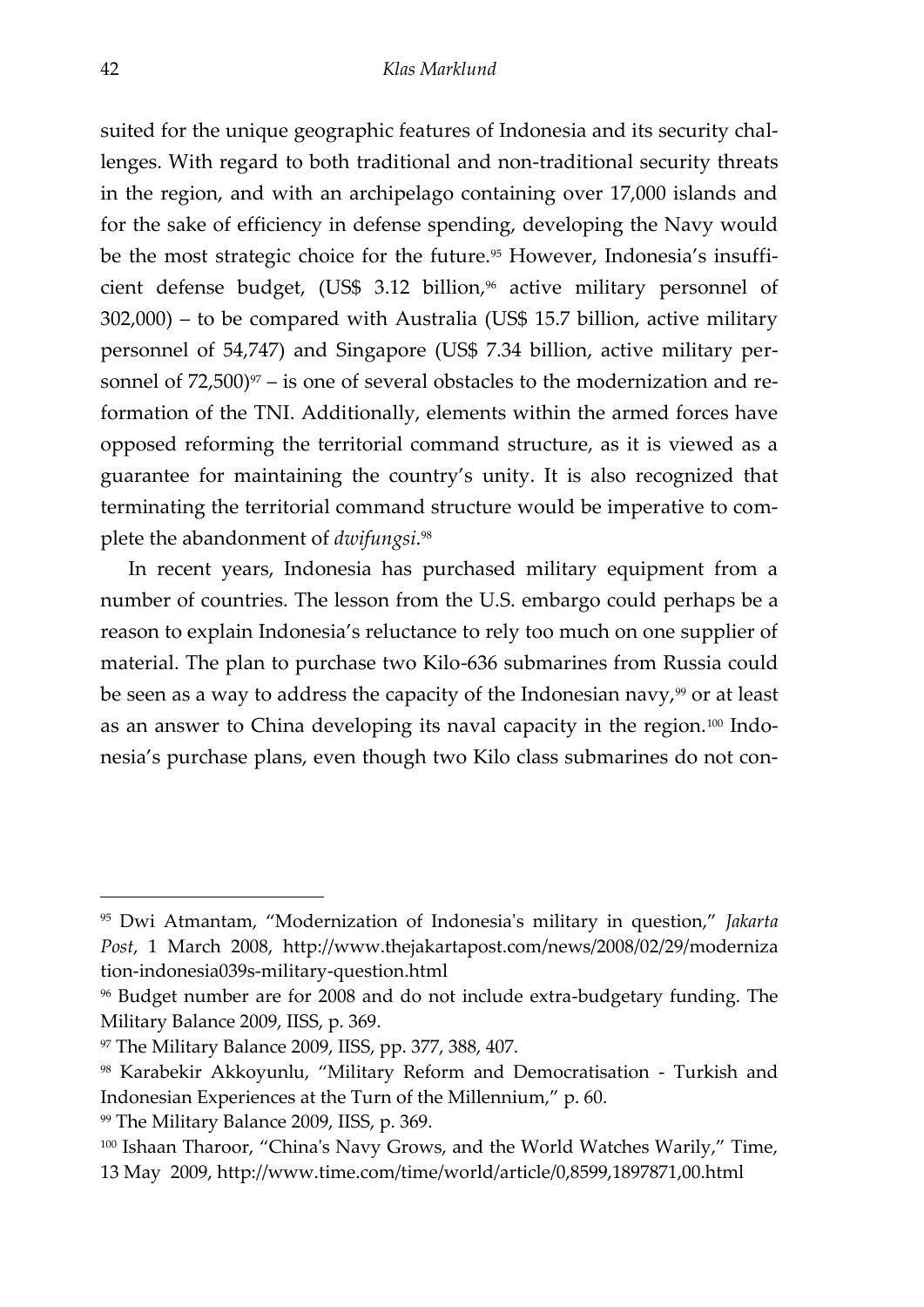<span id="page-43-1"></span><span id="page-43-0"></span>suited for the unique geographic features of Indonesia and its security challenges. With regard to both traditional and non-traditional security threats in the region, and with an archipelago containing over 17,000 islands and for the sake of efficiency in defense spending, developing the Navy would be the most strategic choice for the future.<sup>95</sup> However, Indonesia's insufficient defense budget, (US\$ 3.12 billion, $96$  active military personnel of 302,000) – to be compared with Australia (US\$ 15.7 billion, active military personnel of 54,747) and Singapore (US\$ 7.34 billion, active military personnel of  $72,500$ <sup>97</sup> – is one of several obstacles to the modernization and reformation of the TNI. Additionally, elements within the armed forces have opposed reforming the territorial command structure, as it is viewed as a guarantee for maintaining the country's unity. It is also recognized that terminating the territorial command structure would be imperative to complete the abandonment of *dwifungsi*. 98

In recent years, Indonesia has purchased military equipment from a number of countries. The lesson from the U.S. embargo could perhaps be a reason to explain Indonesia's reluctance to rely too much on one supplier of material. The plan to purchase two Kilo-636 submarines from Russia could be seen as a way to address the capacity of the Indonesian navy, $99$  or at least as an answer to China developing its naval capacity in the region.<sup>100</sup> Indonesia's purchase plans, even though two Kilo class submarines do not con-

<sup>95</sup> Dwi Atmantam, 'Modernization of Indonesia's military in question,' *Jakarta Post*, 1 March 2008, http://www.thejakartapost.com/news/2008/02/29/moderniza tion-indonesia039s-military-question.html

<sup>96</sup> Budget number are for 2008 and do not include extra-budgetary funding. The Military Balance 2009, IISS, p. 369.

<sup>97</sup> The Military Balance 2009, IISS, pp. 377, 388, 407.

<sup>98</sup> Karabekir Akkoyunlu, 'Military Reform and Democratisation - Turkish and Indonesian Experiences at the Turn of the Millennium,' p. 60.

<sup>99</sup> The Military Balance 2009, IISS, p. 369.

<sup>100</sup> Ishaan Tharoor, 'China's Navy Grows, and the World Watches Warily,' Time, 13 May 2009, http://www.time.com/time/world/article/0,8599,1897871,00.html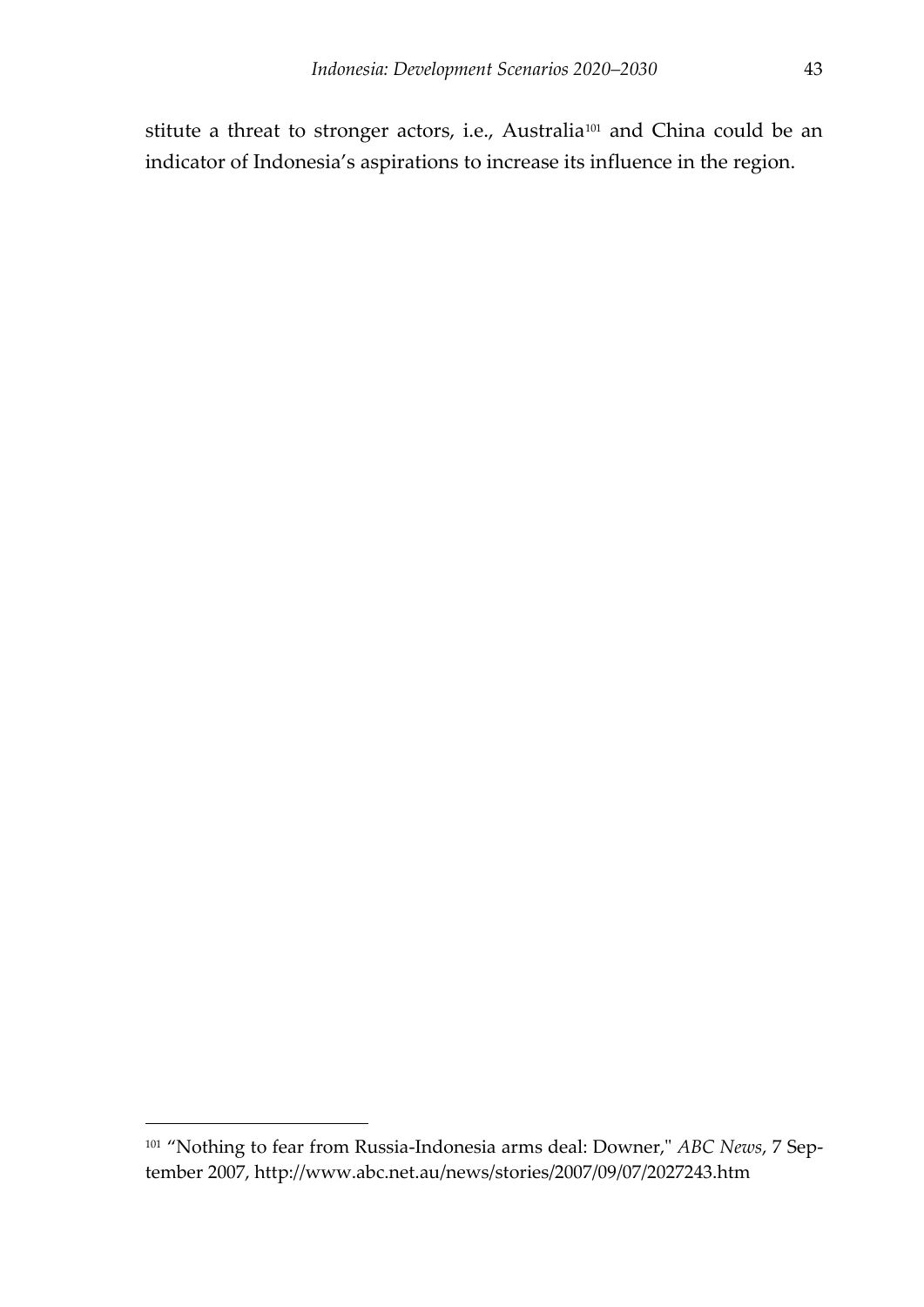stitute a threat to stronger actors, i.e., Australia<sup>101</sup> and China could be an indicator of Indonesia's aspirations to increase its influence in the region.

<span id="page-44-0"></span><sup>101</sup> 'Nothing to fear from Russia-Indonesia arms deal: Downer," *ABC News*, 7 September 2007, http://www.abc.net.au/news/stories/2007/09/07/2027243.htm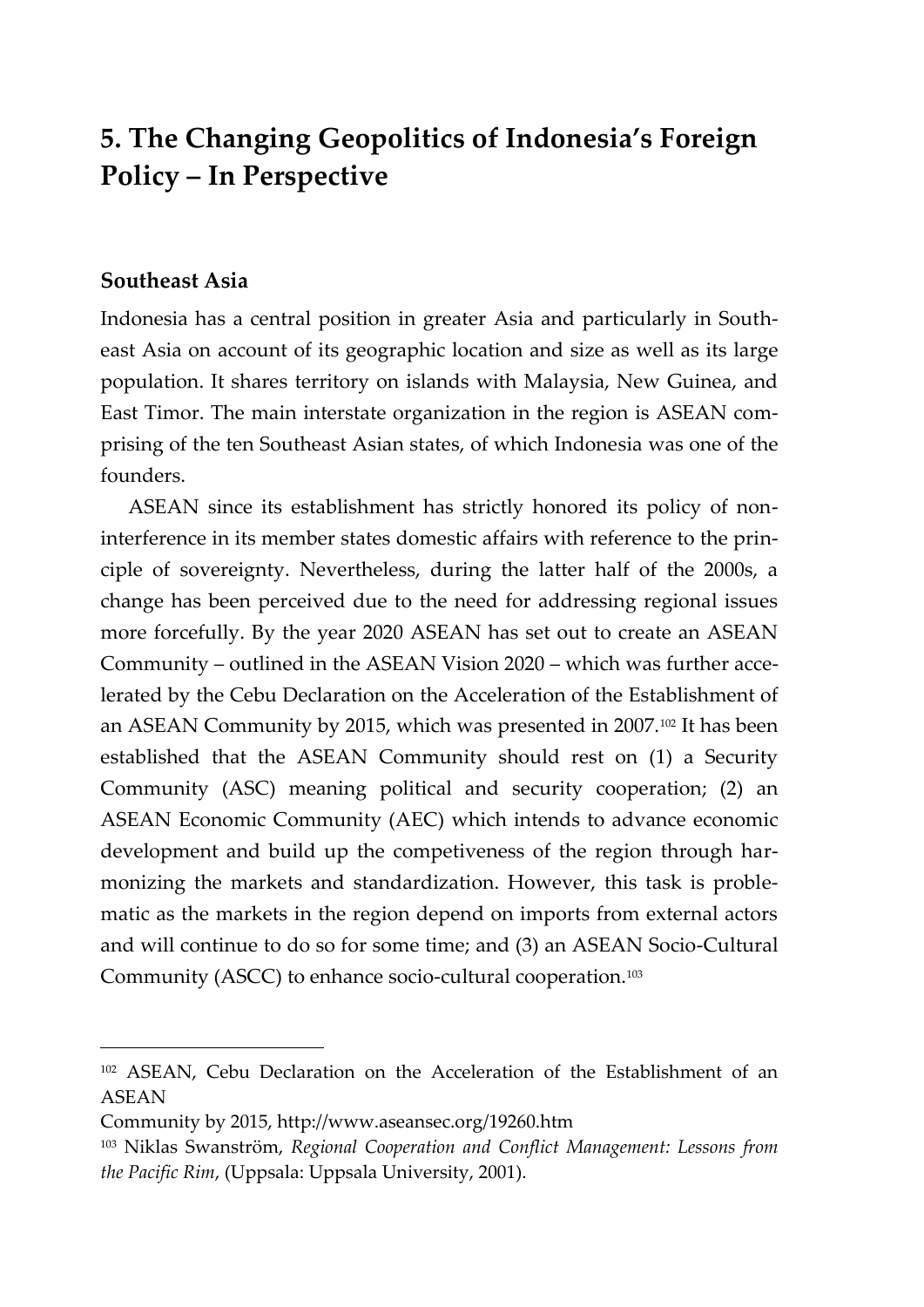## **5. The Changing Geopolitics of Indonesia's Foreign Policy – In Perspective**

#### **Southeast Asia**

-

Indonesia has a central position in greater Asia and particularly in Southeast Asia on account of its geographic location and size as well as its large population. It shares territory on islands with Malaysia, New Guinea, and East Timor. The main interstate organization in the region is ASEAN comprising of the ten Southeast Asian states, of which Indonesia was one of the founders.

ASEAN since its establishment has strictly honored its policy of noninterference in its member states domestic affairs with reference to the principle of sovereignty. Nevertheless, during the latter half of the 2000s, a change has been perceived due to the need for addressing regional issues more forcefully. By the year 2020 ASEAN has set out to create an ASEAN Community – outlined in the ASEAN Vision 2020 – which was further accelerated by the Cebu Declaration on the Acceleration of the Establishment of an ASEAN Community by 2015, which was presented in 2007.<sup>102</sup> It has been established that the ASEAN Community should rest on (1) a Security Community (ASC) meaning political and security cooperation; (2) an ASEAN Economic Community (AEC) which intends to advance economic development and build up the competiveness of the region through harmonizing the markets and standardization. However, this task is problematic as the markets in the region depend on imports from external actors and will continue to do so for some time; and (3) an ASEAN Socio-Cultural Community (ASCC) to enhance socio-cultural cooperation.<sup>103</sup>

<sup>&</sup>lt;sup>102</sup> ASEAN, Cebu Declaration on the Acceleration of the Establishment of an ASEAN

Community by 2015, http://www.aseansec.org/19260.htm

<sup>103</sup> Niklas Swanström, *Regional Cooperation and Conflict Management: Lessons from the Pacific Rim*, (Uppsala: Uppsala University, 2001).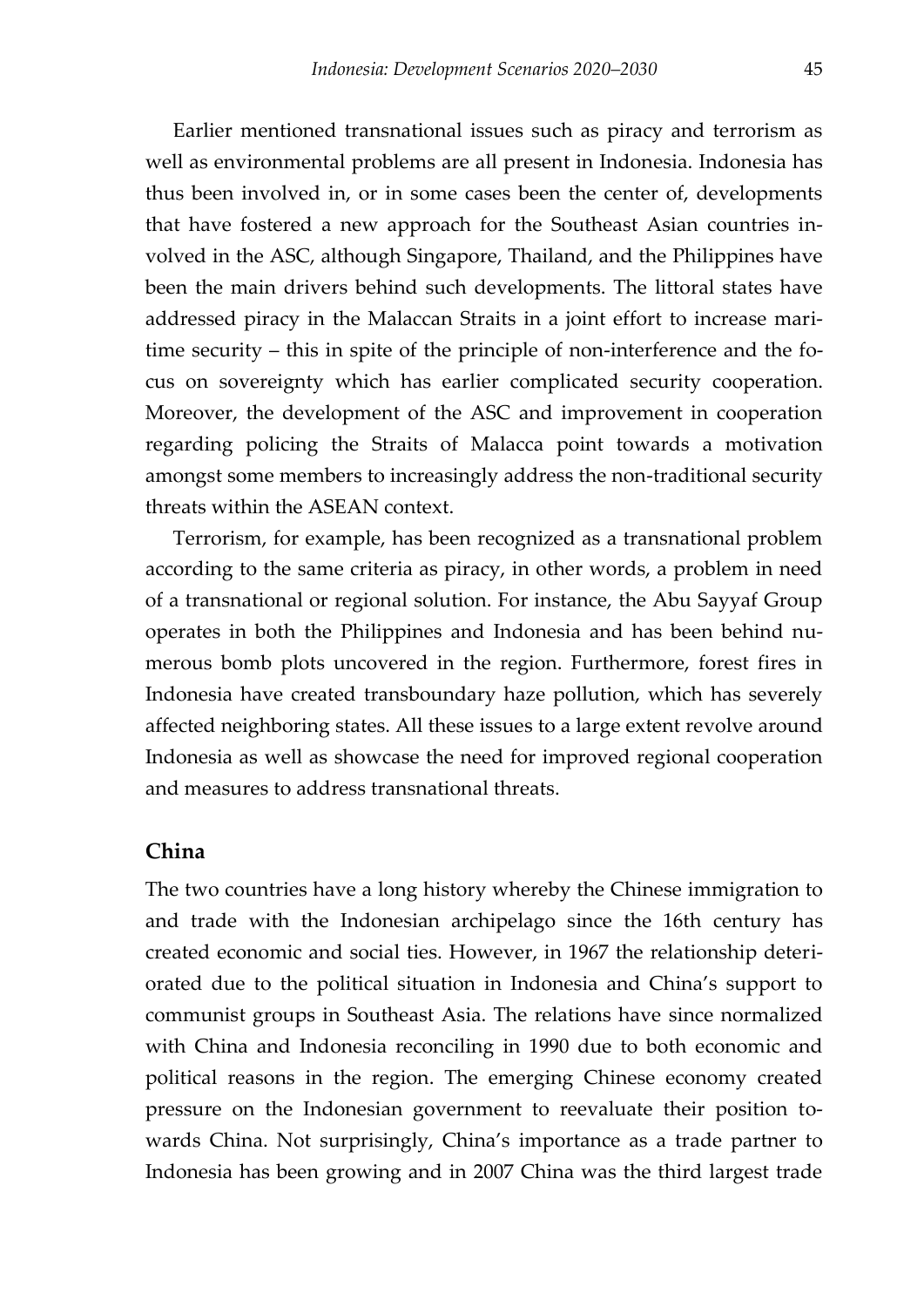Earlier mentioned transnational issues such as piracy and terrorism as well as environmental problems are all present in Indonesia. Indonesia has thus been involved in, or in some cases been the center of, developments that have fostered a new approach for the Southeast Asian countries involved in the ASC, although Singapore, Thailand, and the Philippines have been the main drivers behind such developments. The littoral states have addressed piracy in the Malaccan Straits in a joint effort to increase maritime security – this in spite of the principle of non-interference and the focus on sovereignty which has earlier complicated security cooperation. Moreover, the development of the ASC and improvement in cooperation regarding policing the Straits of Malacca point towards a motivation amongst some members to increasingly address the non-traditional security threats within the ASEAN context.

Terrorism, for example, has been recognized as a transnational problem according to the same criteria as piracy, in other words, a problem in need of a transnational or regional solution. For instance, the Abu Sayyaf Group operates in both the Philippines and Indonesia and has been behind numerous bomb plots uncovered in the region. Furthermore, forest fires in Indonesia have created transboundary haze pollution, which has severely affected neighboring states. All these issues to a large extent revolve around Indonesia as well as showcase the need for improved regional cooperation and measures to address transnational threats.

#### **China**

The two countries have a long history whereby the Chinese immigration to and trade with the Indonesian archipelago since the 16th century has created economic and social ties. However, in 1967 the relationship deteriorated due to the political situation in Indonesia and China's support to communist groups in Southeast Asia. The relations have since normalized with China and Indonesia reconciling in 1990 due to both economic and political reasons in the region. The emerging Chinese economy created pressure on the Indonesian government to reevaluate their position towards China. Not surprisingly, China's importance as a trade partner to Indonesia has been growing and in 2007 China was the third largest trade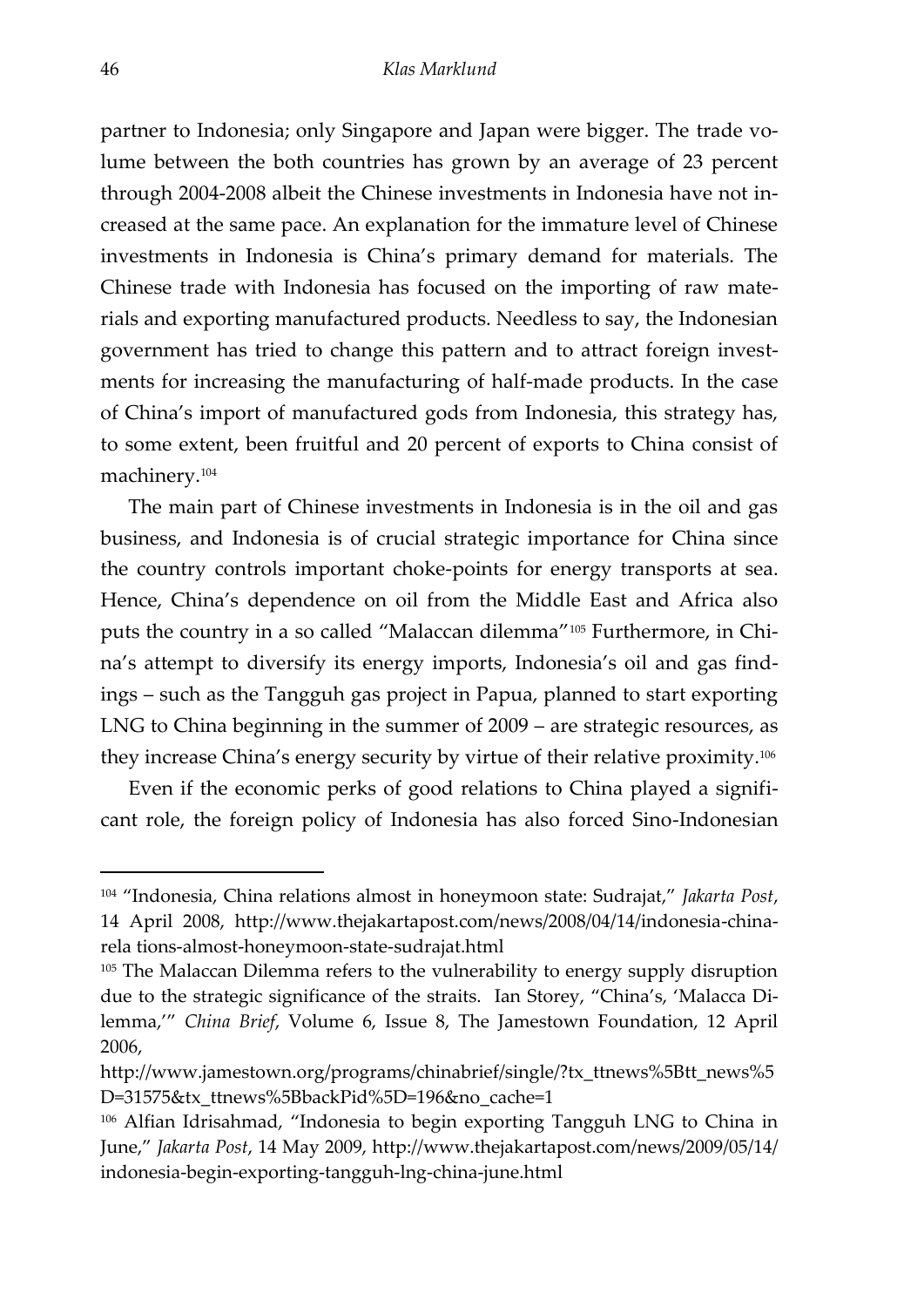<span id="page-47-0"></span>partner to Indonesia; only Singapore and Japan were bigger. The trade volume between the both countries has grown by an average of 23 percent through 2004-2008 albeit the Chinese investments in Indonesia have not increased at the same pace. An explanation for the immature level of Chinese investments in Indonesia is China's primary demand for materials. The Chinese trade with Indonesia has focused on the importing of raw materials and exporting manufactured products. Needless to say, the Indonesian government has tried to change this pattern and to attract foreign investments for increasing the manufacturing of half-made products. In the case of China's import of manufactured gods from Indonesia, this strategy has, to some extent, been fruitful and 20 percent of exports to China consist of machinery.<sup>104</sup>

The main part of Chinese investments in Indonesia is in the oil and gas business, and Indonesia is of crucial strategic importance for China since the country controls important choke-points for energy transports at sea. Hence, China's dependence on oil from the Middle East and Africa also puts the country in a so called 'Malaccan dilemma'<sup>105</sup> Furthermore, in China's attempt to diversify its energy imports, Indonesia's oil and gas findings – such as the Tangguh gas project in Papua, planned to start exporting LNG to China beginning in the summer of 2009 – are strategic resources, as they increase China's energy security by virtue of their relative proximity.<sup>106</sup>

Even if the economic perks of good relations to China played a significant role, the foreign policy of Indonesia has also forced Sino-Indonesian

<sup>104</sup> 'Indonesia, China relations almost in honeymoon state: Sudrajat,' *Jakarta Post*, 14 April 2008, http://www.thejakartapost.com/news/2008/04/14/indonesia-chinarela tions-almost-honeymoon-state-sudrajat.html

<sup>&</sup>lt;sup>105</sup> The Malaccan Dilemma refers to the vulnerability to energy supply disruption due to the strategic significance of the straits. [Ian Storey](http://www.jamestown.org/articles-by-author/?no_cache=1&tx_cablanttnewsstaffrelation_pi1%5Bauthor%5D=286), 'China's, 'Malacca Dilemma,'' *China Brief*, Volume 6, Issue 8, The Jamestown Foundation, 12 April 2006,

http://www.jamestown.org/programs/chinabrief/single/?tx\_ttnews%5Btt\_news%5 D=31575&tx\_ttnews%5BbackPid%5D=196&no\_cache=1

<sup>106</sup> Alfian Idrisahmad, 'Indonesia to begin exporting Tangguh LNG to China in June,' *Jakarta Post*, 14 May 2009, http://www.thejakartapost.com/news/2009/05/14/ indonesia-begin-exporting-tangguh-lng-china-june.html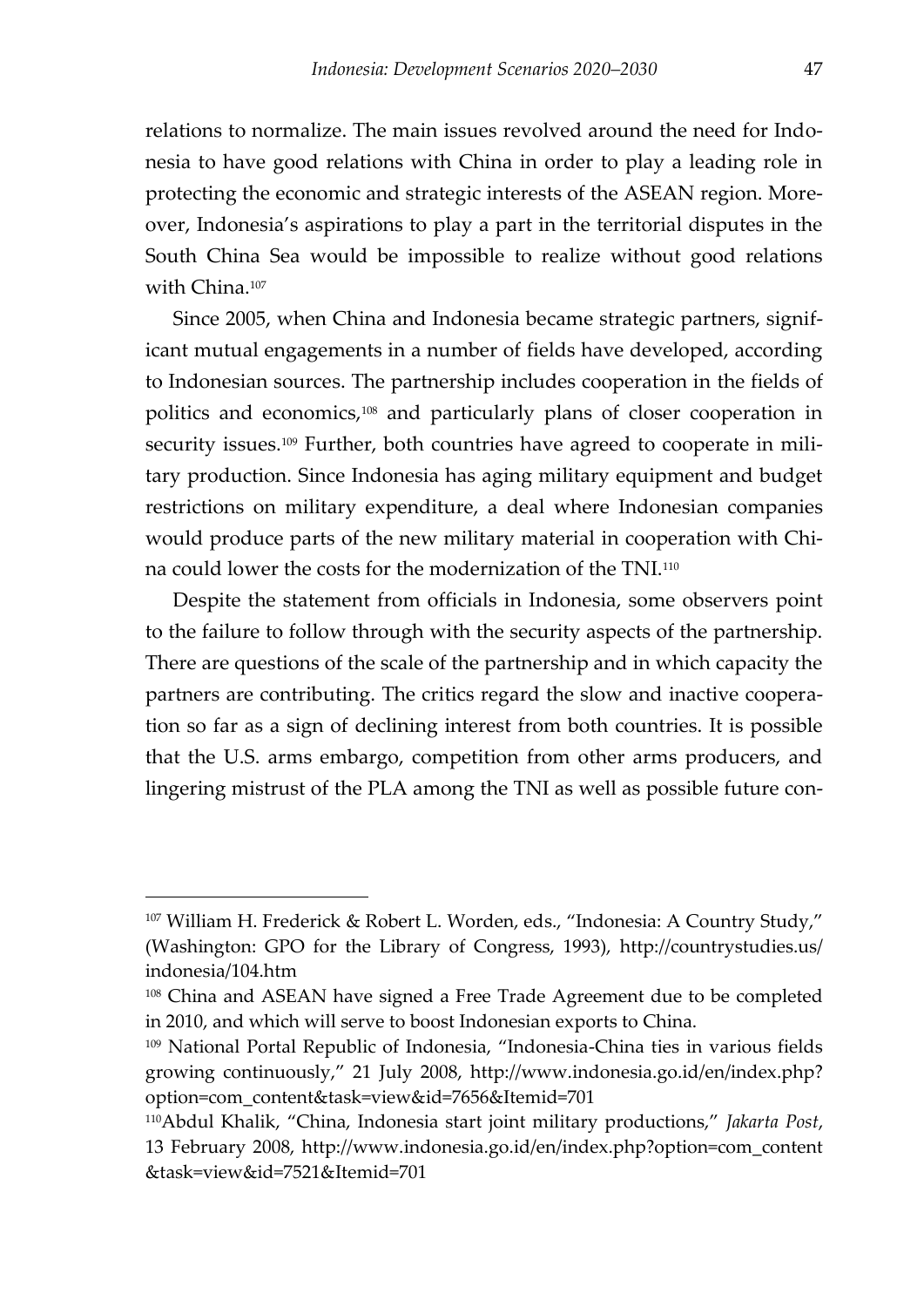relations to normalize. The main issues revolved around the need for Indonesia to have good relations with China in order to play a leading role in protecting the economic and strategic interests of the ASEAN region. Moreover, Indonesia's aspirations to play a part in the territorial disputes in the South China Sea would be impossible to realize without good relations with China.<sup>107</sup>

Since 2005, when China and Indonesia became strategic partners, significant mutual engagements in a number of fields have developed, according to Indonesian sources. The partnership includes cooperation in the fields of politics and economics,<sup>108</sup> and particularly plans of closer cooperation in security issues.<sup>109</sup> Further, both countries have agreed to cooperate in military production. Since Indonesia has aging military equipment and budget restrictions on military expenditure, a deal where Indonesian companies would produce parts of the new military material in cooperation with China could lower the costs for the modernization of the TNI.<sup>110</sup>

Despite the statement from officials in Indonesia, some observers point to the failure to follow through with the security aspects of the partnership. There are questions of the scale of the partnership and in which capacity the partners are contributing. The critics regard the slow and inactive cooperation so far as a sign of declining interest from both countries. It is possible that the U.S. arms embargo, competition from other arms producers, and lingering mistrust of the PLA among the TNI as well as possible future con-

<span id="page-48-0"></span><sup>&</sup>lt;sup>107</sup> William H. Frederick & Robert L. Worden, eds., "Indonesia: A Country Study," (Washington: GPO for the Library of Congress, 1993), http://countrystudies.us/ indonesia/104.htm

<sup>&</sup>lt;sup>108</sup> China and ASEAN have signed a Free Trade Agreement due to be completed in 2010, and which will serve to boost Indonesian exports to China.

<sup>109</sup> National Portal Republic of Indonesia, 'Indonesia-China ties in various fields growing continuously,' 21 July 2008, http://www.indonesia.go.id/en/index.php? option=com\_content&task=view&id=7656&Itemid=701

<sup>110</sup>Abdul Khalik, 'China, Indonesia start joint military productions,' *Jakarta Post*, 13 February 2008, http://www.indonesia.go.id/en/index.php?option=com\_content &task=view&id=7521&Itemid=701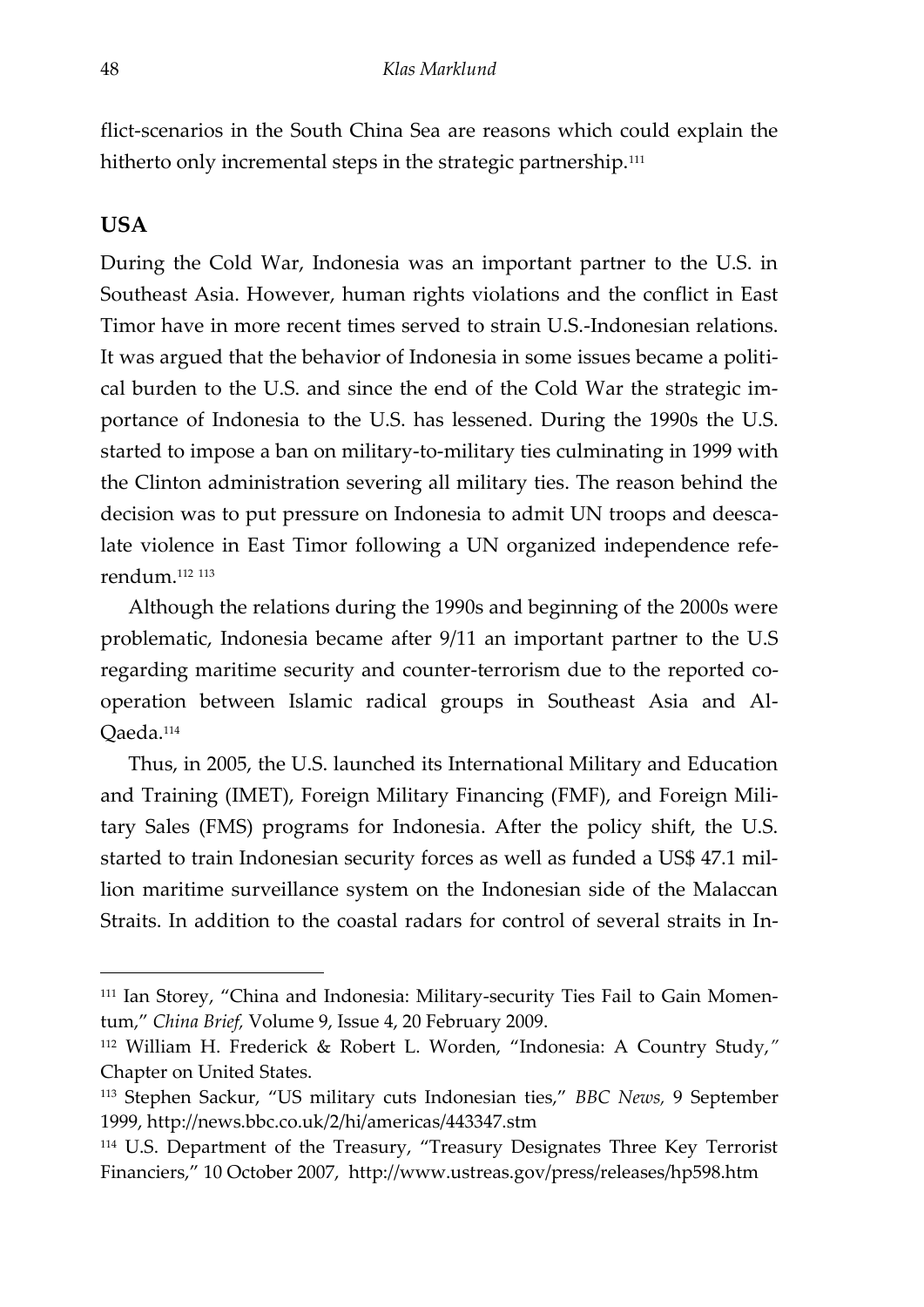flict-scenarios in the South China Sea are reasons which could explain the hitherto only incremental steps in the strategic partnership.<sup>111</sup>

#### **USA**

-

During the Cold War, Indonesia was an important partner to the U.S. in Southeast Asia. However, human rights violations and the conflict in East Timor have in more recent times served to strain U.S.-Indonesian relations. It was argued that the behavior of Indonesia in some issues became a political burden to the U.S. and since the end of the Cold War the strategic importance of Indonesia to the U.S. has lessened. During the 1990s the U.S. started to impose a ban on military-to-military ties culminating in 1999 with the Clinton administration severing all military ties. The reason behind the decision was to put pressure on Indonesia to admit UN troops and deescalate violence in East Timor following a UN organized independence referendum.<sup>112</sup> <sup>113</sup>

Although the relations during the 1990s and beginning of the 2000s were problematic, Indonesia became after 9/11 an important partner to the U.S regarding maritime security and counter-terrorism due to the reported cooperation between Islamic radical groups in Southeast Asia and Al-Qaeda.<sup>114</sup>

Thus, in 2005, the U.S. launched its International Military and Education and Training (IMET), Foreign Military Financing (FMF), and Foreign Military Sales (FMS) programs for Indonesia. After the policy shift, the U.S. started to train Indonesian security forces as well as funded a US\$ 47.1 million maritime surveillance system on the Indonesian side of the Malaccan Straits. In addition to the coastal radars for control of several straits in In-

<sup>111</sup> [Ian Storey,](http://www.jamestown.org/articles-by-author/?no_cache=1&tx_cablanttnewsstaffrelation_pi1%5Bauthor%5D=286) 'China and Indonesia: Military-security Ties Fail to Gain Momentum,' *China Brief,* Volume 9, Issue 4, 20 February 2009.

<sup>112</sup> William H. Frederick & Robert L. Worden, 'Indonesia: A Country Study,*"* Chapter on United States.

<sup>113</sup> Stephen Sackur, 'US military cuts Indonesian ties,' *BBC News,* 9 September 1999, http://news.bbc.co.uk/2/hi/americas/443347.stm

<sup>114</sup> U.S. Department of the Treasury, 'Treasury Designates Three Key Terrorist Financiers,' 10 October 2007, http://www.ustreas.gov/press/releases/hp598.htm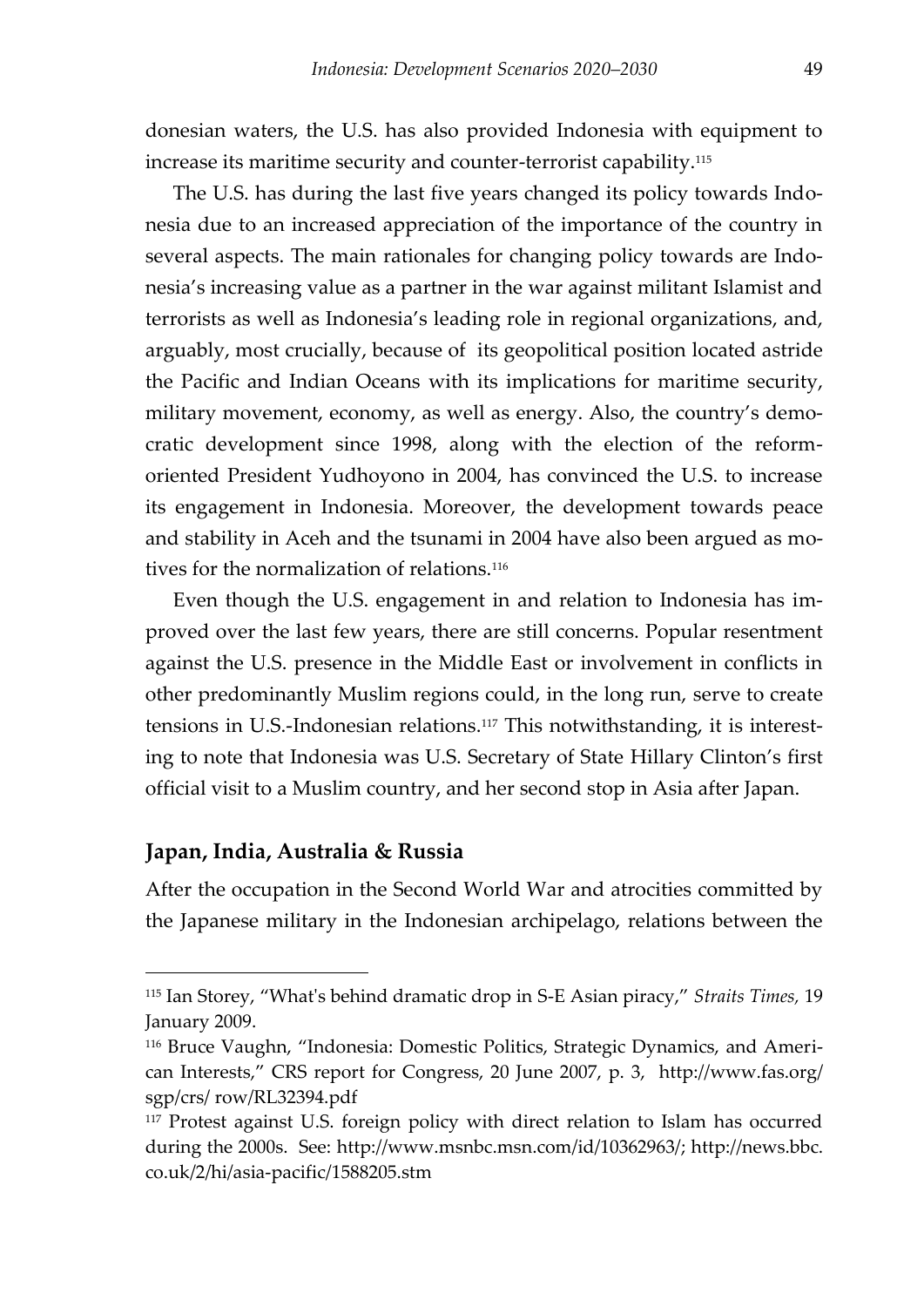donesian waters, the U.S. has also provided Indonesia with equipment to increase its maritime security and counter-terrorist capability.<sup>115</sup>

The U.S. has during the last five years changed its policy towards Indonesia due to an increased appreciation of the importance of the country in several aspects. The main rationales for changing policy towards are Indonesia's increasing value as a partner in the war against militant Islamist and terrorists as well as Indonesia's leading role in regional organizations, and, arguably, most crucially, because of its geopolitical position located astride the Pacific and Indian Oceans with its implications for maritime security, military movement, economy, as well as energy. Also, the country's democratic development since 1998, along with the election of the reformoriented President Yudhoyono in 2004, has convinced the U.S. to increase its engagement in Indonesia. Moreover, the development towards peace and stability in Aceh and the tsunami in 2004 have also been argued as motives for the normalization of relations.<sup>116</sup>

Even though the U.S. engagement in and relation to Indonesia has improved over the last few years, there are still concerns. Popular resentment against the U.S. presence in the Middle East or involvement in conflicts in other predominantly Muslim regions could, in the long run, serve to create tensions in U.S.-Indonesian relations.<sup>117</sup> This notwithstanding, it is interesting to note that Indonesia was U.S. Secretary of State Hillary Clinton's first official visit to a Muslim country, and her second stop in Asia after Japan.

#### **Japan, India, Australia & Russia**

 $\overline{a}$ 

After the occupation in the Second World War and atrocities committed by the Japanese military in the Indonesian archipelago, relations between the

<sup>115</sup> Ian Storey, 'What's behind dramatic drop in S-E Asian piracy,' *Straits Times,* 19 January 2009.

<sup>116</sup> Bruce Vaughn, 'Indonesia: Domestic Politics, Strategic Dynamics, and American Interests," CRS report for Congress, 20 June 2007, p. 3, http://www.fas.org/ sgp/crs/ row/RL32394.pdf

<sup>117</sup> Protest against U.S. foreign policy with direct relation to Islam has occurred during the 2000s. See: http://www.msnbc.msn.com/id/10362963/; http://news.bbc. co.uk/2/hi/asia-pacific/1588205.stm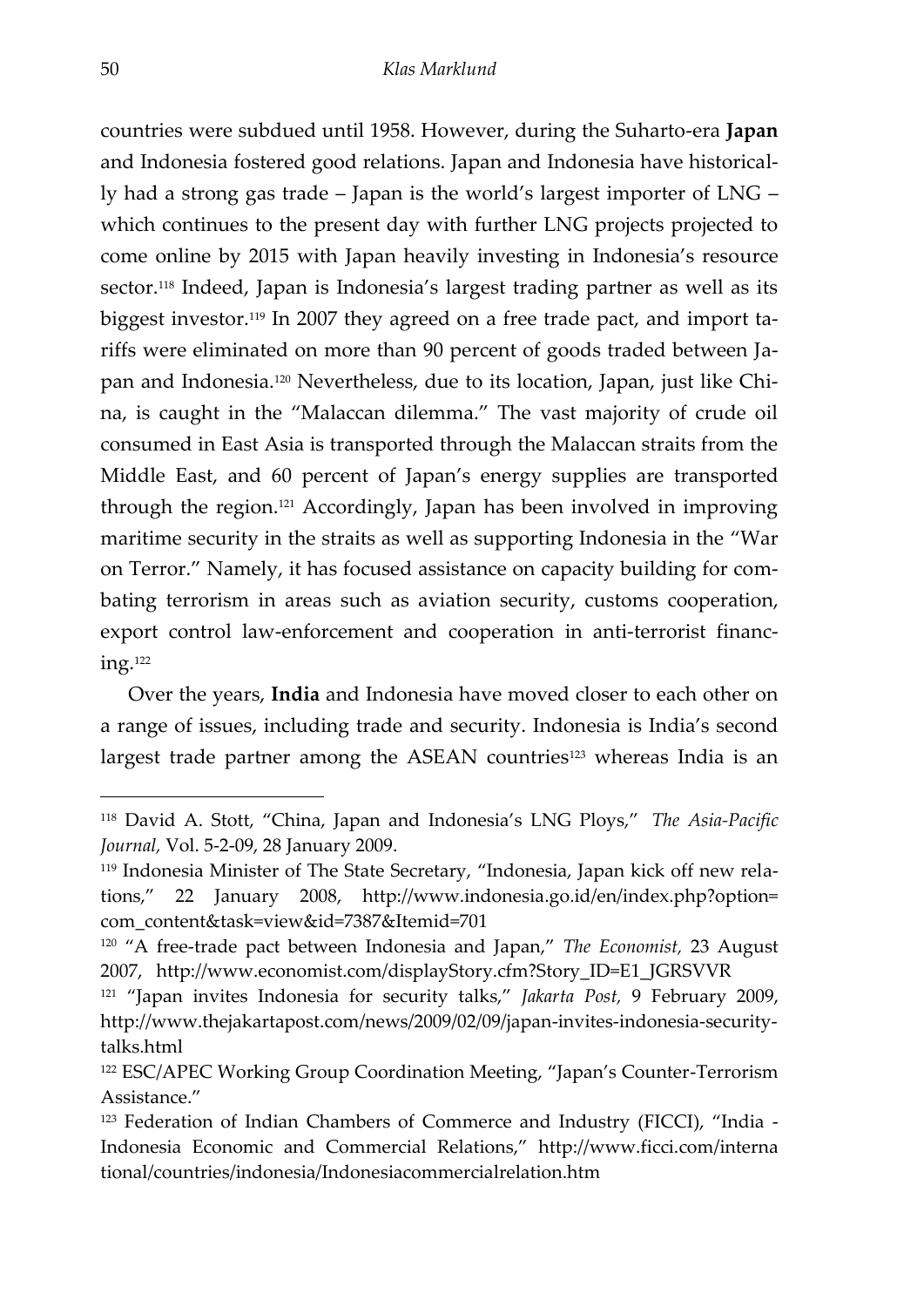countries were subdued until 1958. However, during the Suharto-era **Japan** and Indonesia fostered good relations. Japan and Indonesia have historically had a strong gas trade – Japan is the world's largest importer of LNG – which continues to the present day with further LNG projects projected to come online by 2015 with Japan heavily investing in Indonesia's resource sector.<sup>118</sup> Indeed, Japan is Indonesia's largest trading partner as well as its biggest investor.<sup>119</sup> In 2007 they agreed on a free trade pact, and import tariffs were eliminated on more than 90 percent of goods traded between Japan and Indonesia. <sup>120</sup> Nevertheless, due to its location, Japan, just like China, is caught in the 'Malaccan dilemma.' The vast majority of crude oil consumed in East Asia is transported through the Malaccan straits from the Middle East, and 60 percent of Japan's energy supplies are transported through the region. <sup>121</sup> Accordingly, Japan has been involved in improving maritime security in the straits as well as supporting Indonesia in the 'War on Terror.' Namely, it has focused assistance on capacity building for combating terrorism in areas such as aviation security, customs cooperation, export control law-enforcement and cooperation in anti-terrorist financing.<sup>122</sup>

Over the years, **India** and Indonesia have moved closer to each other on a range of issues, including trade and security. Indonesia is India's second largest trade partner among the ASEAN countries<sup>123</sup> whereas India is an

<sup>118</sup> David A. Stott, 'China, Japan and Indonesia's LNG Ploys,' *The Asia-Pacific Journal,* Vol. 5-2-09, 28 January 2009.

<sup>119</sup> Indonesia Minister of The State Secretary, 'Indonesia, Japan kick off new relations,' 22 January 2008, http://www.indonesia.go.id/en/index.php?option= com\_content&task=view&id=7387&Itemid=701

<sup>120</sup> 'A free-trade pact between Indonesia and Japan,' *The Economist,* 23 August 2007, http://www.economist.com/displayStory.cfm?Story\_ID=E1\_JGRSVVR

<sup>121</sup> 'Japan invites Indonesia for security talks,' *Jakarta Post,* 9 February 2009, http://www.thejakartapost.com/news/2009/02/09/japan-invites-indonesia-securitytalks.html

<sup>122</sup> ESC/APEC Working Group Coordination Meeting, 'Japan's Counter-Terrorism Assistance.'

<sup>123</sup> Federation of Indian Chambers of Commerce and Industry (FICCI), 'India - Indonesia Economic and Commercial Relations,' http://www.ficci.com/interna tional/countries/indonesia/Indonesiacommercialrelation.htm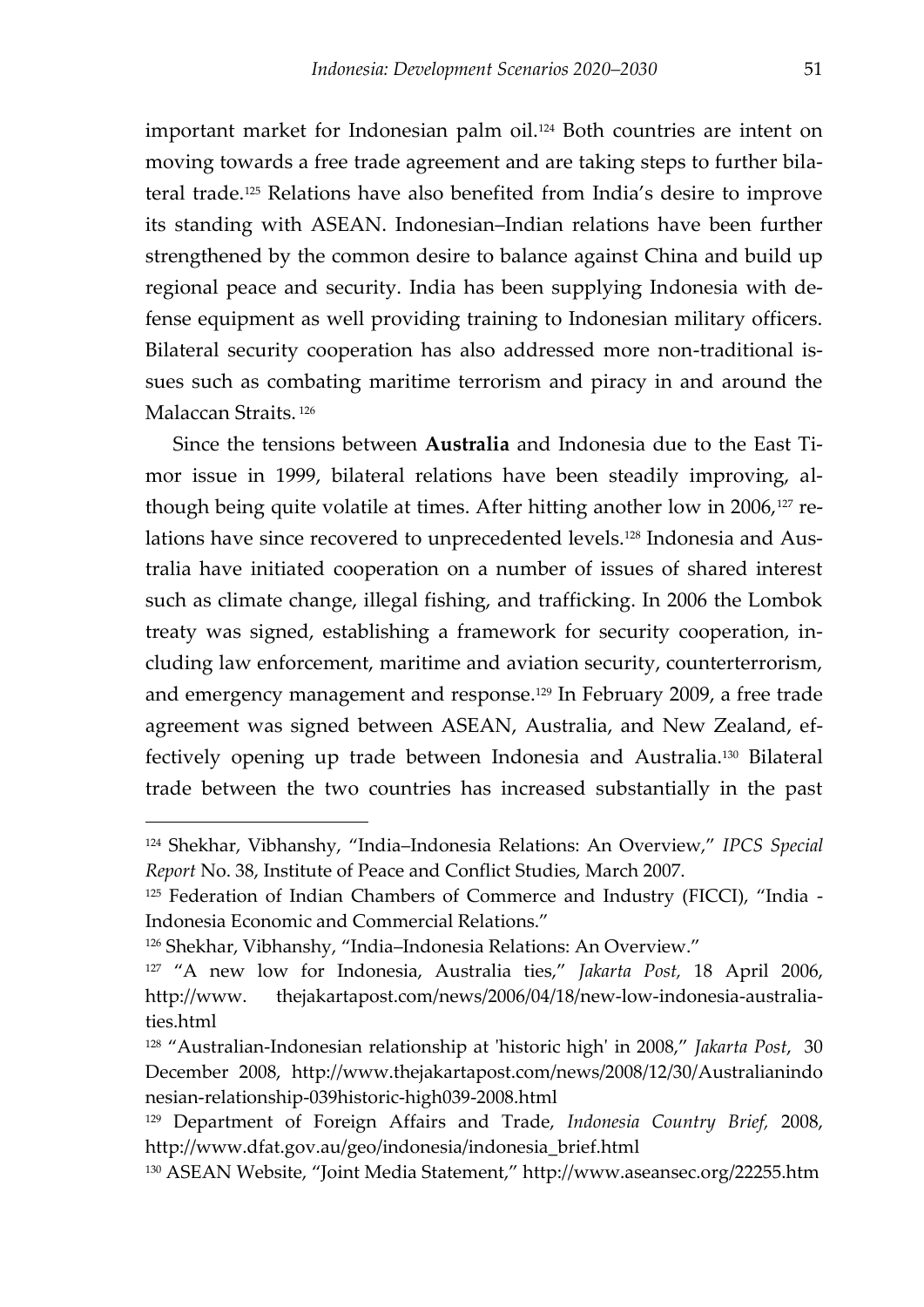<span id="page-52-0"></span>important market for Indonesian palm oil.<sup>124</sup> Both countries are intent on moving towards a free trade agreement and are taking steps to further bilateral trade.<sup>125</sup> Relations have also benefited from India's desire to improve its standing with ASEAN. Indonesian–Indian relations have been further strengthened by the common desire to balance against China and build up regional peace and security. India has been supplying Indonesia with defense equipment as well providing training to Indonesian military officers. Bilateral security cooperation has also addressed more non-traditional issues such as combating maritime terrorism and piracy in and around the Malaccan Straits. 126

Since the tensions between **Australia** and Indonesia due to the East Timor issue in 1999, bilateral relations have been steadily improving, although being quite volatile at times. After hitting another low in 2006,<sup>127</sup> relations have since recovered to unprecedented levels.<sup>128</sup> Indonesia and Australia have initiated cooperation on a number of issues of shared interest such as climate change, illegal fishing, and trafficking. In 2006 the Lombok treaty was signed, establishing a framework for security cooperation, including law enforcement, maritime and aviation security, counterterrorism, and emergency management and response.<sup>129</sup> In February 2009, a free trade agreement was signed between ASEAN, Australia, and New Zealand, effectively opening up trade between Indonesia and Australia.<sup>130</sup> Bilateral trade between the two countries has increased substantially in the past

<sup>124</sup> Shekhar, Vibhanshy, 'India–Indonesia Relations: An Overview,' *IPCS Special Report* No. 38, Institute of Peace and Conflict Studies, March 2007.

<sup>125</sup> Federation of Indian Chambers of Commerce and Industry (FICCI), "India -Indonesia Economic and Commercial Relations.'

<sup>126</sup> Shekhar, Vibhanshy, 'India–Indonesia Relations: An Overview.'

<sup>127</sup> 'A new low for Indonesia, Australia ties,' *Jakarta Post,* 18 April 2006, http://www. thejakartapost.com/news/2006/04/18/new-low-indonesia-australiaties.html

<sup>128</sup> 'Australian-Indonesian relationship at 'historic high' in 2008,' *Jakarta Post*, 30 December 2008, http://www.thejakartapost.com/news/2008/12/30/Australianindo nesian-relationship-039historic-high039-2008.html

<sup>129</sup> Department of Foreign Affairs and Trade, *Indonesia Country Brief,* 2008, http://www.dfat.gov.au/geo/indonesia/indonesia\_brief.html

<sup>130</sup> ASEAN Website, 'Joint Media Statement,' http://www.aseansec.org/22255.htm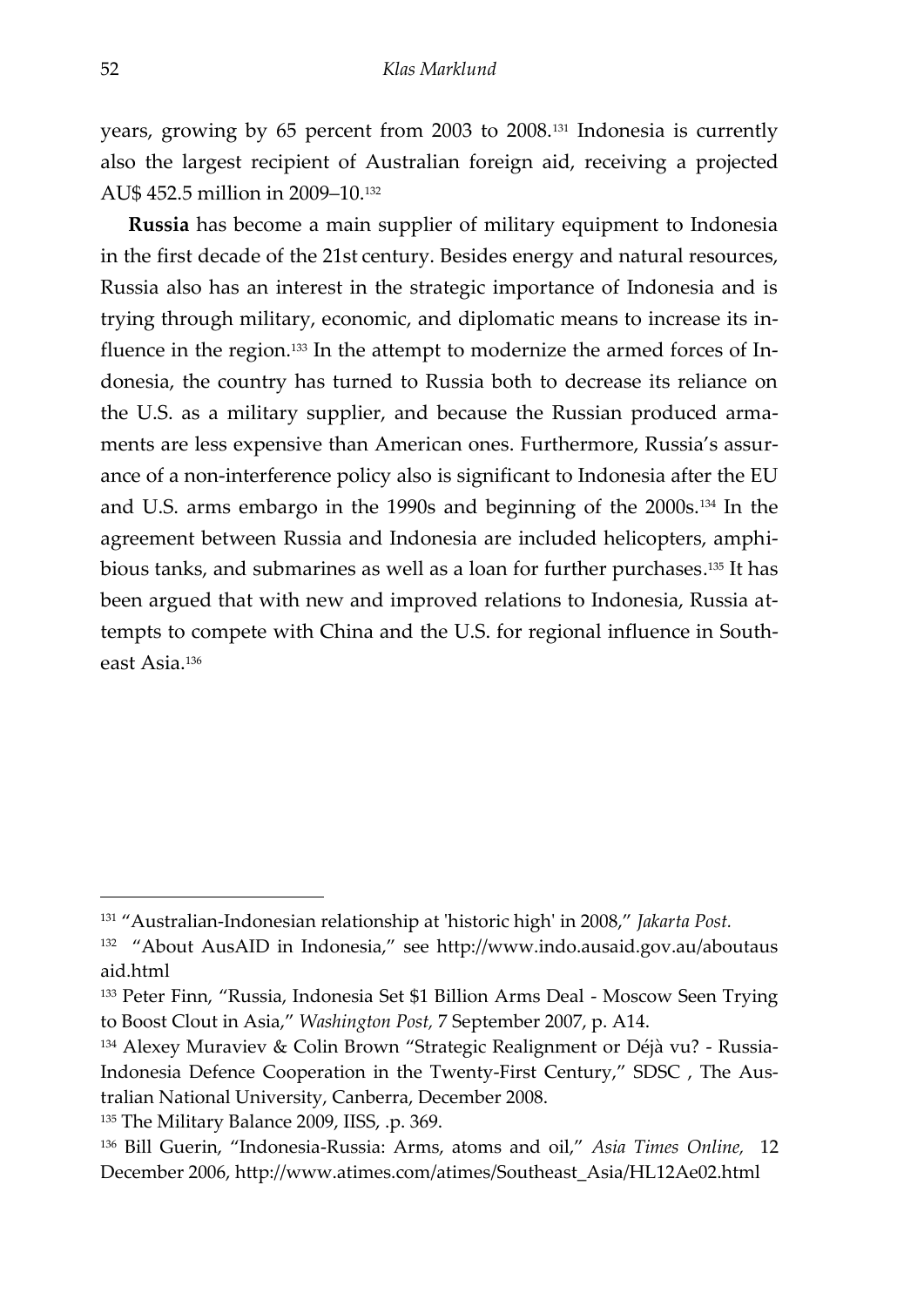years, growing by 65 percent from 2003 to 2008.<sup>131</sup> Indonesia is currently also the largest recipient of Australian foreign aid, receiving a projected AU\$ 452.5 million in 2009–10.<sup>132</sup>

**Russia** has become a main supplier of military equipment to Indonesia in the first decade of the 21st century. Besides energy and natural resources, Russia also has an interest in the strategic importance of Indonesia and is trying through military, economic, and diplomatic means to increase its influence in the region.<sup>133</sup> In the attempt to modernize the armed forces of Indonesia, the country has turned to Russia both to decrease its reliance on the U.S. as a military supplier, and because the Russian produced armaments are less expensive than American ones. Furthermore, Russia's assurance of a non-interference policy also is significant to Indonesia after the EU and U.S. arms embargo in the 1990s and beginning of the 2000s.<sup>134</sup> In the agreement between Russia and Indonesia are included helicopters, amphibious tanks, and submarines as well as a loan for further purchases. <sup>135</sup> It has been argued that with new and improved relations to Indonesia, Russia attempts to compete with China and the U.S. for regional influence in Southeast Asia.<sup>136</sup>

<sup>131</sup> 'Australian-Indonesian relationship at 'historic high' in 2008,' *Jakarta Post.*

<sup>&</sup>lt;sup>132</sup> "About AusAID in Indonesia," see http://www.indo.ausaid.gov.au/aboutaus aid.html

<sup>&</sup>lt;sup>133</sup> Peter Finn, "Russia, Indonesia Set \$1 Billion Arms Deal - Moscow Seen Trying to Boost Clout in Asia,' *Washington Post,* 7 September 2007, p. A14.

<sup>134</sup> Alexey Muraviev & Colin Brown 'Strategic Realignment or Déjà vu? - Russia-Indonesia Defence Cooperation in the Twenty-First Century,' SDSC , The Australian National University, Canberra, December 2008.

<sup>135</sup> The Military Balance 2009, IISS, .p. 369.

<sup>136</sup> Bill Guerin, 'Indonesia-Russia: Arms, atoms and oil,' *Asia Times Online,* 12 December 2006, http://www.atimes.com/atimes/Southeast\_Asia/HL12Ae02.html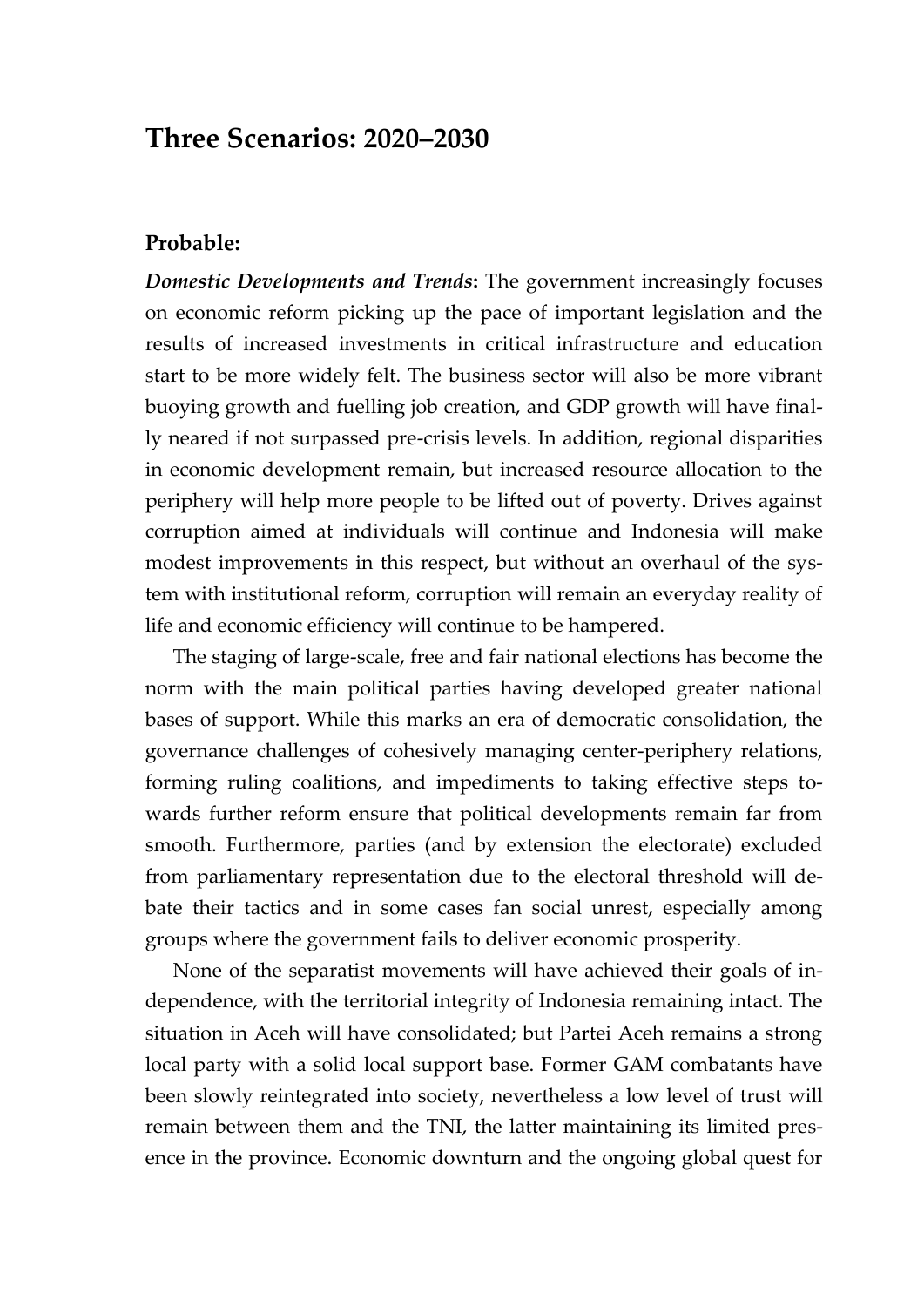## **Three Scenarios: 2020–2030**

#### **Probable:**

*Domestic Developments and Trends***:** The government increasingly focuses on economic reform picking up the pace of important legislation and the results of increased investments in critical infrastructure and education start to be more widely felt. The business sector will also be more vibrant buoying growth and fuelling job creation, and GDP growth will have finally neared if not surpassed pre-crisis levels. In addition, regional disparities in economic development remain, but increased resource allocation to the periphery will help more people to be lifted out of poverty. Drives against corruption aimed at individuals will continue and Indonesia will make modest improvements in this respect, but without an overhaul of the system with institutional reform, corruption will remain an everyday reality of life and economic efficiency will continue to be hampered.

The staging of large-scale, free and fair national elections has become the norm with the main political parties having developed greater national bases of support. While this marks an era of democratic consolidation, the governance challenges of cohesively managing center-periphery relations, forming ruling coalitions, and impediments to taking effective steps towards further reform ensure that political developments remain far from smooth. Furthermore, parties (and by extension the electorate) excluded from parliamentary representation due to the electoral threshold will debate their tactics and in some cases fan social unrest, especially among groups where the government fails to deliver economic prosperity.

None of the separatist movements will have achieved their goals of independence, with the territorial integrity of Indonesia remaining intact. The situation in Aceh will have consolidated; but Partei Aceh remains a strong local party with a solid local support base. Former GAM combatants have been slowly reintegrated into society, nevertheless a low level of trust will remain between them and the TNI, the latter maintaining its limited presence in the province. Economic downturn and the ongoing global quest for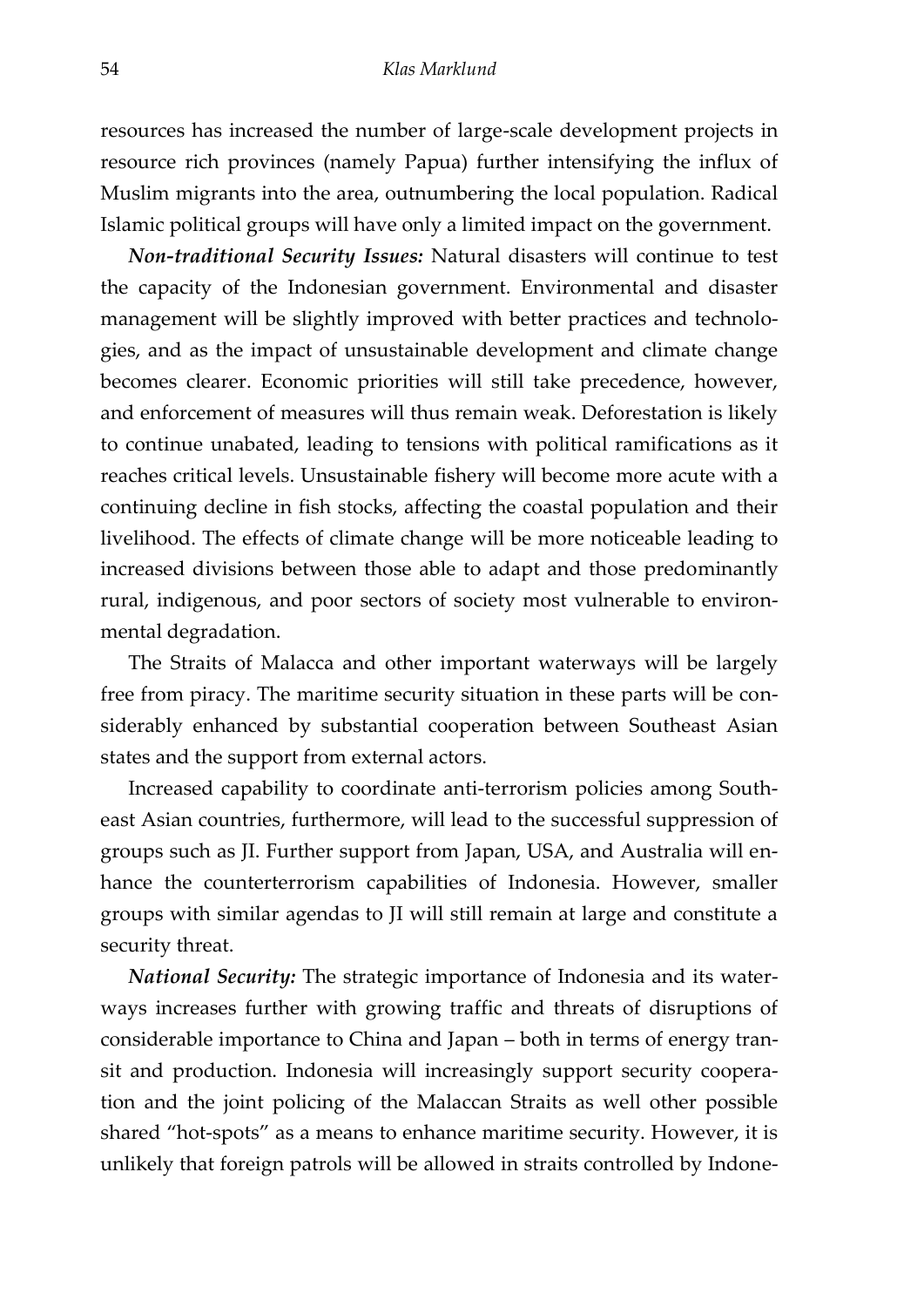<span id="page-55-0"></span>resources has increased the number of large-scale development projects in resource rich provinces (namely Papua) further intensifying the influx of Muslim migrants into the area, outnumbering the local population. Radical Islamic political groups will have only a limited impact on the government.

*Non-traditional Security Issues:* Natural disasters will continue to test the capacity of the Indonesian government. Environmental and disaster management will be slightly improved with better practices and technologies, and as the impact of unsustainable development and climate change becomes clearer. Economic priorities will still take precedence, however, and enforcement of measures will thus remain weak. Deforestation is likely to continue unabated, leading to tensions with political ramifications as it reaches critical levels. Unsustainable fishery will become more acute with a continuing decline in fish stocks, affecting the coastal population and their livelihood. The effects of climate change will be more noticeable leading to increased divisions between those able to adapt and those predominantly rural, indigenous, and poor sectors of society most vulnerable to environmental degradation.

The Straits of Malacca and other important waterways will be largely free from piracy. The maritime security situation in these parts will be considerably enhanced by substantial cooperation between Southeast Asian states and the support from external actors.

Increased capability to coordinate anti-terrorism policies among Southeast Asian countries, furthermore, will lead to the successful suppression of groups such as JI. Further support from Japan, USA, and Australia will enhance the counterterrorism capabilities of Indonesia. However, smaller groups with similar agendas to JI will still remain at large and constitute a security threat.

*National Security:* The strategic importance of Indonesia and its waterways increases further with growing traffic and threats of disruptions of considerable importance to China and Japan – both in terms of energy transit and production. Indonesia will increasingly support security cooperation and the joint policing of the Malaccan Straits as well other possible shared 'hot-spots' as a means to enhance maritime security. However, it is unlikely that foreign patrols will be allowed in straits controlled by Indone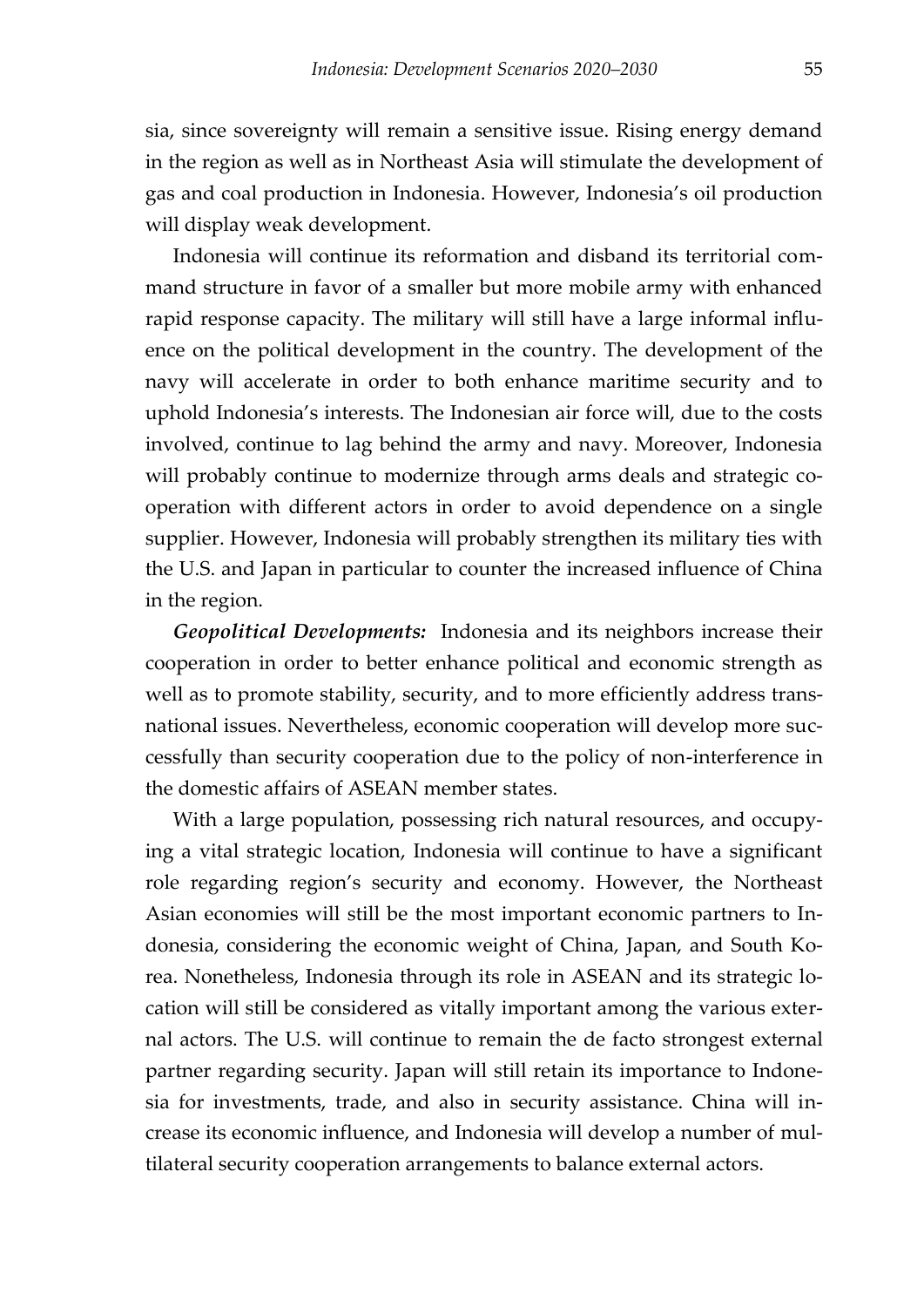sia, since sovereignty will remain a sensitive issue. Rising energy demand in the region as well as in Northeast Asia will stimulate the development of gas and coal production in Indonesia. However, Indonesia's oil production will display weak development.

Indonesia will continue its reformation and disband its territorial command structure in favor of a smaller but more mobile army with enhanced rapid response capacity. The military will still have a large informal influence on the political development in the country. The development of the navy will accelerate in order to both enhance maritime security and to uphold Indonesia's interests. The Indonesian air force will, due to the costs involved, continue to lag behind the army and navy. Moreover, Indonesia will probably continue to modernize through arms deals and strategic cooperation with different actors in order to avoid dependence on a single supplier. However, Indonesia will probably strengthen its military ties with the U.S. and Japan in particular to counter the increased influence of China in the region.

<span id="page-56-0"></span>*Geopolitical Developments:* Indonesia and its neighbors increase their cooperation in order to better enhance political and economic strength as well as to promote stability, security, and to more efficiently address transnational issues. Nevertheless, economic cooperation will develop more successfully than security cooperation due to the policy of non-interference in the domestic affairs of ASEAN member states.

With a large population, possessing rich natural resources, and occupying a vital strategic location, Indonesia will continue to have a significant role regarding region's security and economy. However, the Northeast Asian economies will still be the most important economic partners to Indonesia, considering the economic weight of China, Japan, and South Korea. Nonetheless, Indonesia through its role in ASEAN and its strategic location will still be considered as vitally important among the various external actors. The U.S. will continue to remain the de facto strongest external partner regarding security. Japan will still retain its importance to Indonesia for investments, trade, and also in security assistance. China will increase its economic influence, and Indonesia will develop a number of multilateral security cooperation arrangements to balance external actors.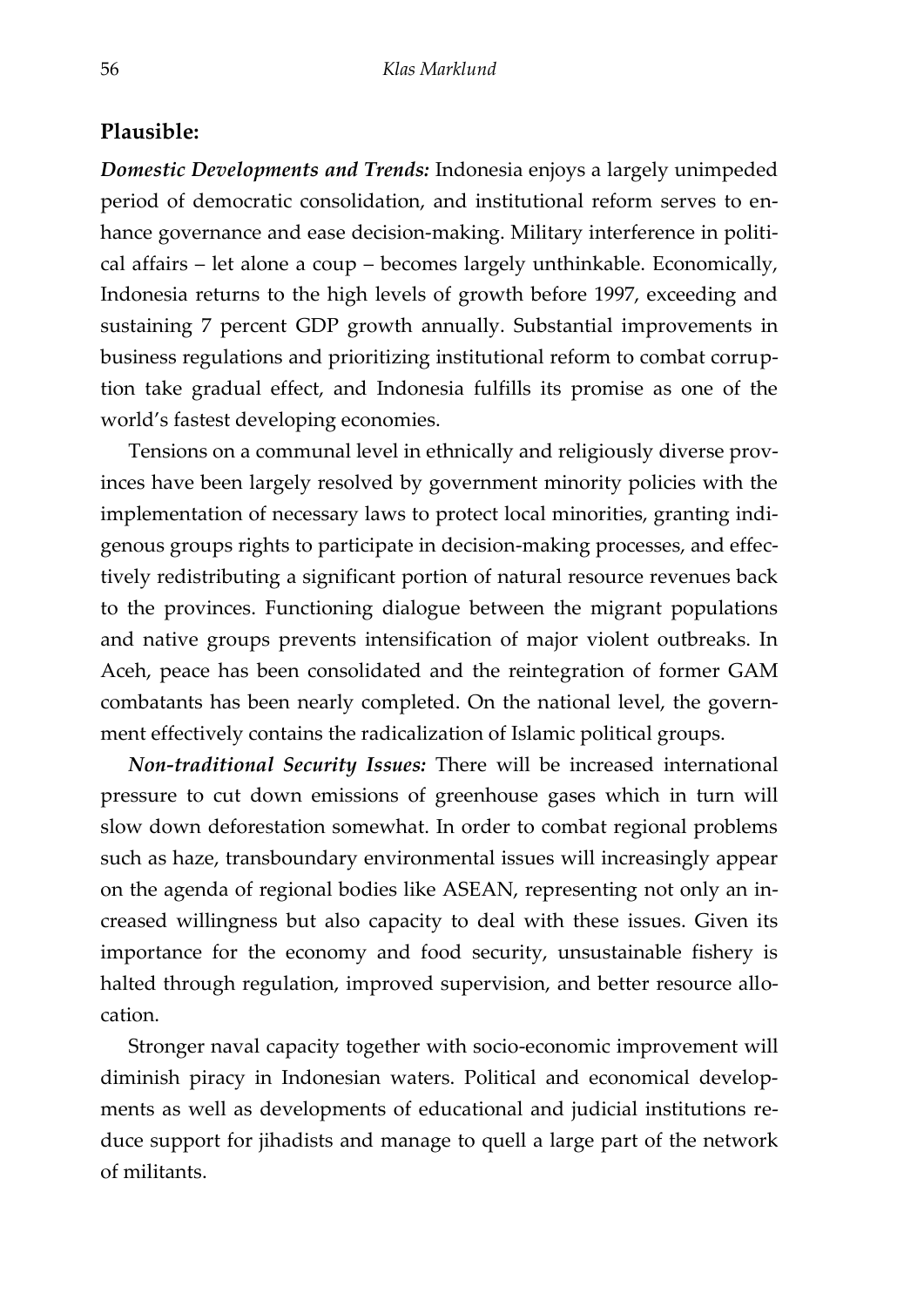#### **Plausible:**

*Domestic Developments and Trends:* Indonesia enjoys a largely unimpeded period of democratic consolidation, and institutional reform serves to enhance governance and ease decision-making. Military interference in political affairs – let alone a coup – becomes largely unthinkable. Economically, Indonesia returns to the high levels of growth before 1997, exceeding and sustaining 7 percent GDP growth annually. Substantial improvements in business regulations and prioritizing institutional reform to combat corruption take gradual effect, and Indonesia fulfills its promise as one of the world's fastest developing economies.

Tensions on a communal level in ethnically and religiously diverse provinces have been largely resolved by government minority policies with the implementation of necessary laws to protect local minorities, granting indigenous groups rights to participate in decision-making processes, and effectively redistributing a significant portion of natural resource revenues back to the provinces. Functioning dialogue between the migrant populations and native groups prevents intensification of major violent outbreaks. In Aceh, peace has been consolidated and the reintegration of former GAM combatants has been nearly completed. On the national level, the government effectively contains the radicalization of Islamic political groups.

*Non-traditional Security Issues:* There will be increased international pressure to cut down emissions of greenhouse gases which in turn will slow down deforestation somewhat. In order to combat regional problems such as haze, transboundary environmental issues will increasingly appear on the agenda of regional bodies like ASEAN, representing not only an increased willingness but also capacity to deal with these issues. Given its importance for the economy and food security, unsustainable fishery is halted through regulation, improved supervision, and better resource allocation.

Stronger naval capacity together with socio-economic improvement will diminish piracy in Indonesian waters. Political and economical developments as well as developments of educational and judicial institutions reduce support for jihadists and manage to quell a large part of the network of militants.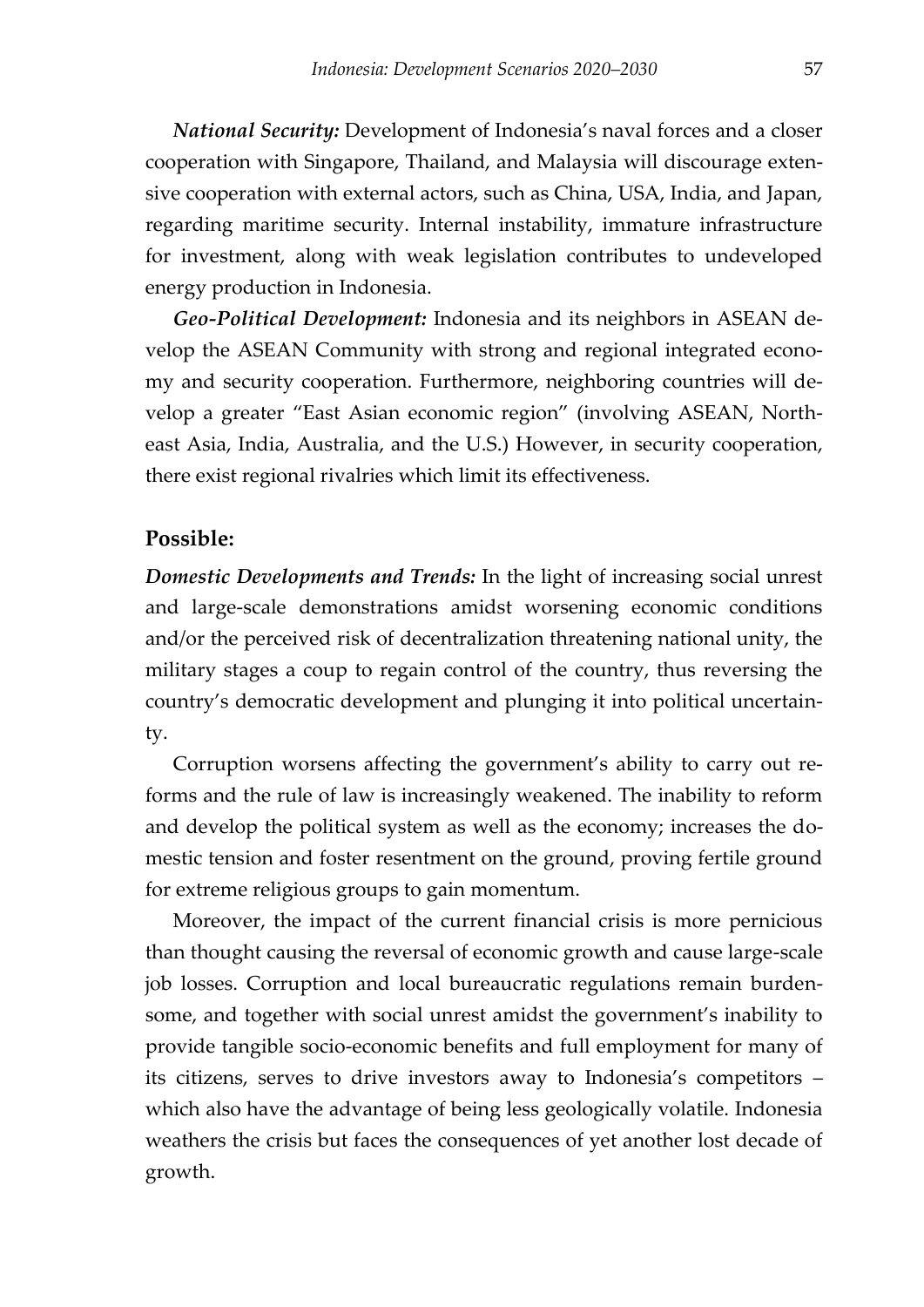*National Security:* Development of Indonesia's naval forces and a closer cooperation with Singapore, Thailand, and Malaysia will discourage extensive cooperation with external actors, such as China, USA, India, and Japan, regarding maritime security. Internal instability, immature infrastructure for investment, along with weak legislation contributes to undeveloped energy production in Indonesia.

*Geo-Political Development:* Indonesia and its neighbors in ASEAN develop the ASEAN Community with strong and regional integrated economy and security cooperation. Furthermore, neighboring countries will develop a greater 'East Asian economic region' (involving ASEAN, Northeast Asia, India, Australia, and the U.S.) However, in security cooperation, there exist regional rivalries which limit its effectiveness.

#### **Possible:**

*Domestic Developments and Trends:* In the light of increasing social unrest and large-scale demonstrations amidst worsening economic conditions and/or the perceived risk of decentralization threatening national unity, the military stages a coup to regain control of the country, thus reversing the country's democratic development and plunging it into political uncertainty.

Corruption worsens affecting the government's ability to carry out reforms and the rule of law is increasingly weakened. The inability to reform and develop the political system as well as the economy; increases the domestic tension and foster resentment on the ground, proving fertile ground for extreme religious groups to gain momentum.

Moreover, the impact of the current financial crisis is more pernicious than thought causing the reversal of economic growth and cause large-scale job losses. Corruption and local bureaucratic regulations remain burdensome, and together with social unrest amidst the government's inability to provide tangible socio-economic benefits and full employment for many of its citizens, serves to drive investors away to Indonesia's competitors – which also have the advantage of being less geologically volatile. Indonesia weathers the crisis but faces the consequences of yet another lost decade of growth.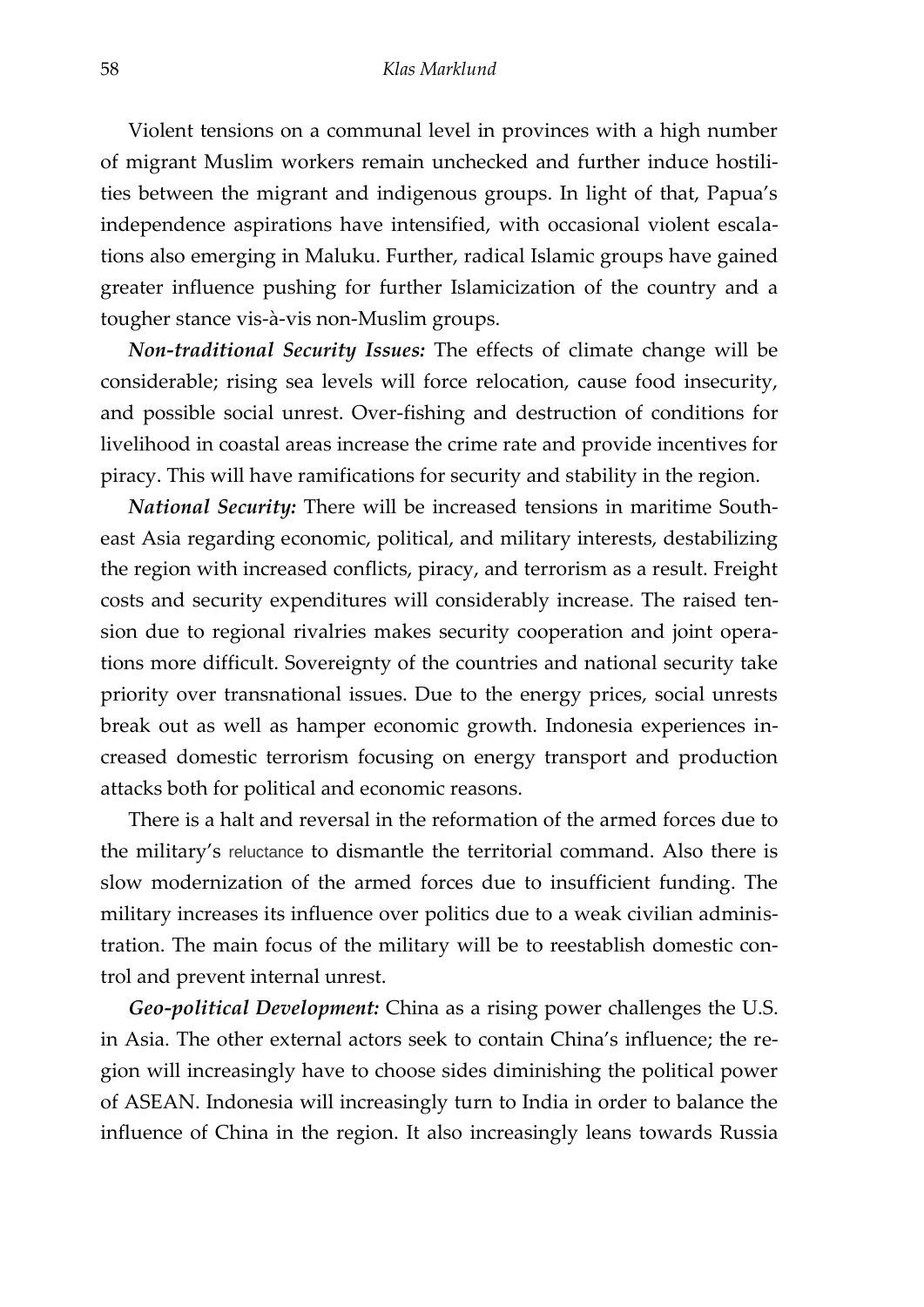Violent tensions on a communal level in provinces with a high number of migrant Muslim workers remain unchecked and further induce hostilities between the migrant and indigenous groups. In light of that, Papua's independence aspirations have intensified, with occasional violent escalations also emerging in Maluku. Further, radical Islamic groups have gained greater influence pushing for further Islamicization of the country and a tougher stance vis-à-vis non-Muslim groups.

*Non-traditional Security Issues:* The effects of climate change will be considerable; rising sea levels will force relocation, cause food insecurity, and possible social unrest. Over-fishing and destruction of conditions for livelihood in coastal areas increase the crime rate and provide incentives for piracy. This will have ramifications for security and stability in the region.

*National Security:* There will be increased tensions in maritime Southeast Asia regarding economic, political, and military interests, destabilizing the region with increased conflicts, piracy, and terrorism as a result. Freight costs and security expenditures will considerably increase. The raised tension due to regional rivalries makes security cooperation and joint operations more difficult. Sovereignty of the countries and national security take priority over transnational issues. Due to the energy prices, social unrests break out as well as hamper economic growth. Indonesia experiences increased domestic terrorism focusing on energy transport and production attacks both for political and economic reasons.

There is a halt and reversal in the reformation of the armed forces due to the military's reluctance to dismantle the territorial command. Also there is slow modernization of the armed forces due to insufficient funding. The military increases its influence over politics due to a weak civilian administration. The main focus of the military will be to reestablish domestic control and prevent internal unrest.

*Geo-political Development:* China as a rising power challenges the U.S. in Asia. The other external actors seek to contain China's influence; the region will increasingly have to choose sides diminishing the political power of ASEAN. Indonesia will increasingly turn to India in order to balance the influence of China in the region. It also increasingly leans towards Russia